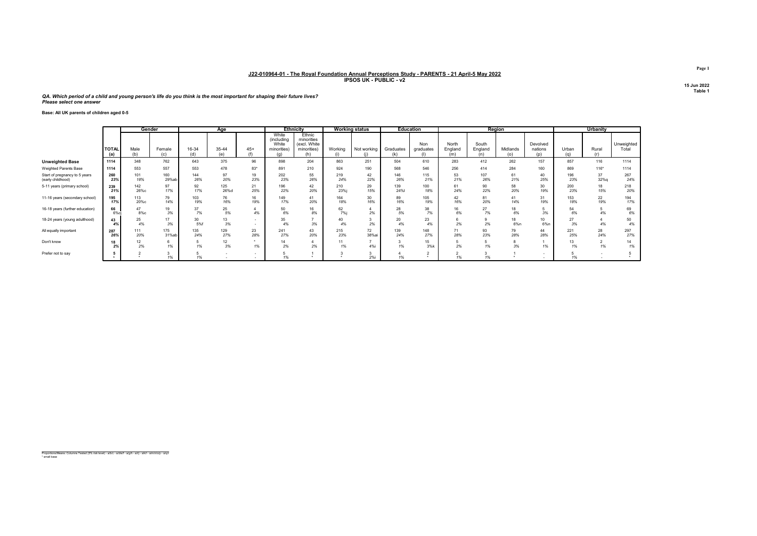QA. Which period of a child and young person's life do you think is the most important for shaping their future lives? Please select one answer

Base: All UK parents of children aged 0-5

|                                                    |                     | Gender      |               |              | Age          |              |                                             | <b>Ethnicity</b>                                           |            | <b>Working status</b> |                  | <b>Education</b> |                         | Region           |                 |                            |              | Urbanity   |                     |
|----------------------------------------------------|---------------------|-------------|---------------|--------------|--------------|--------------|---------------------------------------------|------------------------------------------------------------|------------|-----------------------|------------------|------------------|-------------------------|------------------|-----------------|----------------------------|--------------|------------|---------------------|
|                                                    | <b>TOTAL</b><br>(a) | Male        | Female<br>(c) | 16-34<br>(d) | 35-44<br>(e) | $45+$<br>(f) | White<br>(including<br>White<br>minorities) | Ethnic<br>minorities<br>(excl. White<br>minorities)<br>(h) | Working    | Not working           | Graduates<br>(k) | Non<br>graduates | North<br>England<br>(m) | South<br>England | Midlands<br>(o) | Devolved<br>nations<br>(D) | Urban<br>(a) | Rural      | Unweighted<br>Total |
| <b>Unweighted Base</b>                             | 1114                | 348         | 762           | 643          | 375          | 96           | 898                                         | 204                                                        | 863        | 251                   | 504              | 610              | 283                     | 412              | 262             | 157                        | 857          | 116        | 1114                |
| Weighted Parents Base                              | 1114                | 553         | 557           | 553          | 478          | $83*$        | 891                                         | 210                                                        | 924        | 190                   | 568              | 546              | 256                     | 414              | 284             | 160                        | 869          | $116*$     | 1114                |
| Start of pregnancy to 5 years<br>(early childhood) | 260<br>23%          | 101<br>18%  | 160<br>29%at  | 144<br>26%   | 97<br>20%    | 19<br>23%    | 202<br>23%                                  | 55<br>26%                                                  | 219<br>24% | 42<br>22%             | 146<br>26%       | 115<br>21%       | 53<br>21%               | 107<br>26%       | 61<br>21%       | 40<br>25%                  | 196<br>23%   | 37<br>32%g | 267<br>24%          |
| 5-11 years (primary school)                        | 239<br>21%          | 142<br>26%с | 97<br>17%     | 92<br>17%    | 125<br>26%d  | 21<br>25%    | 196<br>22%                                  | 42<br>20%                                                  | 210<br>23% | 29<br>15%             | 139<br>24%       | 100<br>18%       | 61<br>24%               | 90<br>22%        | 58<br>20%       | 30<br>19%                  | 200<br>23%   | 18<br>15%  | 218<br>20%          |
| 11-16 years (secondary school)                     | 195<br>17%          | 113<br>20%с | 79<br>14%     | 103<br>19%   | 76<br>16%    | 16<br>19%    | 149<br>17%                                  | 41<br>20%                                                  | 164<br>18% | 30<br>16%             | 89<br>16%        | 105<br>19%       | 42<br>16%               | 81<br>20%        | 41<br>14%       | 31<br>19%                  | 153<br>18%   | 22<br>19%  | 194<br>17%          |
| 16-18 years (further education)                    | 66<br>6%ci          | 47<br>8%с   | 19<br>3%      | 37<br>7%     | 25<br>5%     | 4%           | 50<br>6%                                    | 16<br>8%                                                   | 62<br>7%j  | 2%                    | 28<br>5%         | 38<br>7%         | 16<br>6%                | 27<br>7%         | 18<br>6%        | 3%                         | 54<br>6%     | 4%         | 69<br>6%            |
| 18-24 years (young adulthood)                      | 43<br>4%            | 25<br>4%    | 17<br>3%      | 30<br>5%f    | 13<br>3%     |              | 35<br>4%                                    | 3%                                                         | 40<br>4%   | 2%                    | 20<br>4%         | 23<br>4%         | 2%                      | 2%               | 18<br>6%n       | 10<br>6%n                  | 27<br>3%     | 4%         | 50<br>4%            |
| All equally important                              | 287<br>26%          | 111<br>20%  | 175<br>31%ab  | 135<br>24%   | 129<br>27%   | 23<br>28%    | 241<br>27%                                  | 43<br>20%                                                  | 215<br>23% | 72<br>38%             | 139<br>24%       | 148<br>27%       | 71<br>28%               | 93<br>23%        | 79<br>28%       | 44<br>28%                  | 221<br>25%   | 28<br>24%  | 297<br>27%          |
| Don't know                                         | 18<br>2%            | 12<br>2%    | 1%            | 1%           | 12<br>3%     | 1%           | 14<br>2%                                    | 2%                                                         | 1%         | 4%i                   | 1%               | 15<br>3%k        | 2%                      | 1%               | 3%              | 1%                         | 13<br>1%     | 1%         | 1%                  |
| Prefer not to say                                  |                     |             | 1%            |              |              |              | 1%                                          |                                                            |            | -3<br>2%i             |                  |                  | 1%                      |                  |                 |                            | 1%           |            |                     |

Proportions/Means: Columns Tested (5% risk level) - a/b/c - a/d/e/f - a/g/h - a/i/j - a/k/l - a/m/n/o/p - a/q/r \* small base

Page 1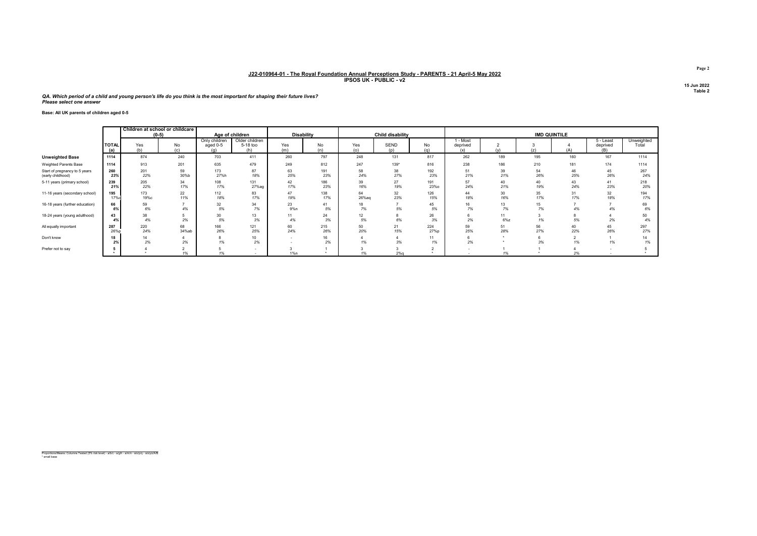QA. Which period of a child and young person's life do you think is the most important for shaping their future lives? Please select one answer

Base: All UK parents of children aged 0-5

|                                                    |                     | Children at school or childcare<br>$(0-5)$ |             |                           | Age of children                   | <b>Disability</b> |            |             | Child disability   |             |                           |              | <b>IMD QUINTILE</b> |           |                              |                     |
|----------------------------------------------------|---------------------|--------------------------------------------|-------------|---------------------------|-----------------------------------|-------------------|------------|-------------|--------------------|-------------|---------------------------|--------------|---------------------|-----------|------------------------------|---------------------|
|                                                    | <b>TOTAL</b><br>(a) | Yes<br>(b)                                 | No<br>(c)   | Only children<br>aged 0-5 | Older children<br>5-18 too<br>(h) | Yes<br>(m)        | No<br>(n)  | Yes<br>(0)  | <b>SEND</b><br>(D) | No<br>(a)   | - Most<br>deprived<br>(x) | (v)          | (z)                 | (A)       | 5 - Least<br>deprived<br>(B) | Unweighted<br>Total |
| <b>Unweighted Base</b>                             | 1114                | 874                                        | 240         | 703                       | 411                               | 260               | 797        | 248         | 131                | 817         | 262                       | 189          | 195                 | 160       | 167                          | 1114                |
| Weighted Parents Base                              | 1114                | 913                                        | 201         | 635                       | 479                               | 249               | 812        | 247         | $139*$             | 816         | 238                       | 186          | 210                 | 181       | 174                          | 1114                |
| Start of pregnancy to 5 years<br>(early childhood) | 260<br>23%          | 201<br>22%                                 | 59<br>30%b  | 173<br>27%h               | 87<br>18%                         | 63<br>25%         | 191<br>23% | 58<br>24%   | 38<br>27%          | 192<br>23%  | 51<br>21%                 | 39<br>21%    | 54<br>26%           | 46<br>25% | 45<br>26%                    | 267<br>24%          |
| 5-11 years (primary school)                        | 239<br>21%          | 205<br>22%                                 | 34<br>17%   | 108<br>17%                | 131<br>27%ag                      | 42<br>17%         | 186<br>23% | 39<br>16%   | 27<br>19%          | 191<br>23%o | 57<br>24%                 | 40<br>21%    | 40<br>19%           | 43<br>24% | 41<br>23%                    | 218<br>20%          |
| 11-16 years (secondary school)                     | 195<br>17%c         | 173<br>19%с                                | 22<br>11%   | 112<br>18%                | 83<br>17%                         | 47<br>19%         | 138<br>17% | 64<br>26%ag | 32<br>23%          | 126<br>15%  | 44<br>18%                 | 30<br>16%    | 35<br>17%           | 31<br>17% | 32<br>18%                    | 194<br>17%          |
| 16-18 years (further education)                    | 66<br>6%            | 59<br>6%                                   | 4%          | 32<br>5%                  | 34<br>7%                          | 23<br>9%n         | 41<br>5%   | 18<br>7%    | 5%                 | 45<br>5%    | 16<br>7%                  | 13<br>7%     | 15<br>7%            | 4%        | 4%                           | 69<br>6%            |
| 18-24 years (young adulthood)                      | 43<br>4%            | 38<br>4%                                   | 2%          | 30<br>5%                  | 13<br>3%                          | 11<br>4%          | 24<br>3%   | 12<br>5%    | 6%                 | 26<br>3%    | 2%                        | 11<br>$6\%z$ | 1%                  | 5%        | 2%                           | 50<br>4%            |
| All equally important                              | 287<br>26%p         | 220<br>24%                                 | 68<br>34%ab | 166<br>26%                | 121<br>25%                        | 60<br>24%         | 215<br>26% | 50<br>20%   | 21<br>15%          | 224<br>27%p | 59<br>25%                 | 51<br>28%    | 56<br>27%           | 40<br>22% | 45<br>26%                    | 297<br>27%          |
| Don't know                                         | 18<br>2%            | 14<br>2%                                   | 2%          | 1%                        | 10<br>2%                          |                   | 16<br>2%   | 1%          | 3%                 | 11<br>1%    | 2%                        |              | 3%                  |           | 1%                           | 1%                  |
| Prefer not to say                                  |                     |                                            | 1%          |                           |                                   | 1%n               |            |             | $2%$ a             |             |                           | 1%           |                     | 2%        |                              |                     |

Proportions/Means: Columns Tested (5% risk level) - a/b/c - a/g/h - a/m/n - a/o/p/q - a/x/y/z/A/B \* small base

Page 2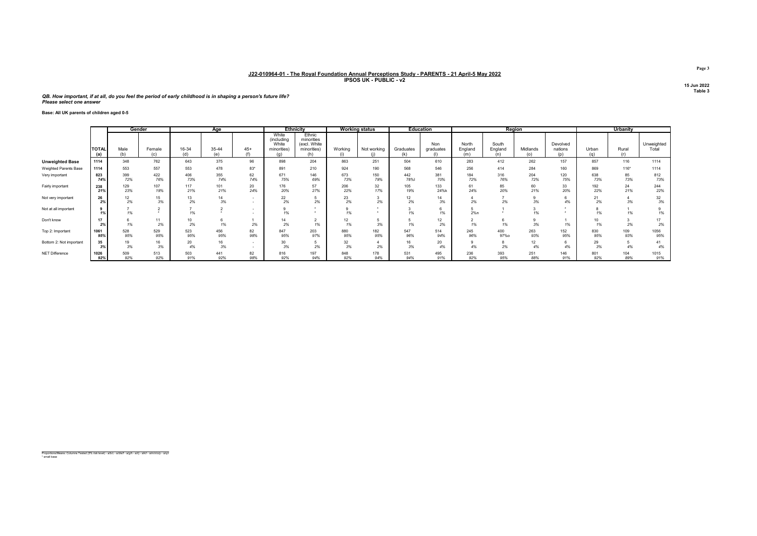QB. How important, if at all, do you feel the period of early childhood is in shaping a person's future life? Please select one answer

#### Base: All UK parents of children aged 0-5

|                         |                     | Gender     |               |              | Age          |           |                                                    | Ethnicity                                           |            | <b>Working status</b> | <b>Education</b>  |                  |                         |                         | Region          |                            |              | Urbanity   |                     |
|-------------------------|---------------------|------------|---------------|--------------|--------------|-----------|----------------------------------------------------|-----------------------------------------------------|------------|-----------------------|-------------------|------------------|-------------------------|-------------------------|-----------------|----------------------------|--------------|------------|---------------------|
|                         | <b>TOTAL</b><br>(a) | Male       | Female<br>(c) | 16-34<br>(d) | 35-44<br>(e) | $45+$     | White<br>(including<br>White<br>minorities)<br>(a) | Ethnic<br>minorities<br>(excl. White<br>minorities) | Working    | Not working           | Graduates         | Non<br>graduates | North<br>England<br>(m) | South<br>England<br>(n) | Midlands<br>(0) | Devolved<br>nations<br>(p) | Urban<br>(q) | Rural      | Unweighted<br>Total |
| <b>Unweighted Base</b>  | 1114                | 348        | 762           | 643          | 375          | 96        | 898                                                | 204                                                 | 863        | 251                   | 504               | 610              | 283                     | 412                     | 262             | 157                        | 857          | 116        | 1114                |
| Weighted Parents Base   | 1114                | 553        | 557           | 553          | 478          | $83*$     | 891                                                | 210                                                 | 924        | 190                   | 568               | 546              | 256                     | 414                     | 284             | 160                        | 869          | $116*$     | 1114                |
| Very important          | 823<br>74%          | 399<br>72% | 422<br>76%    | 406<br>73%   | 355<br>74%   | 62<br>74% | 671<br>75%                                         | 146<br>69%                                          | 673<br>73% | 150<br>79%            | 442<br><b>78%</b> | 381<br>70%       | 184<br>72%              | 316<br>76%              | 204<br>72%      | 120<br>75%                 | 638<br>73%   | 85<br>73%  | 812<br>73%          |
| Fairly important        | 238<br>21%          | 129<br>23% | 107<br>19%    | 117<br>21%   | 101<br>21%   | 20<br>24% | 176<br>20%                                         | 57<br>27%                                           | 206<br>22% | 32<br>17%             | 105<br>19%        | 133<br>24%k      | 61<br>24%               | 85<br>20%               | 60<br>21%       | $\frac{33}{20\%}$          | 192<br>22%   | 24<br>21%  | 244<br>22%          |
| Not very important      | 26<br>2%            | 12<br>2%   | 15<br>3%      | 2%           | 14<br>3%     |           | 22<br>2%                                           | 2%                                                  | 23<br>2%   | 2%                    | 12<br>2%          | 14<br>3%         | 2%                      | 2%                      | 3%              | 4%                         | 21<br>2%     | 3%         | 32<br>3%            |
| Not at all important    | 1%                  | 1%         |               | 1%           |              |           | 1%                                                 |                                                     | 1%         |                       | 1%                | 1%               | 2%n                     |                         | 1%              |                            | 1%           | 1%         |                     |
| Don't know              | 17<br>2%            | 1%         | 11<br>2%      | 10<br>2%     | 1%           | 2%        | 14<br>2%                                           | 1%                                                  | 12<br>1%   | 3%                    | 1%                | 12<br>2%         | 1%                      | 1%                      | 3%              | 1%                         | 10<br>1%     | 2%         | 2%                  |
| Top 2: Important        | 1061<br>95%         | 528<br>95% | 529<br>95%    | 523<br>95%   | 456<br>95%   | 82<br>98% | 847<br>95%                                         | 203<br>97%                                          | 880<br>95% | 182<br>95%            | 547<br>96%        | 514<br>94%       | 245<br>96%              | 400<br>97%o             | 263<br>93%      | 152<br>95%                 | 830<br>95%   | 109<br>93% | 1056<br>95%         |
| Bottom 2: Not important | 35<br>3%            | 19<br>3%   | 16<br>3%      | 20<br>4%     | 16<br>3%     |           | 30<br>3%                                           | 2%                                                  | 32<br>3%   | 2%                    | 16<br>3%          | 20<br>4%         | 4%                      | 2%                      | 12<br>4%        | 6<br>4%                    | 29<br>3%     | 4%         | 4%                  |
| NET Difference          | 1026<br>92%         | 509<br>92% | 513<br>92%    | 503<br>91%   | 441<br>92%   | 82<br>98% | 816<br>92%                                         | 197<br>94%                                          | 848<br>92% | 178<br>94%            | 531<br>94%        | 495<br>91%       | 236<br>92%              | 393<br>95%              | 251<br>88%      | 146<br>91%                 | 801<br>92%   | 104<br>89% | 1015<br>91%         |

Proportions/Means: Columns Tested (5% risk level) - a/b/c - a/d/e/f - a/g/h - a/i/j - a/k/l - a/m/n/o/p - a/q/r \* small base

Page 3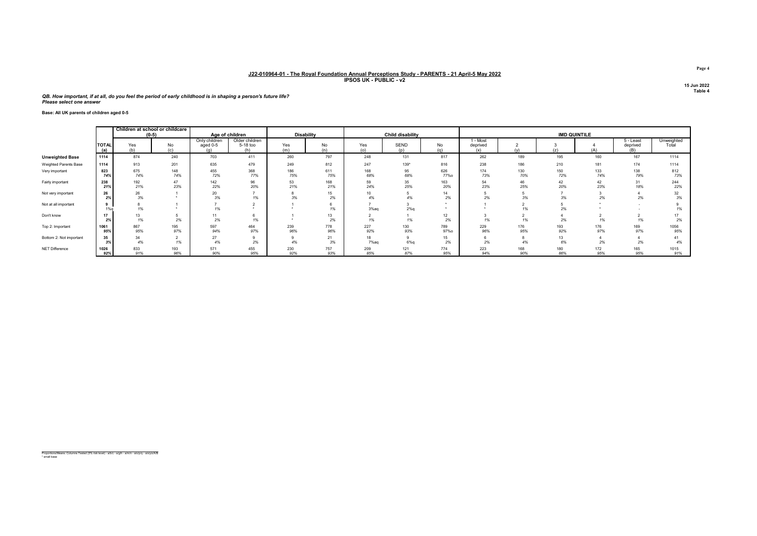#### QB. How important, if at all, do you feel the period of early childhood is in shaping a person's future life? Please select one answer

#### Base: All UK parents of children aged 0-5

|                         |                     | Children at school or childcare<br>$(0-5)$ |            | Age of children                  |                                   |            | Disability |                        | Child disability   |                    |                             |            |            | <b>IMD QUINTILE</b> |                              |                     |
|-------------------------|---------------------|--------------------------------------------|------------|----------------------------------|-----------------------------------|------------|------------|------------------------|--------------------|--------------------|-----------------------------|------------|------------|---------------------|------------------------------|---------------------|
|                         | <b>TOTAI</b><br>(a) | Yes<br>(b)                                 | No<br>(c)  | Only children<br>aged 0-5<br>(n) | Older children<br>5-18 too<br>(h) | Yes<br>(m) | No<br>(n)  | Yes<br>(0)             | <b>SEND</b><br>(n) | No<br>(a)          | I - Most<br>deprived<br>(x) |            | (z)        |                     | 5 - Least<br>deprived<br>(B) | Unweighted<br>Total |
| <b>Unweighted Base</b>  | 1114                | 874                                        | 240        | 703                              | 411                               | 260        | 797        | 248                    | 131                | 817                | 262                         | 189        | 195        | 160                 | 167                          | 1114                |
| Weighted Parents Base   | 1114                | 913                                        | 201        | 635                              | 479                               | 249        | 812        | 247                    | 139*               | 816                | 238                         | 186        | 210        | 181                 | 174                          | 1114                |
| Very important          | 823<br>74%          | 675<br>74%                                 | 148<br>74% | 455<br>72%                       | 368<br>77%                        | 186<br>75% | 611<br>75% | 168<br>68%             | 95<br>68%          | 626<br><b>77%o</b> | 174<br>73%                  | 130<br>70% | 150<br>72% | 133<br>74%          | 138<br>79%                   | 812<br>73%          |
| Fairly important        | 238<br>21%          | 192<br>21%                                 | 47<br>23%  | 142<br>22%                       | 96<br>20%                         | 53<br>21%  | 168<br>21% | 59<br>24%              | 35<br>25%          | 163<br>20%         | 54<br>23%                   | 46<br>25%  | 42<br>20%  | 42<br>23%           | 31<br>18%                    | 244<br>22%          |
| Not very important      | 26                  | 26<br>3%                                   |            | 20<br>3%                         | 1%                                | 3%         | 15<br>2%   | 10 <sup>10</sup><br>4% | 4%                 | 14<br>2%           | 2%                          | 3%         | 3%         | 2%                  | 2%                           | 32<br>3%            |
| Not at all important    | 1%                  | 1%                                         |            | 1%                               |                                   |            | 1%         | 3%aq                   | 2%q                |                    |                             | 1%         | 2%         |                     |                              | 1%                  |
| Don't know              | 17<br>2%            | 13<br>1%                                   | 2%         | 11<br>2%                         | 6<br>1%                           |            | 13<br>2%   | 1%                     | 1%                 | 12<br>2%           |                             | 1%         | 2%         | 1%                  | 7%                           | 2%                  |
| Top 2: Important        | 1061<br>95%         | 867<br>95%                                 | 195<br>97% | 597<br>94%                       | 464<br>97%                        | 239<br>96% | 778<br>96% | 227<br>92%             | 130<br>93%         | 789<br>97%o        | 229<br>96%                  | 176<br>95% | 193<br>92% | 176<br>97%          | 169<br>97%                   | 1056<br>95%         |
| Bottom 2: Not important | 35<br>3%            | 34<br>4%                                   | 1%         | 27<br>4%                         | 9<br>2%                           | 4%         | 21<br>3%   | 18<br>7%aq             | 9<br>6%q           | 15<br>2%           | 2%                          | 4%         | 13<br>6%   | 2%                  | 2%                           | 41<br>4%            |
| NET Difference          | 1026<br>92%         | 833<br>91%                                 | 193<br>96% | 571<br>90%                       | 455<br>95%                        | 230<br>92% | 757<br>93% | 209<br>85%             | 121<br>87%         | 774<br>95%         | 223<br>94%                  | 168<br>90% | 180<br>86% | 172<br>95%          | 165<br>95%                   | 1015<br>91%         |

Proportions/Means: Columns Tested (5% risk level) - a/b/c - a/g/h - a/m/n - a/o/p/q - a/x/y/z/A/B \* small base

Page 4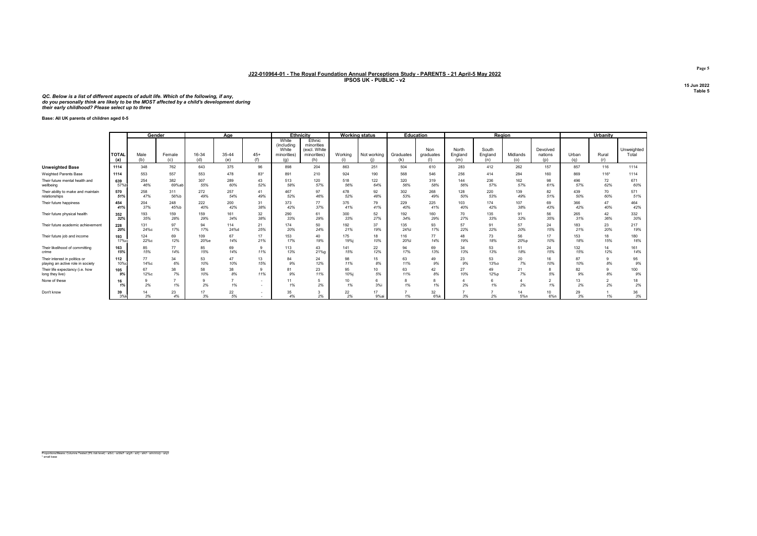QC. Below is a list of different aspects of adult life. Which of the following, if any,<br>do you personally think are likely to be the MOST affected by a child's development during<br>their early childhood? Please select up to

Base: All UK parents of children aged 0-5

|                                                    |                     | Gender      |               |              | Age          |                 |                                                           | Ethnicity                                                  |                | <b>Working status</b> |                  | <b>Education</b>        |                         |                         | Region          |                            |              | <b>Urbanity</b> |                     |
|----------------------------------------------------|---------------------|-------------|---------------|--------------|--------------|-----------------|-----------------------------------------------------------|------------------------------------------------------------|----------------|-----------------------|------------------|-------------------------|-------------------------|-------------------------|-----------------|----------------------------|--------------|-----------------|---------------------|
|                                                    | <b>TOTAL</b><br>(a) | Male<br>(b) | Female<br>(c) | 16-34<br>(d) | 35-44<br>(e) | $45+$<br>(f)    | White<br>(including<br>White<br>minorities)<br>$(\alpha)$ | Ethnic<br>minorities<br>(excl. White<br>minorities)<br>(h) | Working<br>(i) | Not working           | Graduates<br>(k) | Non<br>graduates<br>(1) | North<br>England<br>(m) | South<br>England<br>(n) | Midlands<br>(o) | Devolved<br>nations<br>(p) | Urban<br>(a) | Rural<br>(r)    | Unweighted<br>Total |
| <b>Unweighted Base</b>                             | 1114                | 348         | 762           | 643          | 375          | 96              | 898                                                       | 204                                                        | 863            | 251                   | 504              | 610                     | 283                     | 412                     | 262             | 157                        | 857          | 116             | 1114                |
| Weighted Parents Base                              | 1114                | 553         | 557           | 553          | 478          | 83*             | 891                                                       | 210                                                        | 924            | 190                   | 568              | 546                     | 256                     | 414                     | 284             | 160                        | 869          | $116*$          | 1114                |
| Their future mental health and                     | 639                 | 254         | 382           | 307          | 289          | 43              | 513                                                       | 120                                                        | 518            | 122                   | 320              | 319                     | 144                     | 236                     | 162             | 98                         | 496          | 72              | 671                 |
| wellbeing                                          | 57%b                | 46%         | 69%ab         | 55%          | 60%          | 52%             | 58%                                                       | 57%                                                        | 56%            | 64%                   | 56%              | 58%                     | 56%                     | 57%                     | 57%             | 61%                        | 57%          | 62%             | 60%                 |
| Their ability to make and maintain                 | 570                 | 258         | 311           | 272          | 257          | 41              | 467                                                       | 97                                                         | 478            | 92                    | 302              | 268                     | 128                     | 220                     | 139             | 82                         | 439          | 70              | 571                 |
| relationships                                      | 51%                 | 47%         | 56%b          | 49%          | 54%          | 49%             | 52%                                                       | 46%                                                        | 52%            | 48%                   | 53%              | 49%                     | 50%                     | 53%                     | 49%             | 51%                        | 50%          | 60%             | 51%                 |
| Their future happiness                             | 454                 | 204         | 248           | 222          | 200          | 31              | 373                                                       | 77                                                         | 375            | 79                    | 229              | 225                     | 103                     | 174                     | 107             | 69                         | 366          | 47              | 464                 |
|                                                    | 41%                 | 37%         | 45%b          | 40%          | 42%          | 38%             | 42%                                                       | 37%                                                        | 41%            | 41%                   | 40%              | 41%                     | 40%                     | 42%                     | 38%             | 43%                        | 42%          | 40%             | 42%                 |
| Their future physical health                       | 352                 | 193         | 159           | 159          | 161          | 32              | 290                                                       | 61                                                         | 300            | 52                    | 192              | 160                     | 70                      | 135                     | 91              | 56                         | 265          | 42              | 332                 |
|                                                    | 32%                 | 35%         | 28%           | 29%          | 34%          | 38%             | 33%                                                       | 29%                                                        | 33%            | 27%                   | 34%              | 29%                     | 27%                     | 33%                     | 32%             | 35%                        | 31%          | 36%             | 30%                 |
| Their future academic achievement                  | 228                 | 131         | 97            | 94           | 114          | 21              | 174                                                       | 50                                                         | 192            | 37                    | 135              | 93                      | 57                      | 91                      | 57              | 24                         | 183          | 23              | 217                 |
|                                                    | 20%                 | 24%с        | 17%           | 17%          | 24%d         | 25%             | 20%                                                       | 24%                                                        | 21%            | 19%                   | 24%              | 17%                     | 22%                     | 22%                     | 20%             | 15%                        | 21%          | 20%             | 19%                 |
| Their future job and income                        | 193                 | 124         | 69            | 109          | 67           | 17              | 153                                                       | 40                                                         | 175            | 18                    | 116              | 77                      | 48                      | 73                      | 56              | 17                         | 153          | 18              | 180                 |
|                                                    | 17%ci               | 22%с        | 12%           | 20%e         | 14%          | 21%             | 17%                                                       | 19%                                                        | 19%i           | 10%                   | 20%              | 14%                     | 19%                     | 18%                     | 20%p            | 10%                        | 18%          | 15%             | 16%                 |
| Their likelihood of committing                     | 163                 | 85          | 77            | 85           | 69           | $\Omega$        | 113                                                       | 43                                                         | 141            | 22                    | 94               | 69                      | 34                      | 53                      | 51              | 24                         | 132          | 14              | 161                 |
| crime                                              | 15%                 | 15%         | 14%           | 15%          | 14%          | 11%             | 13%                                                       | 21%g                                                       | 15%            | 12%                   | 17%              | 13%                     | 13%                     | 13%                     | 18%             | 15%                        | 15%          | 12%             | 14%                 |
| Their interest in politics or                      | 112                 | 77          | 34            | 53           | 47           | 13              | 84                                                        | 24                                                         | 98             | 15                    | 63               | 49                      | 23                      | 53                      | 20              | 16                         | 87           | 8%              | 95                  |
| playing an active role in society                  | 10%c                | 14%с        | 6%            | 10%          | 10%          | 15%             | 9%                                                        | 12%                                                        | 11%            | 8%                    | 11%              | 9%                      | 9%                      | <b>13%o</b>             | 7%              | 10%                        | 10%          |                 | 9%                  |
| Their life expectancy (i.e. how<br>long they live) | 105<br>9%           | 67<br>12%с  | 38<br>7%      | 58<br>10%    | 38<br>8%     | $\Omega$<br>11% | 81<br>9%                                                  | 23<br>11%                                                  | 95<br>10%i     | 10<br>5%              | 63<br>11%        | 42<br>8%                | 27<br>10%               | 49<br>12%p              | 21<br>7%        | 5%                         | 82<br>9%     | 8%              | 100<br>9%           |
| None of these                                      | 16<br>1%            | 2%          | 1%            | 9<br>2%      | 1%           |                 | 11<br>1%                                                  | 5<br>2%                                                    | 10<br>1%       | 3%i                   | 1%               | 1%                      | 2%                      | 1%                      | 2%              | 1%                         | 13<br>2%     | $\sim$<br>2%    | 18<br>2%            |
| Don't know                                         | 39<br>3%k           | 3%          | 23<br>4%      | 17<br>3%     | 22<br>5%     |                 | 35<br>4%                                                  | 3<br>2%                                                    | 22<br>2%       | 17<br>9%ai            | 1%               | 32<br>6%k               | 3%                      | 2%                      | 5%n             | 10<br>6%n                  | 29<br>3%     | 1%              | 36<br>3%            |

Proportions/Means: Columns Tested (5% risk level) - a/b/c - a/d/e/f - a/g/h - a/i/j - a/k/l - a/m/n/o/p - a/q/r \* small base

Page 5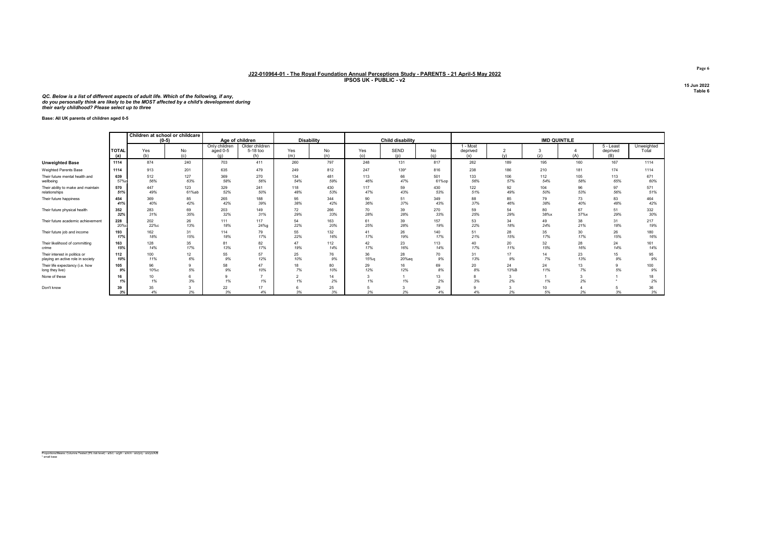QC. Below is a list of different aspects of adult life. Which of the following, if any,<br>do you personally think are likely to be the MOST affected by a child's development during<br>their early childhood? Please select up to

Base: All UK parents of children aged 0-5

|                                    |                     | Children at school or childcare | $(0-5)$   | Age of children                  |                                   | <b>Disability</b> |           |            | <b>Child disability</b> |           |                           |               | <b>IMD QUINTILE</b> |      |                              |                     |
|------------------------------------|---------------------|---------------------------------|-----------|----------------------------------|-----------------------------------|-------------------|-----------|------------|-------------------------|-----------|---------------------------|---------------|---------------------|------|------------------------------|---------------------|
|                                    | <b>TOTAL</b><br>(a) | Yes<br>(b)                      | No<br>(c) | Only children<br>aged 0-5<br>(a) | Older children<br>5-18 too<br>(h) | Yes<br>(m)        | No<br>(n) | Yes<br>(o) | <b>SEND</b><br>(p)      | No<br>(q) | - Most<br>deprived<br>(x) | $\sim$<br>(v) | (z)                 | (A)  | 5 - Least<br>deprived<br>(B) | Unweighted<br>Total |
| <b>Unweighted Base</b>             | 1114                | 874                             | 240       | 703                              | 411                               | 260               | 797       | 248        | 131                     | 817       | 262                       | 189           | 195                 | 160  | 167                          | 1114                |
| Weighted Parents Base              | 1114                | 913                             | 201       | 635                              | 479                               | 249               | 812       | 247        | 139*                    | 816       | 238                       | 186           | 210                 | 181  | 174                          | 1114                |
| Their future mental health and     | 639                 | 512                             | 127       | 369                              | 270                               | 134               | 481       | 113        | 66                      | 501       | 133                       | 106           | 112                 | 105  | 113                          | 671                 |
| wellbeing                          | 57%o                | 56%                             | 63%       | 58%                              | 56%                               | 54%               | 59%       | 46%        | 47%                     | 61%op     | 56%                       | 57%           | 54%                 | 58%  | 65%                          | 60%                 |
| Their ability to make and maintain | 570                 | 447                             | 123       | 329                              | 241                               | 118               | 430       | 117        | 59                      | 430       | 122                       | 92            | 104                 | 96   | 97                           | 571                 |
| relationships                      | 51%                 | 49%                             | 61%ab     | 52%                              | 50%                               | 48%               | 53%       | 47%        | 43%                     | 53%       | 51%                       | 49%           | 50%                 | 53%  | 56%                          | 51%                 |
| Their future happiness             | 454                 | 369                             | 85        | 265                              | 188                               | 95                | 344       | 90         | 51                      | 349       | 88                        | 85            | 79                  | 73   | 83                           | 464                 |
|                                    | 41%                 | 40%                             | 42%       | 42%                              | 39%                               | 38%               | 42%       | 36%        | 37%                     | 43%       | 37%                       | 46%           | 38%                 | 40%  | 48%                          | 42%                 |
| Their future physical health       | 352                 | 283                             | 69        | 203                              | 149                               | 72                | 266       | 70         | 39                      | 270       | 59                        | 54            | 80                  | 67   | 51                           | 332                 |
|                                    | 32%                 | 31%                             | 35%       | 32%                              | 31%                               | 29%               | 33%       | 28%        | 28%                     | 33%       | 25%                       | 29%           | 38%x                | 37%x | 29%                          | 30%                 |
| Their future academic achievement  | 228                 | 202                             | 26        | 111                              | 117                               | 54                | 163       | 61         | 39                      | 157       | 53                        | 34            | 49                  | 38   | 31                           | 217                 |
|                                    | 20%                 | 22%c                            | 13%       | 18%                              | 24%g                              | 22%               | 20%       | 25%        | 28%                     | 19%       | 22%                       | 18%           | 24%                 | 21%  | 18%                          | 19%                 |
| Their future job and income        | 193                 | 162                             | 31        | 114                              | 79                                | 55                | 132       | 41         | 26                      | 140       | 51                        | 28            | 35                  | 30   | 26                           | 180                 |
|                                    | 17%                 | 18%                             | 15%       | 18%                              | 17%                               | 22%               | 16%       | 17%        | 19%                     | 17%       | 21%                       | 15%           | 17%                 | 17%  | 15%                          | 16%                 |
| Their likelihood of committing     | 163                 | 128                             | 35        | 81                               | 82                                | 47                | 112       | 42         | 23                      | 113       | 40                        | 20            | 32                  | 28   | 24                           | 161                 |
| crime                              | 15%                 | 14%                             | 17%       | 13%                              | 17%                               | 19%               | 14%       | 17%        | 16%                     | 14%       | 17%                       | 11%           | 15%                 | 16%  | 14%                          | 14%                 |
| Their interest in politics or      | 112                 | 100                             | 12        | 55                               | 57                                | 25                | 76        | 36         | 28                      | 70        | 31                        | 17            | 14                  | 23   | 15                           | 95                  |
| playing an active role in society  | 10%                 | 11%                             | 6%        | 9%                               | 12%                               | 10%               | 9%        | 15%g       | 20%ag                   | 9%        | 13%                       | 9%            | 7%                  | 13%  | 9%                           | 9%                  |
| Their life expectancy (i.e. how    | 105                 | 96                              | 9         | 58                               | 47                                | 18                | 80        | 29         | 16                      | 69        | 20                        | 24            | 24                  | 13   | 5%                           | 100                 |
| long they live)                    | 9%                  | 10%с                            | 5%        | 9%                               | 10%                               | 7%                | 10%       | 12%        | 12%                     | 8%        | 8%                        | 13%B          | 11%                 | 7%   |                              | 9%                  |
| None of these                      | 16<br>1%            | 10 <sub>1</sub><br>1%           | 6<br>3%   | 1%                               | 1%                                | 1%                | 14<br>2%  | 1%         | 1%                      | 13<br>2%  | 8<br>3%                   | 3<br>2%       | 1%                  | 2%   |                              | 18<br>2%            |
| Don't know                         | 39<br>3%            | 35<br>4%                        | 2%        | 22<br>3%                         | 17<br>4%                          | 3%                | 25<br>3%  | 2%         | 2%                      | 29<br>4%  | $\Omega$<br>4%            | 2%            | 10<br>5%            | 2%   | 3%                           | 36<br>3%            |

Page 6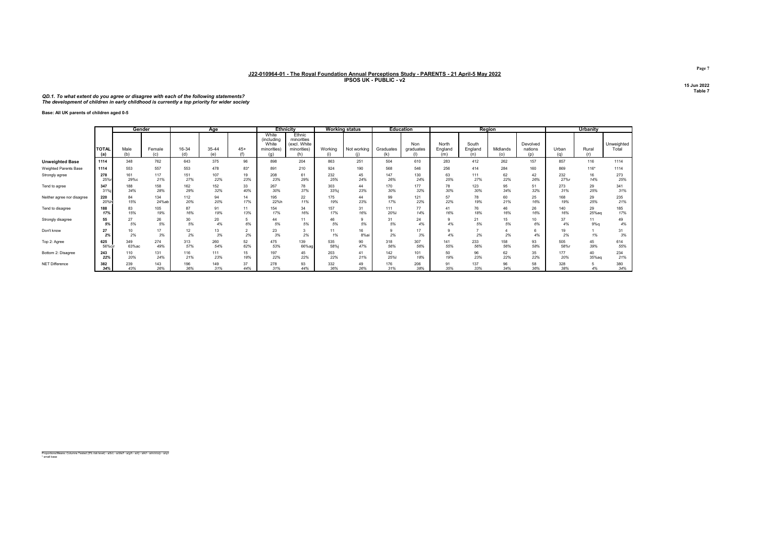#### QD.1. To what extent do you agree or disagree with each of the following statements? The development of children in early childhood is currently a top priority for wider society

Base: All UK parents of children aged 0-5

|                            |                     | Gender       |               |              | Age          |                      |                                                    | <b>Ethnicity</b>                                           |                | Working status |                  | <b>Education</b> |                         | Region                  |                 |                            |              | Urbanity     |                     |
|----------------------------|---------------------|--------------|---------------|--------------|--------------|----------------------|----------------------------------------------------|------------------------------------------------------------|----------------|----------------|------------------|------------------|-------------------------|-------------------------|-----------------|----------------------------|--------------|--------------|---------------------|
|                            | <b>TOTAL</b><br>(a) | Male<br>(b)  | Female<br>(c) | 16-34<br>(d) | 35-44<br>(e) | $45+$<br>$\sqrt{2}$  | White<br>(including<br>White<br>minorities)<br>(a) | Ethnic<br>minorities<br>(excl. White<br>minorities)<br>(h) | Working<br>(i) | Not working    | Graduates<br>(k) | Non<br>graduates | North<br>England<br>(m) | South<br>England<br>(n) | Midlands<br>(o) | Devolved<br>nations<br>(p) | Urban<br>(n) | Rural<br>(r) | Unweighted<br>Total |
| <b>Unweighted Base</b>     | 1114                | 348          | 762           | 643          | 375          | 96                   | 898                                                | 204                                                        | 863            | 251            | 504              | 610              | 283                     | 412                     | 262             | 157                        | 857          | 116          | 1114                |
| Weighted Parents Base      | 1114                | 553          | 557           | 553          | 478          | $83*$                | 891                                                | 210                                                        | 924            | 190            | 568              | 546              | 256                     | 414                     | 284             | 160                        | 869          | $116*$       | 1114                |
| Strongly agree             | 278<br>25%          | 161<br>29%c  | 117<br>21%    | 151<br>27%   | 107<br>22%   | 19<br>23%            | 208<br>23%                                         | 61<br>29%                                                  | 232<br>25%     | 45<br>24%      | 147<br>26%       | 130<br>24%       | 63<br>25%               | 111<br>27%              | 62<br>22%       | 42<br>26%                  | 232<br>27%r  | 16<br>14%    | 273<br>25%          |
| Tend to agree              | 347<br>31%          | 188<br>34%   | 158<br>28%    | 162<br>29%   | 152<br>32%   | 33<br>40%            | 267<br>30%                                         | 78<br>37%                                                  | 303<br>33%     | 44<br>23%      | 170<br>30%       | 177<br>32%       | 78<br>30%               | 123<br>30%              | 95<br>34%       | 51<br>32%                  | 273<br>31%   | 29<br>25%    | 341<br>31%          |
| Neither agree nor disagree | 220<br>20%          | 84<br>15%    | 134<br>24%ab  | 112<br>20%   | 94<br>20%    | 14<br>17%            | 195<br>22%h                                        | 22<br>11%                                                  | 175<br>19%     | 44<br>23%      | 99<br>17%        | 121<br>22%       | 57<br>22%               | 78<br>19%               | 60<br>21%       | 25<br>16%                  | 168<br>19%   | 29<br>25%    | 235<br>21%          |
| Tend to disagree           | 188<br>17%          | 83<br>15%    | 105<br>19%    | 87<br>16%    | 91<br>19%    | 11<br>13%            | 154<br>17%                                         | 34<br>16%                                                  | 157<br>17%     | 31<br>16%      | 111<br>20%       | 77<br>14%        | 41<br>16%               | 76<br>18%               | 46<br>16%       | 26<br>16%                  | 140<br>16%   | 29<br>25%aq  | 185<br>17%          |
| Strongly disagree          | 55<br>5%            | 27<br>5%     | 26<br>5%      | 30<br>5%     | 20<br>4%     | 6%                   | 44<br>5%                                           | 11<br>5%                                                   | 46<br>5%       | 9<br>5%        | 31<br>5%         | 24<br>4%         | 9<br>4%                 | 21<br>5%                | 15<br>5%        | 10<br>6%                   | 37<br>4%     | 11<br>9%q    | 49<br>4%            |
| Don't know                 | 27<br>2%            | 10<br>2%     | 17<br>3%      | 12<br>2%     | 13<br>3%     | $\overline{2}$<br>2% | 23<br>3%                                           | 2%                                                         | 11<br>1%       | 16<br>8%a      | 9<br>2%          | 17<br>3%         | 9<br>4%                 | 2%                      | 2%              | 6<br>4%                    | 19<br>2%     | 1%           | 31<br>3%            |
| Top 2: Agree               | 625<br>56%cj        | 349<br>63%ас | 274<br>49%    | 313<br>57%   | 260<br>54%   | 52<br>62%            | 475<br>53%                                         | 139<br>66%ag                                               | 535<br>58%     | 90<br>47%      | 318<br>56%       | 307<br>56%       | 141<br>55%              | 233<br>56%              | 158<br>56%      | 93<br>58%                  | 505<br>58%r  | 45<br>39%    | 614<br>55%          |
| Bottom 2: Disagree         | 243<br>22%          | 110<br>20%   | 131<br>24%    | 116<br>21%   | 111<br>23%   | 15<br>18%            | 197<br>22%                                         | 45<br>22%                                                  | 203<br>22%     | 41<br>21%      | 142<br>25%       | 101<br>18%       | 50<br>19%               | 96<br>23%               | 62<br>22%       | 35<br>22%                  | 177<br>20%   | 40<br>35%aq  | 234<br>21%          |
| NET Difference             | 382<br>34%          | 239<br>43%   | 143<br>26%    | 196<br>36%   | 149<br>31%   | 37<br>44%            | 278<br>31%                                         | 93<br>44%                                                  | 332<br>36%     | 49<br>26%      | 176<br>31%       | 206<br>38%       | 91<br>35%               | 137<br>33%              | 96<br>34%       | 58<br>36%                  | 328<br>38%   | 4%           | 380<br>34%          |

Proportions/Means: Columns Tested (5% risk level) - a/b/c - a/d/e/f - a/g/h - a/i/j - a/k/l - a/m/n/o/p - a/q/r \* small base

Page 7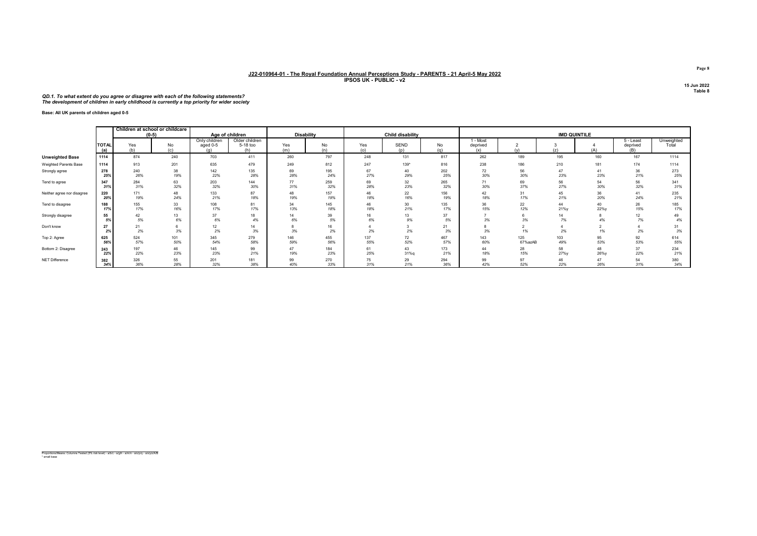#### QD.1. To what extent do you agree or disagree with each of the following statements? The development of children in early childhood is currently a top priority for wider society

Base: All UK parents of children aged 0-5

|                            |                     | Children at school or childcare<br>$(0-5)$ |            |                                  | Age of children                   |            | <b>Disability</b> |            | Child disability |            |                             |                |            | <b>IMD QUINTILE</b> |                              |                     |
|----------------------------|---------------------|--------------------------------------------|------------|----------------------------------|-----------------------------------|------------|-------------------|------------|------------------|------------|-----------------------------|----------------|------------|---------------------|------------------------------|---------------------|
|                            | <b>TOTAL</b><br>(a) | Yes<br>(b)                                 | No<br>(c)  | Only children<br>aged 0-5<br>(a) | Older children<br>5-18 too<br>(h) | Yes<br>(m) | No<br>(n)         | Yes<br>(o) | SEND<br>(n)      | No<br>(q)  | 1 - Most<br>deprived<br>(x) |                | (7)        | (A)                 | 5 - Least<br>deprived<br>(B) | Unweighted<br>Total |
| <b>Unweighted Base</b>     | 1114                | 874                                        | 240        | 703                              | 411                               | 260        | 797               | 248        | 131              | 817        | 262                         | 189            | 195        | 160                 | 167                          | 1114                |
| Weighted Parents Base      | 1114                | 913                                        | 201        | 635                              | 479                               | 249        | 812               | 247        | 139*             | 816        | 238                         | 186            | 210        | 181                 | 174                          | 1114                |
| Strongly agree             | 278<br>25%          | 240<br>26%                                 | 38<br>19%  | 142<br>22%                       | 135<br>28%                        | 69<br>28%  | 195<br>24%        | 67<br>27%  | 40<br>29%        | 202<br>25% | 72<br>30%                   | 56<br>30%      | 47<br>23%  | 41<br>23%           | 36<br>21%                    | 273<br>25%          |
| Tend to agree              | 347<br>31%          | 284<br>31%                                 | 63<br>32%  | 203<br>32%                       | 144<br>30%                        | 77<br>31%  | 259<br>32%        | 69<br>28%  | 32<br>23%        | 265<br>32% | 71<br>30%                   | 69<br>37%      | 56<br>27%  | 54<br>30%           | 56<br>32%                    | 341<br>31%          |
| Neither agree nor disagree | 220<br>20%          | 171<br>19%                                 | 48<br>24%  | 133<br>21%                       | 87<br>18%                         | 48<br>19%  | 157<br>19%        | 46<br>18%  | 22<br>16%        | 156<br>19% | 42<br>18%                   | 31<br>17%      | 45<br>21%  | 36<br>20%           | 41<br>24%                    | 235<br>21%          |
| Tend to disagree           | 188<br>17%          | 155<br>17%                                 | 33<br>16%  | 108<br>17%                       | 81<br>17%                         | 34<br>13%  | 145<br>18%        | 46<br>18%  | 30<br>21%        | 135<br>17% | 36<br>15%                   | 22<br>12%      | 44<br>21%y | 40<br>22%v          | 26<br>15%                    | 185<br>17%          |
| Strongly disagree          | 55<br>5%            | 42<br>5%                                   | 13<br>6%   | 37<br>6%                         | 18<br>4%                          | 14<br>6%   | 39<br>5%          | 16<br>6%   | 13<br>9%         | 37<br>5%   | 3%                          | 3%             | 14<br>7%   | 4%                  | 12<br>7%                     | 49<br>4%            |
| Don't know                 | 27<br>2%            | 21<br>2%                                   | 3%         | 12<br>2%                         | 14<br>3%                          | 3%         | 16<br>2%          | 2%         | 2%               | 21<br>3%   | 3%                          | 1%             | 4<br>2%    | 1%                  | 2%                           | 31<br>3%            |
| Top 2: Agree               | 625<br>56%          | 524<br>57%                                 | 101<br>50% | 345<br>54%                       | 279<br>58%                        | 146<br>59% | 455<br>56%        | 137<br>55% | 72<br>52%        | 467<br>57% | 143<br>60%                  | 125<br>67%azAB | 103<br>49% | 95<br>53%           | 92<br>53%                    | 614<br>55%          |
| Bottom 2: Disagree         | 243<br>22%          | 197<br>22%                                 | 46<br>23%  | 145<br>23%                       | 99<br>21%                         | 47<br>19%  | 184<br>23%        | 61<br>25%  | 43<br>31%g       | 173<br>21% | 44<br>18%                   | 28<br>15%      | 58<br>27%y | 48<br>26%y          | 37<br>22%                    | 234<br>21%          |
| NET Difference             | 382<br>34%          | 326<br>36%                                 | 55<br>28%  | 201<br>32%                       | 181<br>38%                        | 99<br>40%  | 270<br>33%        | 75<br>31%  | 29<br>21%        | 294<br>36% | 99<br>42%                   | 97<br>52%      | 46<br>22%  | 26%                 | 54<br>31%                    | 380<br>34%          |

Proportions/Means: Columns Tested (5% risk level) - a/b/c - a/g/h - a/m/n - a/o/p/q - a/x/y/z/A/B \* small base

Page 8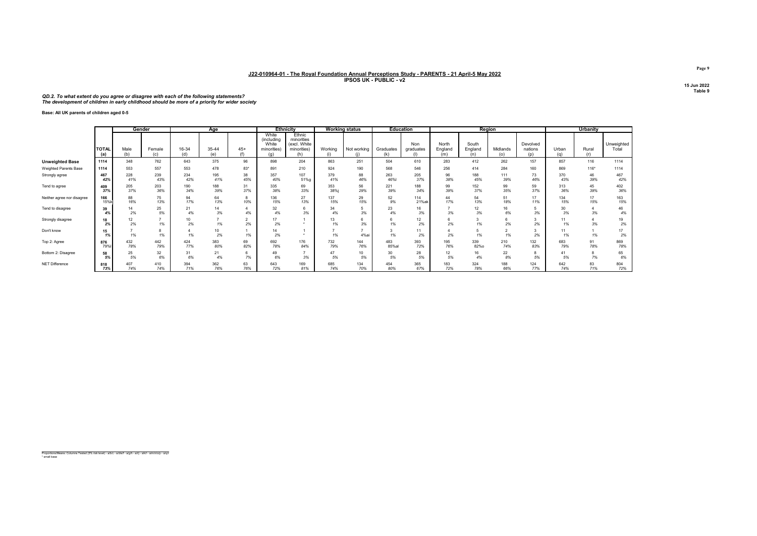#### QD.2. To what extent do you agree or disagree with each of the following statements? The development of children in early childhood should be more of a priority for wider society

Base: All UK parents of children aged 0-5

|                            |                     |             | Gender        |              | Age                   |                      |                                             | <b>Ethnicity</b>                                           |                | <b>Working status</b> | <b>Education</b>  |                                |                         | Region                  |                 |                            |              | <b>Urbanity</b> |                     |
|----------------------------|---------------------|-------------|---------------|--------------|-----------------------|----------------------|---------------------------------------------|------------------------------------------------------------|----------------|-----------------------|-------------------|--------------------------------|-------------------------|-------------------------|-----------------|----------------------------|--------------|-----------------|---------------------|
|                            | <b>TOTAL</b><br>(a) | Male<br>(b) | Female<br>(c) | 16-34<br>(d) | 35-44<br>(e)          | $45+$<br>(f)         | White<br>(including<br>White<br>minorities) | Ethnic<br>minorities<br>(excl. White<br>minorities)<br>(h) | Working<br>(i) | Not working           | Graduates<br>(k)  | Non<br>graduates<br>$\sqrt{1}$ | North<br>England<br>(m) | South<br>England<br>(n) | Midlands<br>(o) | Devolved<br>nations<br>(p) | Urban<br>(n) | Rural<br>(r)    | Unweighted<br>Total |
| <b>Unweighted Base</b>     | 1114                | 348         | 762           | 643          | 375                   | 96                   | 898                                         | 204                                                        | 863            | 251                   | 504               | 610                            | 283                     | 412                     | 262             | 157                        | 857          | 116             | 1114                |
| Weighted Parents Base      | 1114                | 553         | 557           | 553          | 478                   | 83*                  | 891                                         | 210                                                        | 924            | 190                   | 568               | 546                            | 256                     | 414                     | 284             | 160                        | 869          | 116*            | 1114                |
| Strongly agree             | 467<br>42%          | 228<br>41%  | 239<br>43%    | 234<br>42%   | 195<br>41%            | 38<br>45%            | 357<br>40%                                  | 107<br>51%g                                                | 379<br>41%     | 88<br>46%             | 263<br>46%        | 205<br>37%                     | 96<br>38%               | 188<br>45%              | 111<br>39%      | 73<br>46%                  | 370<br>43%   | 46<br>39%       | 467<br>42%          |
| Tend to agree              | 409<br>37%          | 205<br>37%  | 203<br>36%    | 190<br>34%   | 188<br>39%            | 31<br>37%            | 335<br>38%                                  | 69<br>33%                                                  | 353<br>38%i    | 56<br>29%             | 221<br>39%        | 188<br>34%                     | 99<br>39%               | 152<br>37%              | 99<br>35%       | 59<br>37%                  | 313<br>36%   | 45<br>39%       | 402<br>36%          |
| Neither agree nor disagree | 166<br>15%          | 88<br>16%   | 75<br>13%     | 94<br>17%    | 64<br>13%             | 10%                  | 136<br>15%                                  | 27<br>13%                                                  | 137<br>15%     | 29<br>15%             | 52<br>9%          | 114<br>21%ak                   | 44<br>17%               | 54<br>13%               | 51<br>18%       | 17<br>11%                  | 134<br>15%   | 17<br>15%       | 163<br>15%          |
| Tend to disagree           | 39<br>4%            | 14<br>2%    | 25<br>5%      | 21<br>4%     | 14<br>3%              | 4%                   | 32<br>4%                                    | 3%                                                         | 34<br>4%       | 5<br>3%               | 23<br>4%          | 16<br>3%                       | 3%                      | 12<br>3%                | 16<br>6%        | 3%                         | 30<br>3%     | 3%              | 46<br>4%            |
| Strongly disagree          | 18<br>2%            | 12<br>2%    | 1%            | 10<br>2%     | $\mathbf{r}$<br>1%    | $\overline{2}$<br>2% | 17<br>2%                                    |                                                            | 13<br>1%       | 6<br>3%               | $6^{\circ}$<br>1% | 12<br>2%                       | 6<br>2%                 | 3<br>1%                 | 2%              | 3<br>2%                    | 11<br>1%     | 3%              | 19<br>2%            |
| Don't know                 | 15<br>1%            | 1%          | 1%            | 1%           | 10 <sub>1</sub><br>2% | 1%                   | 14<br>2%                                    |                                                            | 1%             | 4%ai                  | 3<br>1%           | 11<br>2%                       | 4<br>2%                 | 1%                      | $\sim$<br>1%    | 2%                         | 11<br>1%     | 1%              | 17<br>2%            |
| Top 2: Agree               | 876<br>79%          | 432<br>78%  | 442<br>79%    | 424<br>77%   | 383<br>80%            | 69<br>82%            | 692<br>78%                                  | 176<br>84%                                                 | 732<br>79%     | 144<br>76%            | 483<br>85%al      | 393<br>72%                     | 195<br>76%              | 339<br>82%o             | 210<br>74%      | 132<br>83%                 | 683<br>79%   | 91<br>78%       | 869<br>78%          |
| Bottom 2: Disagree         | 58<br>5%            | 25<br>5%    | 32<br>6%      | 31<br>6%     | 21<br>4%              | 6<br>7%              | 49<br>6%                                    | 3%                                                         | 47<br>5%       | 10<br>5%              | 30<br>5%          | 28<br>5%                       | 12<br>5%                | 16<br>4%                | 22<br>8%        | 8<br>5%                    | 41<br>5%     | 8<br>7%         | 65<br>6%            |
| NET Difference             | 818<br>73%          | 407<br>74%  | 410<br>74%    | 394<br>71%   | 362<br>76%            | 63<br>76%            | 643<br>72%                                  | 169<br>81%                                                 | 685<br>74%     | 134<br>70%            | 454<br>80%        | 365<br>67%                     | 183<br>72%              | 324<br>78%              | 188<br>66%      | 124<br>77%                 | 642<br>74%   | 83<br>71%       | 804<br>72%          |

Proportions/Means: Columns Tested (5% risk level) - a/b/c - a/d/e/f - a/g/h - a/i/j - a/k/l - a/m/n/o/p - a/q/r \* small base

Page 9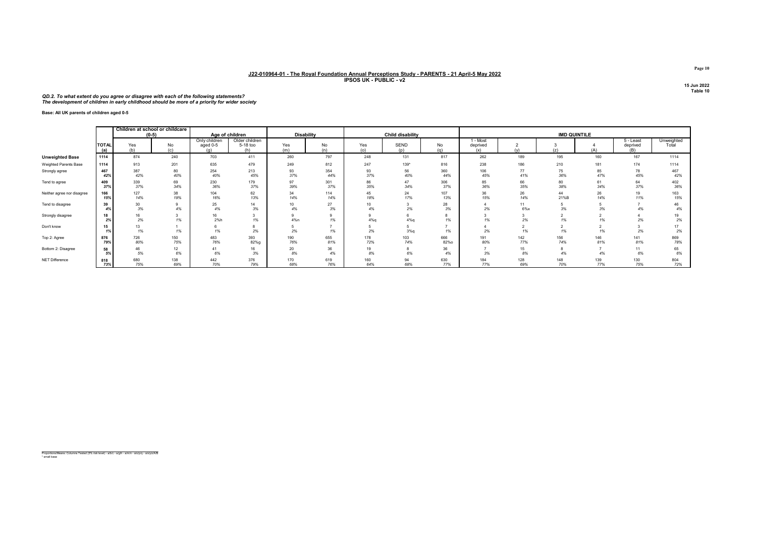#### QD.2. To what extent do you agree or disagree with each of the following statements? The development of children in early childhood should be more of a priority for wider society

Base: All UK parents of children aged 0-5

|                            |                        | Children at school or childcare<br>$(0-5)$ |            | Age of children                  |                                   |                        | Disability |            | Child disability   |             |                             |              |            | <b>IMD QUINTILE</b> |                              |                     |
|----------------------------|------------------------|--------------------------------------------|------------|----------------------------------|-----------------------------------|------------------------|------------|------------|--------------------|-------------|-----------------------------|--------------|------------|---------------------|------------------------------|---------------------|
|                            | TOTAL<br>(a)           | Yes<br>(b)                                 | No<br>(c)  | Only children<br>aged 0-5<br>(a) | Older children<br>5-18 too<br>(h) | Yes<br>(m)             | No<br>(n)  | Yes<br>(o) | <b>SEND</b><br>(n) | No<br>(q)   | 1 - Most<br>deprived<br>(x) | $\omega$     | (z)        | (A)                 | 5 - Least<br>deprived<br>(B) | Unweighted<br>Total |
| <b>Unweighted Base</b>     | 1114                   | 874                                        | 240        | 703                              | 411                               | 260                    | 797        | 248        | 131                | 817         | 262                         | 189          | 195        | 160                 | 167                          | 1114                |
| Weighted Parents Base      | 1114                   | 913                                        | 201        | 635                              | 479                               | 249                    | 812        | 247        | $139*$             | 816         | 238                         | 186          | 210        | 181                 | 174                          | 1114                |
| Strongly agree             | 467<br>42%             | 387<br>42%                                 | 80<br>40%  | 254<br>40%                       | 213<br>45%                        | 93<br>37%              | 354<br>44% | 93<br>37%  | 56<br>40%          | 360<br>44%  | 106<br>45%                  | 77<br>41%    | 75<br>36%  | 85<br>47%           | 78<br>45%                    | 467<br>42%          |
| Tend to agree              | 409<br>37 <sup>°</sup> | 339<br>37%                                 | 69<br>34%  | 230<br>36%                       | 179<br>37%                        | 97<br>39%              | 301<br>37% | 86<br>35%  | 47<br>34%          | 306<br>37%  | 85<br>36%                   | 66<br>35%    | 80<br>38%  | 61<br>34%           | 64<br>37%                    | 402<br>36%          |
| Neither agree nor disagree | 166<br>15%             | 127<br>14%                                 | 38<br>19%  | 104<br>16%                       | 62<br>13%                         | 34<br>14%              | 114<br>14% | 45<br>18%  | 24<br>17%          | 107<br>13%  | 36<br>15%                   | 26<br>14%    | 44<br>21%B | 26<br>14%           | 19<br>11%                    | 163<br>15%          |
| Tend to disagree           | 39<br>4%               | 30<br>3%                                   | 4%         | 25<br>4%                         | 14<br>3%                          | 10 <sup>10</sup><br>4% | 27<br>3%   | 10<br>4%   | 2%                 | 28<br>3%    | 2%                          | 11<br>$6\%x$ | 3%         | 3%                  |                              | 46<br>4%            |
| Strongly disagree          | 2%                     | 16<br>2%                                   | 1%         | 16<br>2%h                        | 1%                                | 4%n                    | 1%         | 4%q        | 4%q                | 1%          |                             | -3<br>$2\%$  | 1%         | 1%                  | 2%                           | 19<br>2%            |
| Don't know                 | 15                     | 13<br>1%                                   | 1%         | 1%                               | 2%                                | 2%                     | 1%         | 2%         | 3%q                | 1%          | 2%                          | 1%           | 1%         | 1%                  | 2%                           | 17<br>2%            |
| Top 2: Agree               | 876<br>79%             | 726<br>80%                                 | 150<br>75% | 483<br>76%                       | 393<br>82%g                       | 190<br>76%             | 655<br>81% | 178<br>72% | 103<br>74%         | 666<br>82%o | 191<br>80%                  | 142<br>77%   | 156<br>74% | 146<br>81%          | 141<br>81%                   | 869<br>78%          |
| Bottom 2: Disagree         | 58<br>5%               | 46<br>5%                                   | 12<br>6%   | 41<br>6%                         | 16<br>3%                          | 20<br>8%               | 36<br>4%   | 19<br>8%   | 6%                 | 36<br>4%    | 3%                          | 15<br>8%     | 4%         | 4%                  | 11<br>6%                     | 65<br>6%            |
| NET Difference             | 818<br>73%             | 680<br>75%                                 | 138<br>69% | 442<br>70%                       | 376<br>79%                        | 170<br>68%             | 619<br>76% | 160<br>64% | 94<br>68%          | 630<br>77%  | 184<br>77%                  | 128<br>69%   | 148<br>70% | 139<br>77%          | 130<br>75%                   | 804<br>72%          |

Proportions/Means: Columns Tested (5% risk level) - a/b/c - a/g/h - a/m/n - a/o/p/q - a/x/y/z/A/B \* small base

Page 10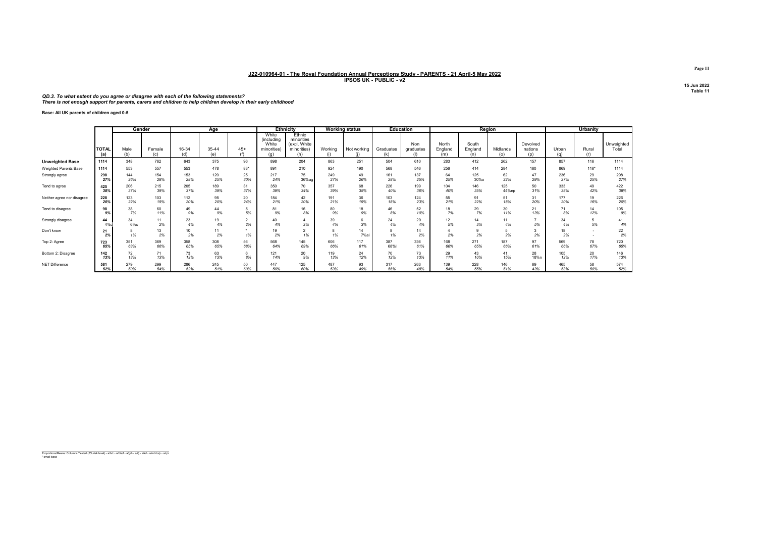#### QD.3. To what extent do you agree or disagree with each of the following statements? There is not enough support for parents, carers and children to help children develop in their early childhood

Base: All UK parents of children aged 0-5

|                            |                     |             | Gender        |                       | Age          |               |                                                    | <b>Ethnicity</b>                                           |                | <b>Working status</b> |                  | <b>Education</b>        |                         | Region                  |                 |                            |              | Urbanity     |                     |
|----------------------------|---------------------|-------------|---------------|-----------------------|--------------|---------------|----------------------------------------------------|------------------------------------------------------------|----------------|-----------------------|------------------|-------------------------|-------------------------|-------------------------|-----------------|----------------------------|--------------|--------------|---------------------|
|                            | <b>TOTAL</b><br>(a) | Male<br>(b) | Female<br>(c) | 16-34<br>(d)          | 35-44<br>(e) | $45+$<br>(f)  | White<br>(including<br>White<br>minorities)<br>(a) | Ethnic<br>minorities<br>(excl. White<br>minorities)<br>(h) | Working<br>(i) | Not working<br>(i)    | Graduates<br>(k) | Non<br>graduates<br>(1) | North<br>England<br>(m) | South<br>England<br>(n) | Midlands<br>(o) | Devolved<br>nations<br>(p) | Urban<br>(q) | Rural<br>(r) | Unweighted<br>Total |
| <b>Unweighted Base</b>     | 1114                | 348         | 762           | 643                   | 375          | 96            | 898                                                | 204                                                        | 863            | 251                   | 504              | 610                     | 283                     | 412                     | 262             | 157                        | 857          | 116          | 1114                |
| Weighted Parents Base      | 1114                | 553         | 557           | 553                   | 478          | $83*$         | 891                                                | 210                                                        | 924            | 190                   | 568              | 546                     | 256                     | 414                     | 284             | 160                        | 869          | $116*$       | 1114                |
| Strongly agree             | 298                 | 144         | 154           | 153                   | 120          | 25            | 217                                                | 75                                                         | 249            | 49                    | 161              | 137                     | 64                      | 125                     | 62              | 47                         | 236          | 29           | 298                 |
|                            | 27%                 | 26%         | 28%           | 28%                   | 25%          | 30%           | 24%                                                | 36%ag                                                      | 27%            | 26%                   | 28%              | 25%                     | 25%                     | 30%o                    | 22%             | 29%                        | 27%          | 25%          | 27%                 |
| Tend to agree              | 425                 | 206         | 215           | 205                   | 189          | 31            | 350                                                | 70                                                         | 357            | 68                    | 226              | 199                     | 104                     | 146                     | 125             | 50                         | 333          | 49           | 422                 |
|                            | 38%                 | 37%         | 39%           | 37%                   | 39%          | 37%           | 39%                                                | 34%                                                        | 39%            | 35%                   | 40%              | 36%                     | 40%                     | 35%                     | 44%np           | 31%                        | 38%          | 42%          | 38%                 |
| Neither agree nor disagree | 228                 | 123         | 103           | 112                   | 95           | 20            | 184                                                | 42                                                         | 191            | 36                    | 103              | 124                     | 55                      | 91                      | 51              | 31                         | 177          | 19           | 226                 |
|                            | 20%                 | 22%         | 19%           | 20%                   | 20%          | 24%           | 21%                                                | 20%                                                        | 21%            | 19%                   | 18%              | 23%                     | 21%                     | 22%                     | 18%             | 20%                        | 20%          | 16%          | 20%                 |
| Tend to disagree           | 98                  | 38          | 60            | 49                    | 44           | 5             | 81                                                 | 16                                                         | 80             | 18                    | 46               | 52                      | 18                      | 29                      | 30              | 21                         | 71           | 14           | 105                 |
|                            | 9%                  | 7%          | 11%           | 9%                    | 9%           | 5%            | 9%                                                 | 8%                                                         | 9%             | 9%                    | 8%               | 10%                     | 7%                      | 7%                      | 11%             | 13%                        | 8%           | 12%          | 9%                  |
| Strongly disagree          | 44<br>4%с           | 34<br>6%с   | 11<br>2%      | 23<br>4%              | 19<br>4%     | 2<br>2%       | 40<br>4%                                           | 2%                                                         | 39<br>4%       | 6<br>3%               | 24<br>4%         | 20<br>4%                | 12<br>5%                | 14<br>3%                | 11<br>4%        | $\overline{ }$<br>5%       | 34<br>4%     | 5<br>5%      | 41<br>4%            |
| Don't know                 | 21<br>2%            | 1%          | 13<br>2%      | 10 <sup>1</sup><br>2% | 11<br>2%     | $\star$<br>1% | 19<br>2%                                           | 1%                                                         | 1%             | 14<br>7%a             | 8<br>1%          | 14<br>2%                | 2%                      | 2%                      | 5<br>2%         | 3<br>2%                    | 18<br>2%     |              | 22<br>2%            |
| Top 2: Agree               | 723                 | 351         | 369           | 358                   | 308          | 56            | 568                                                | 145                                                        | 606            | 117                   | 387              | 336                     | 168                     | 271                     | 187             | 97                         | 569          | 78           | 720                 |
|                            | 65%                 | 63%         | 66%           | 65%                   | 65%          | 68%           | 64%                                                | 69%                                                        | 66%            | 61%                   | 68%              | 61%                     | 66%                     | 65%                     | 66%             | 61%                        | 66%          | 67%          | 65%                 |
| Bottom 2: Disagree         | 142                 | 72          | 71            | 73                    | 63           | 6             | 121                                                | 20                                                         | 119            | 24                    | 70               | 73                      | 29                      | 43                      | 41              | 28                         | 105          | 20           | 146                 |
|                            | 13%                 | 13%         | 13%           | 13%                   | 13%          | 8%            | 14%                                                | 9%                                                         | 13%            | 12%                   | 12%              | 13%                     | 11%                     | 10%                     | 15%             | 18%n                       | 12%          | 17%          | 13%                 |
| NET Difference             | 581                 | 279         | 299           | 286                   | 245          | 50            | 447                                                | 125                                                        | 487            | 93                    | 317              | 263                     | 139                     | 228                     | 146             | 69                         | 465          | 58           | 574                 |
|                            | 52%                 | 50%         | 54%           | 52%                   | 51%          | 60%           | 50%                                                | 60%                                                        | 53%            | 49%                   | 56%              | 48%                     | 54%                     | 55%                     | 51%             | 43%                        | 53%          | 50%          | 52%                 |

Proportions/Means: Columns Tested (5% risk level) - a/b/c - a/d/e/f - a/g/h - a/i/j - a/k/l - a/m/n/o/p - a/q/r \* small base

Page 11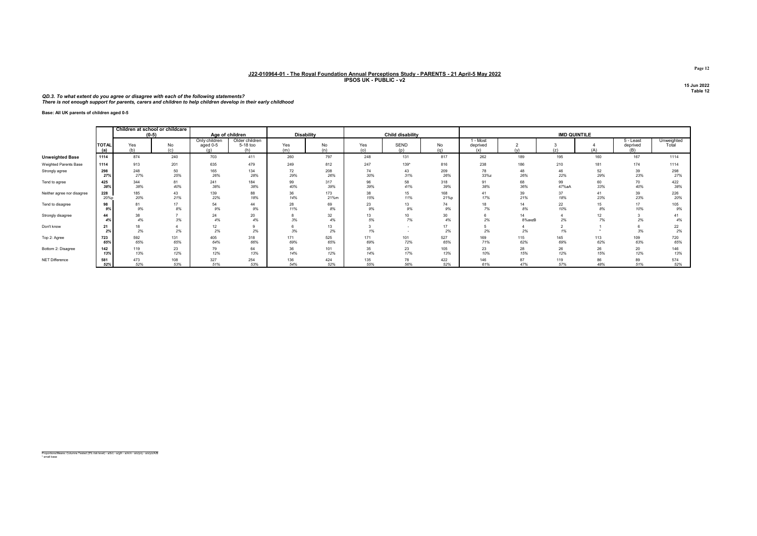#### QD.3. To what extent do you agree or disagree with each of the following statements? There is not enough support for parents, carers and children to help children develop in their early childhood

Base: All UK parents of children aged 0-5

|                            |                     | Children at school or childcare<br>$(0-5)$ |           |                                  | Age of children                   |            | <b>Disability</b> |            | <b>Child disability</b> |           |                             |              | <b>IMD QUINTILE</b>  |          |                              |                     |
|----------------------------|---------------------|--------------------------------------------|-----------|----------------------------------|-----------------------------------|------------|-------------------|------------|-------------------------|-----------|-----------------------------|--------------|----------------------|----------|------------------------------|---------------------|
|                            | <b>TOTAL</b><br>(a) | Yes<br>(b)                                 | No<br>(c) | Only children<br>aged 0-5<br>(a) | Older children<br>5-18 too<br>(h) | Yes<br>(m) | No<br>(n)         | Yes<br>(o) | <b>SEND</b><br>(p)      | No<br>(q) | 1 - Most<br>deprived<br>(x) |              | (z)                  | (A)      | 5 - Least<br>deprived<br>(B) | Unweighted<br>Total |
| <b>Unweighted Base</b>     | 1114                | 874                                        | 240       | 703                              | 411                               | 260        | 797               | 248        | 131                     | 817       | 262                         | 189          | 195                  | 160      | 167                          | 1114                |
| Weighted Parents Base      | 1114                | 913                                        | 201       | 635                              | 479                               | 249        | 812               | 247        | 139*                    | 816       | 238                         | 186          | 210                  | 181      | 174                          | 1114                |
| Strongly agree             | 298                 | 248                                        | 50        | 165                              | 134                               | 72         | 208               | 74         | 43                      | 209       | 78                          | 48           | 46                   | 52       | 39                           | 298                 |
|                            | 27%                 | 27%                                        | 25%       | 26%                              | 28%                               | 29%        | 26%               | 30%        | 31%                     | 26%       | 33%z                        | 26%          | 22%                  | 29%      | 23%                          | 27%                 |
| Tend to agree              | 425                 | 344                                        | 81        | 241                              | 184                               | 99         | 317               | 96         | 58                      | 318       | 91                          | 68           | 99                   | 60       | 70                           | 422                 |
|                            | 38%                 | 38%                                        | 40%       | 38%                              | 38%                               | 40%        | 39%               | 39%        | 41%                     | 39%       | 38%                         | 36%          | 47%aA                | 33%      | 40%                          | 38%                 |
| Neither agree nor disagree | 228                 | 185                                        | 43        | 139                              | 88                                | 36         | 173               | 38         | 15                      | 168       | 41                          | 39           | 37                   | 41       | 39                           | 226                 |
|                            | 20%p                | 20%                                        | 21%       | 22%                              | 18%                               | 14%        | 21%m              | 15%        | 11%                     | 21%p      | 17%                         | 21%          | 18%                  | 23%      | 23%                          | 20%                 |
| Tend to disagree           | 98                  | 81                                         | 17        | 54                               | 44                                | 28         | 69                | 23         | 13                      | 74        | 18                          | 14           | 22                   | 15       | 17                           | 105                 |
|                            | 9%                  | 9%                                         | 8%        | 9%                               | 9%                                | 11%        | 8%                | 9%         | 9%                      | 9%        | 7%                          | 8%           | 10%                  | 8%       | 10%                          | 9%                  |
| Strongly disagree          | 44<br>4%            | 38<br>4%                                   | 3%        | 24<br>4%                         | 20<br>4%                          | 3%         | 32<br>4%          | 13<br>5%   | 10<br>7%                | 30<br>4%  | 2%                          | 14<br>8%axzB | 4<br>2%              | 12<br>7% | 2%                           | 41<br>4%            |
| Don't know                 | 21<br>2%            | 18<br>2%                                   | 2%        | 12<br>2%                         | 2%                                | 3%         | 13<br>2%          | 1%         |                         | 17<br>2%  | 2%                          | 2%           | $\overline{2}$<br>1% |          | 3%                           | 22<br>2%            |
| Top 2: Agree               | 723                 | 592                                        | 131       | 405                              | 318                               | 171        | 525               | 171        | 101                     | 527       | 169                         | 115          | 145                  | 113      | 109                          | 720                 |
|                            | 65%                 | 65%                                        | 65%       | 64%                              | 66%                               | 69%        | 65%               | 69%        | 72%                     | 65%       | 71%                         | 62%          | 69%                  | 62%      | 63%                          | 65%                 |
| Bottom 2: Disagree         | 142                 | 119                                        | 23        | 79                               | 64                                | 36         | 101               | 35         | 23                      | 105       | 23                          | 28           | 26                   | 26       | 20                           | 146                 |
|                            | 13%                 | 13%                                        | 12%       | 12%                              | 13%                               | 14%        | 12%               | 14%        | 17%                     | 13%       | 10%                         | 15%          | 12%                  | 15%      | 12%                          | 13%                 |
| NET Difference             | 581                 | 473                                        | 108       | 327                              | 254                               | 136        | 424               | 135        | 78                      | 422       | 146                         | 87           | 119                  | 86       | 89                           | 574                 |
|                            | 52%                 | 52%                                        | 53%       | 51%                              | 53%                               | 54%        | 52%               | 55%        | 56%                     | 52%       | 61%                         | 47%          | 57%                  | 48%      | 51%                          | 52%                 |

Proportions/Means: Columns Tested (5% risk level) - a/b/c - a/g/h - a/m/n - a/o/p/q - a/x/y/z/A/B \* small base

Page 12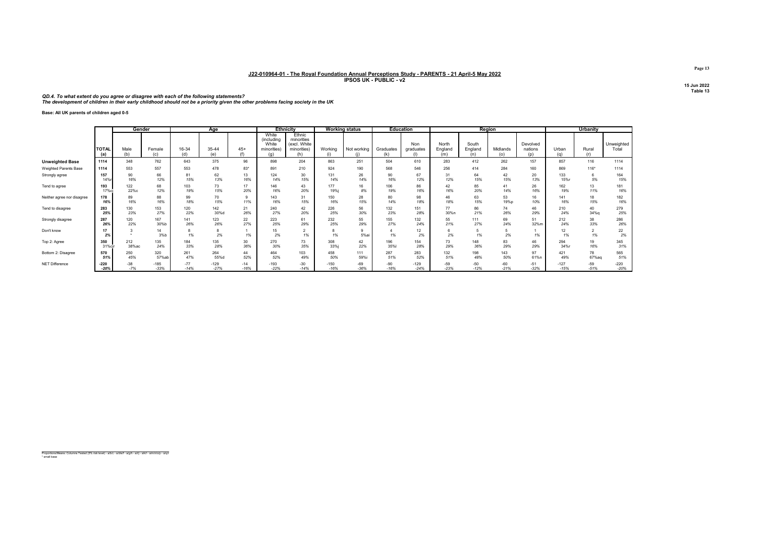QD.4. To what extent do you agree or disagree with each of the following statements?<br>The development of children in their early childhood should not be a priority given the other problems facing society in the UK

Base: All UK parents of children aged 0-5

|                            |              | Gender      |               | Age          |             |                     | <b>Ethnicity</b>                                   |                                                            | <b>Working status</b> |             | <b>Education</b>     |                  | Region                  |                         |                 |                            | <b>Urbanity</b> |                      |                     |
|----------------------------|--------------|-------------|---------------|--------------|-------------|---------------------|----------------------------------------------------|------------------------------------------------------------|-----------------------|-------------|----------------------|------------------|-------------------------|-------------------------|-----------------|----------------------------|-----------------|----------------------|---------------------|
|                            | TOTAL<br>(a) | Male<br>(b) | Female<br>(c) | 16-34<br>(d) | 35-44<br>(۵ | $45+$<br>$\sqrt{f}$ | White<br>(including<br>White<br>minorities)<br>(a) | Ethnic<br>minorities<br>(excl. White<br>minorities)<br>(h) | Working<br>(i)        | Not working | Graduates<br>(k)     | Non<br>graduates | North<br>England<br>(m) | South<br>England<br>(n) | Midlands<br>(o) | Devolved<br>nations<br>(p) | Urban<br>(n)    | Rural<br>(r)         | Unweighted<br>Total |
| <b>Unweighted Base</b>     | 1114         | 348         | 762           | 643          | 375         | 96                  | 898                                                | 204                                                        | 863                   | 251         | 504                  | 610              | 283                     | 412                     | 262             | 157                        | 857             | 116                  | 1114                |
| Weighted Parents Base      | 1114         | 553         | 557           | 553          | 478         | $83*$               | 891                                                | 210                                                        | 924                   | 190         | 568                  | 546              | 256                     | 414                     | 284             | 160                        | 869             | $116*$               | 1114                |
| Strongly agree             | 157          | 90          | 66            | 81           | 62          | 13                  | 124                                                | 30                                                         | 131                   | 26          | 90                   | 67               | 31                      | 64                      | 42              | 20                         | 133             | 6                    | 164                 |
|                            | 14%          | 16%         | 12%           | 15%          | 13%         | 16%                 | 14%                                                | 15%                                                        | 14%                   | 14%         | 16%                  | 12%              | 12%                     | 15%                     | 15%             | 13%                        | 15%r            | 5%                   | 15%                 |
| Tend to agree              | 193          | 122         | 68            | 103          | 73          | 17                  | 146                                                | 43                                                         | 177                   | 16          | 106                  | 86               | 42                      | 85                      | 41              | 26                         | 162             | 13                   | 181                 |
|                            | 17%ci        | 22%c        | 12%           | 19%          | 15%         | 20%                 | 16%                                                | 20%                                                        | 19%i                  | 8%          | 19%                  | 16%              | 16%                     | 20%                     | 14%             | 16%                        | 19%             | 11%                  | 16%                 |
| Neither agree nor disagree | 178<br>16%   | 89<br>16%   | 88<br>16%     | 99<br>18%    | 70<br>15%   | 11%                 | 143<br>16%                                         | 31<br>15%                                                  | 150<br>16%            | 28<br>15%   | 80<br>14%            | 98<br>18%        | 46<br>18%               | 63<br>15%               | 53<br>19%p      | 16<br>10%                  | 141<br>16%      | 18<br>15%            | 182<br>16%          |
| Tend to disagree           | 283          | 130         | 153           | 120          | 142         | 21                  | 240                                                | 42                                                         | 226                   | 56          | 132                  | 151              | 77                      | 86                      | 74              | 46                         | 210             | 40                   | 279                 |
|                            | 25%          | 23%         | 27%           | 22%          | 30%d        | 26%                 | 27%                                                | 20%                                                        | 25%                   | 30%         | 23%                  | 28%              | 30%n                    | 21%                     | 26%             | 29%                        | 24%             | 34%g                 | 25%                 |
| Strongly disagree          | 287          | 120         | 167           | 141          | 123         | 22                  | 223                                                | 61                                                         | 232                   | 55          | 155                  | 132              | 55                      | 111                     | 69              | 51                         | 212             | 38                   | 286                 |
|                            | 26%          | 22%         | 30%b          | 26%          | 26%         | 27%                 | 25%                                                | 29%                                                        | 25%                   | 29%         | 27%                  | 24%              | 21%                     | 27%                     | 24%             | 32%m                       | 24%             | 33%                  | 26%                 |
| Don't know                 | 17<br>2%     |             | 14<br>3%b     | 1%           | 8<br>2%     | 1%                  | 15<br>2%                                           | 1%                                                         | 1%                    | 5%a         | $\overline{4}$<br>1% | 12<br>2%         | 6<br>2%                 | 1%                      | 2%              | 1%                         | 12<br>1%        | $\overline{2}$<br>1% | 22<br>2%            |
| Top 2: Agree               | 350          | 212         | 135           | 184          | 135         | 30                  | 270                                                | 73                                                         | 308                   | 42          | 196                  | 154              | 73                      | 148                     | 83              | 46                         | 294             | 19                   | 345                 |
|                            | 31%ci        | 38%ac       | 24%           | 33%          | 28%         | 36%                 | 30%                                                | 35%                                                        | 33%i                  | 22%         | 35%                  | 28%              | 29%                     | 36%                     | 29%             | 29%                        | 34%г            | 16%                  | 31%                 |
| Bottom 2: Disagree         | 570          | 250         | 320           | 261          | 264         | 44                  | 464                                                | 103                                                        | 458                   | 111         | 287                  | 283              | 132                     | 198                     | 143             | 97                         | 421             | 78                   | 565                 |
|                            | 51%          | 45%         | 57% at        | 47%          | 55%d        | 52%                 | 52%                                                | 49%                                                        | 50%                   | 59%         | 51%                  | 52%              | 51%                     | 48%                     | 50%             | 61%n                       | 49%             | 67%ag                | 51%                 |
| NET Difference             | $-220$       | $-38$       | $-185$        | $-77$        | $-129$      | $-14$               | $-193$                                             | $-30$                                                      | $-150$                | $-69$       | $-90$                | $-129$           | $-59$                   | $-50$                   | $-60$           | $-51$                      | $-127$          | $-59$                | $-220$              |
|                            | $-20%$       | $-7%$       | $-33%$        | $-14%$       | $-27%$      | $-16%$              | $-22%$                                             | $-14%$                                                     | $-16%$                | $-36%$      | $-16%$               | $-24%$           | $-23%$                  | $-12%$                  | $-21%$          | $-32%$                     | $-15%$          | $-51%$               | $-20%$              |

Proportions/Means: Columns Tested (5% risk level) - a/b/c - a/d/e/f - a/g/h - a/i/j - a/k/l - a/m/n/o/p - a/q/r \* small base

Page 13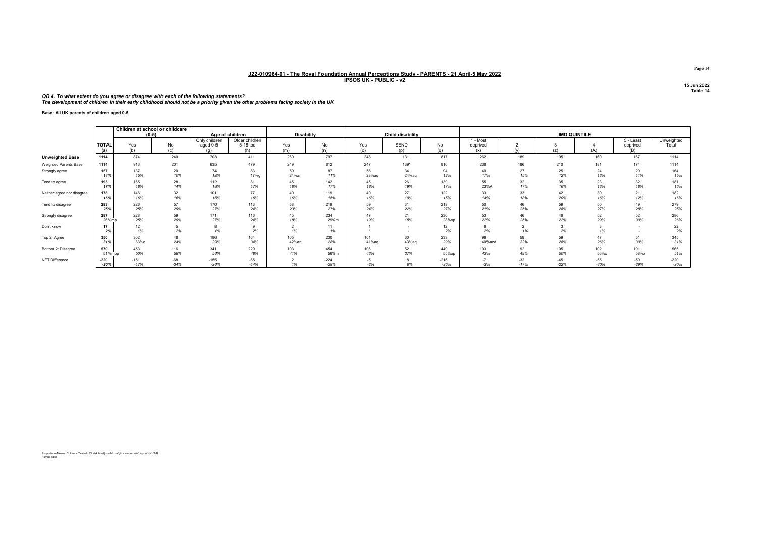QD.4. To what extent do you agree or disagree with each of the following statements?<br>The development of children in their early childhood should not be a priority given the other problems facing society in the UK

Base: All UK parents of children aged 0-5

|                            |                     | Children at school or childcare<br>$(0-5)$ |                 |                                  | Age of children                   | <b>Disability</b> |                  |             | <b>Child disability</b> |                  |                             |                      |                 | <b>IMD QUINTILE</b> |                              |                     |
|----------------------------|---------------------|--------------------------------------------|-----------------|----------------------------------|-----------------------------------|-------------------|------------------|-------------|-------------------------|------------------|-----------------------------|----------------------|-----------------|---------------------|------------------------------|---------------------|
|                            | <b>TOTAL</b><br>(a) | Yes<br>(b)                                 | No<br>(c)       | Only children<br>aged 0-5<br>(a) | Older children<br>5-18 too<br>(h) | Yes<br>(m)        | No<br>(n)        | Yes<br>(o)  | <b>SEND</b><br>(p)      | No<br>(q)        | I - Most<br>deprived<br>(x) |                      | (z)             | (A)                 | 5 - Least<br>deprived<br>(B) | Unweighted<br>Total |
| <b>Unweighted Base</b>     | 1114                | 874                                        | 240             | 703                              | 411                               | 260               | 797              | 248         | 131                     | 817              | 262                         | 189                  | 195             | 160                 | 167                          | 1114                |
| Weighted Parents Base      | 1114                | 913                                        | 201             | 635                              | 479                               | 249               | 812              | 247         | 139*                    | 816              | 238                         | 186                  | 210             | 181                 | 174                          | 1114                |
| Strongly agree             | 157                 | 137                                        | 20              | 74                               | 83                                | 59                | 87               | 56          | 34                      | 94               | 40                          | 27                   | 25              | 24                  | 20                           | 164                 |
|                            | 14%                 | 15%                                        | 10%             | 12%                              | 17%g                              | 24%an             | 11%              | 23%aq       | 24%ag                   | 12%              | 17%                         | 15%                  | 12%             | 13%                 | 11%                          | 15%                 |
| Tend to agree              | 193                 | 165                                        | 28              | 112                              | 81                                | 45                | 142              | 45          | 26                      | 139              | 55                          | 32                   | 35              | 23                  | 32                           | 181                 |
|                            | 17%                 | 18%                                        | 14%             | 18%                              | 17%                               | 18%               | 17%              | 18%         | 19%                     | 17%              | 23%A                        | 17%                  | 16%             | 13%                 | 18%                          | 16%                 |
| Neither agree nor disagree | 178                 | 146                                        | 32              | 101                              | 77                                | 40                | 119              | 40          | 27                      | 122              | 33                          | 33                   | 42              | 30                  | 21                           | 182                 |
|                            | 16%                 | 16%                                        | 16%             | 16%                              | 16%                               | 16%               | 15%              | 16%         | 19%                     | 15%              | 14%                         | 18%                  | 20%             | 16%                 | 12%                          | 16%                 |
| Tend to disagree           | 283                 | 226                                        | 57              | 170                              | 113                               | 58                | 219              | 59          | 31                      | 218              | 50                          | 46                   | 59              | 50                  | 49                           | 279                 |
|                            | 25%                 | 25%                                        | 29%             | 27%                              | 24%                               | 23%               | 27%              | 24%         | 22%                     | 27%              | 21%                         | 25%                  | 28%             | 27%                 | 28%                          | 25%                 |
| Strongly disagree          | 287                 | 228                                        | 59              | 171                              | 116                               | 45                | 234              | 47          | 21                      | 230              | 53                          | 46                   | 46              | 52                  | 52                           | 286                 |
|                            | 26%mp               | 25%                                        | 29%             | 27%                              | 24%                               | 18%               | 29%m             | 19%         | 15%                     | 28%op            | 22%                         | 25%                  | 22%             | 29%                 | 30%                          | 26%                 |
| Don't know                 | 17<br>2%            | 12<br>1%                                   | 2%              | 8<br>1%                          | 2%                                | 1%                | 11<br>1%         |             | ۰.<br>۰.                | 12<br>2%         | 2%                          | $\overline{ }$<br>1% | 3<br>2%         | 1%                  |                              | 22<br>2%            |
| Top 2: Agree               | 350                 | 302                                        | 48              | 186                              | 164                               | 105               | 230              | 101         | 60                      | 233              | 96                          | 59                   | 59              | 47                  | 51                           | 345                 |
|                            | 31%                 | 33%с                                       | 24%             | 29%                              | 34%                               | 42%an             | 28%              | 41%ag       | 43%aq                   | 29%              | 40%azA                      | 32%                  | 28%             | 26%                 | 30%                          | 31%                 |
| Bottom 2: Disagree         | 570                 | 453                                        | 116             | 341                              | 229                               | 103               | 454              | 106         | 52                      | 449              | 103                         | 92                   | 105             | 102                 | 101                          | 565                 |
|                            | 51%mop              | 50%                                        | 58%             | 54%                              | 48%                               | 41%               | 56%m             | 43%         | 37%                     | 55%op            | 43%                         | 49%                  | 50%             | 56%x                | 58%x                         | 51%                 |
| NET Difference             | $-220$<br>$-20%$    | $-151$<br>$-17%$                           | $-68$<br>$-34%$ | $-155$<br>$-24%$                 | $-65$<br>$-14%$                   | 1%                | $-224$<br>$-28%$ | -5<br>$-2%$ | 6%                      | $-215$<br>$-26%$ | $-7$<br>$-3%$               | $-32$<br>$-17%$      | $-45$<br>$-22%$ | $-55$<br>$-30%$     | $-50$<br>$-29%$              | $-220$<br>$-20%$    |

Proportions/Means: Columns Tested (5% risk level) - a/b/c - a/g/h - a/m/n - a/o/p/q - a/x/y/z/A/B \* small base

Page 14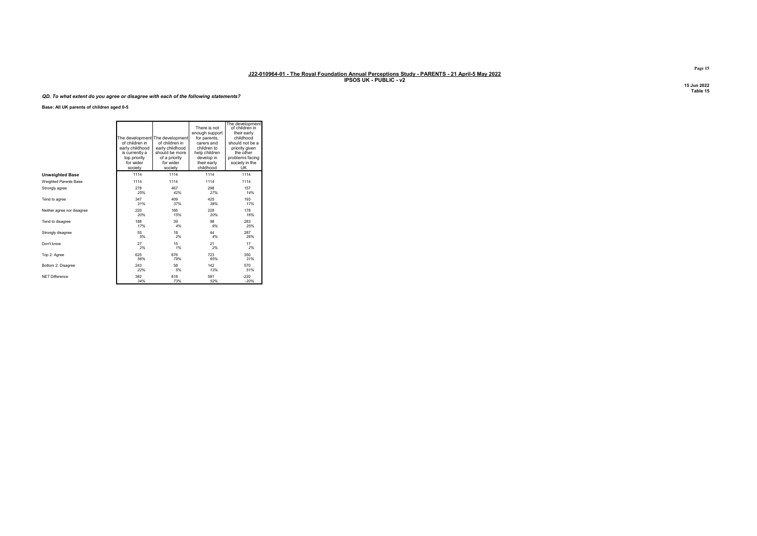#### QD. To what extent do you agree or disagree with each of the following statements?

Base: All UK parents of children aged 0-5

|                            | of children in<br>early childhood<br>is currently a<br>top priority<br>for wider<br>society | The development The development<br>of children in<br>early childhood<br>should be more<br>of a priority<br>for wider<br>society | There is not<br>enough support<br>for parents,<br>carers and<br>children to<br>help children<br>develop in<br>their early<br>childhood | The development<br>of children in<br>their early<br>childhood<br>should not be a<br>priority given<br>the other<br>problems facing<br>society in the<br><b>UK</b> |
|----------------------------|---------------------------------------------------------------------------------------------|---------------------------------------------------------------------------------------------------------------------------------|----------------------------------------------------------------------------------------------------------------------------------------|-------------------------------------------------------------------------------------------------------------------------------------------------------------------|
| <b>Unweighted Base</b>     | 1114                                                                                        | 1114                                                                                                                            | 1114                                                                                                                                   | 1114                                                                                                                                                              |
| Weighted Parents Base      | 1114                                                                                        | 1114                                                                                                                            | 1114                                                                                                                                   | 1114                                                                                                                                                              |
| Strongly agree             | 278                                                                                         | 467                                                                                                                             | 298                                                                                                                                    | 157                                                                                                                                                               |
|                            | 25%                                                                                         | 42%                                                                                                                             | 27%                                                                                                                                    | 14%                                                                                                                                                               |
| Tend to agree              | 347                                                                                         | 409                                                                                                                             | 425                                                                                                                                    | 193                                                                                                                                                               |
|                            | 31%                                                                                         | 37%                                                                                                                             | 38%                                                                                                                                    | 17%                                                                                                                                                               |
| Neither agree nor disagree | 220                                                                                         | 166                                                                                                                             | 228                                                                                                                                    | 178                                                                                                                                                               |
|                            | 20%                                                                                         | 15%                                                                                                                             | 20%                                                                                                                                    | 16%                                                                                                                                                               |
| Tend to disagree           | 188                                                                                         | 39                                                                                                                              | 98                                                                                                                                     | 283                                                                                                                                                               |
|                            | 17%                                                                                         | 4%                                                                                                                              | 9%                                                                                                                                     | 25%                                                                                                                                                               |
| Strongly disagree          | 55                                                                                          | 18                                                                                                                              | 44                                                                                                                                     | 287                                                                                                                                                               |
|                            | 5%                                                                                          | 2%                                                                                                                              | 4%                                                                                                                                     | 26%                                                                                                                                                               |
| Don't know                 | 27                                                                                          | 15                                                                                                                              | 21                                                                                                                                     | 17                                                                                                                                                                |
|                            | 2%                                                                                          | 1%                                                                                                                              | 2%                                                                                                                                     | 2%                                                                                                                                                                |
| Top 2: Agree               | 625                                                                                         | 876                                                                                                                             | 723                                                                                                                                    | 350                                                                                                                                                               |
|                            | 56%                                                                                         | 79%                                                                                                                             | 65%                                                                                                                                    | 31%                                                                                                                                                               |
| Bottom 2: Disagree         | 243                                                                                         | 58                                                                                                                              | 142                                                                                                                                    | 570                                                                                                                                                               |
|                            | 22%                                                                                         | 5%                                                                                                                              | 13%                                                                                                                                    | 51%                                                                                                                                                               |
| NFT Difference             | 382                                                                                         | 818                                                                                                                             | 581                                                                                                                                    | $-220$                                                                                                                                                            |
|                            | 34%                                                                                         | 73%                                                                                                                             | 52%                                                                                                                                    | $-20%$                                                                                                                                                            |

Page 15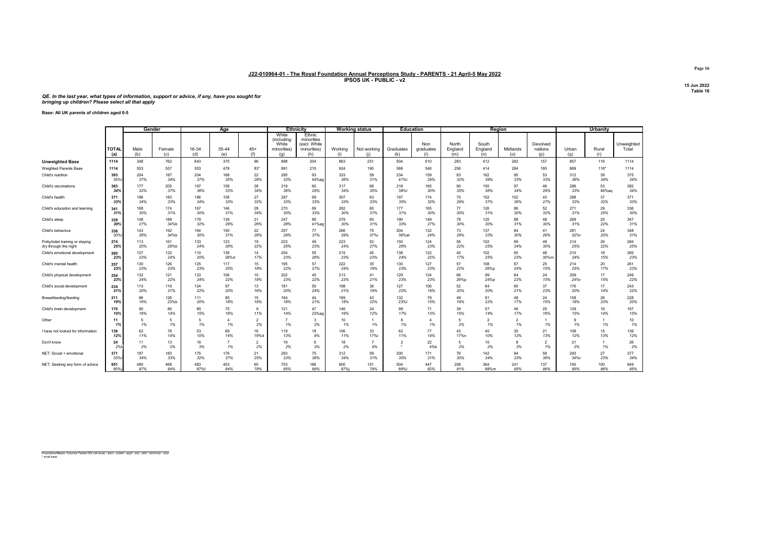#### QE. In the last year, what types of information, support or advice, if any, have you sought for bringing up children? Please select all that apply

Base: All UK parents of children aged 0-5

|                                   |                     | Gender      |               |              | Age          |                      |                                                    | <b>Ethnicity</b>                                           |                | <b>Working status</b> |                  | <b>Education</b>        |                         |                         | Region               |                            |              | Urbanity     |                     |
|-----------------------------------|---------------------|-------------|---------------|--------------|--------------|----------------------|----------------------------------------------------|------------------------------------------------------------|----------------|-----------------------|------------------|-------------------------|-------------------------|-------------------------|----------------------|----------------------------|--------------|--------------|---------------------|
|                                   | <b>TOTAL</b><br>(a) | Male<br>(b) | Female<br>(c) | 16-34<br>(d) | 35-44<br>(e) | $45+$<br>(f)         | White<br>(including<br>White<br>minorities)<br>(q) | Ethnic<br>minorities<br>(excl. White<br>minorities)<br>(h) | Working<br>(i) | Not working<br>(i)    | Graduates<br>(k) | Non<br>graduates<br>(1) | North<br>England<br>(m) | South<br>England<br>(n) | Midlands<br>(o)      | Devolved<br>nations<br>(p) | Urban<br>(q) | Rural<br>(r) | Unweighted<br>Total |
| <b>Unweighted Base</b>            | 1114                | 348         | 762           | 643          | 375          | 96                   | 898                                                | 204                                                        | 863            | 251                   | 504              | 610                     | 283                     | 412                     | 262                  | 157                        | 857          | 116          | 1114                |
| Weighted Parents Base             | 1114                | 553         | 557           | 553          | 478          | $83*$                | 891                                                | 210                                                        | 924            | 190                   | 568              | 546                     | 256                     | 414                     | 284                  | 160                        | 869          | $116*$       | 1114                |
| Child's nutrition                 | 393                 | 204         | 187           | 204          | 168          | 22                   | 295                                                | 93                                                         | 333            | 59                    | 234              | 159                     | 83                      | 162                     | 95                   | 53                         | 312          | 39           | 375                 |
|                                   | 35%                 | 37%         | 34%           | 37%          | 35%          | 26%                  | 33%                                                | 44%ac                                                      | 36%            | 31%                   | 41%              | 29%                     | 32%                     | 39%                     | 33%                  | 33%                        | 36%          | 34%          | 34%                 |
| Child's vaccinations              | 383                 | 177         | 205           | 197          | 158          | 28                   | 319                                                | 60                                                         | 317            | 66                    | 218              | 165                     | 90                      | 150                     | 97                   | 46                         | 286          | 53           | 382                 |
|                                   | 34%                 | 32%         | 37%           | 36%          | 33%          | 34%                  | 36%                                                | 29%                                                        | 34%            | 35%                   | 38%              | 30%                     | 35%                     | 36%                     | 34%                  | 29%                        | 33%          | 46%aq        | 34%                 |
| Child's health                    | 371                 | 186         | 183           | 186          | 158          | 27                   | 297                                                | 69                                                         | 307            | 63                    | 197              | 174                     | 75                      | 152                     | 102                  | 43                         | 288          | 37           | 371                 |
|                                   | 33%                 | 34%         | 33%           | 34%          | 33%          | 32%                  | 33%                                                | 33%                                                        | 33%            | 33%                   | 35%              | 32%                     | 29%                     | 37%                     | 36%                  | 27%                        | 33%          | 32%          | 33%                 |
| Child's education and learning    | 341                 | 168         | 174           | 167          | 146          | 28                   | 270                                                | 69                                                         | 282            | 60                    | 177              | 165                     | 77                      | 126                     | 86                   | 52                         | 271          | 29           | 336                 |
|                                   | 31%                 | 30%         | 31%           | 30%          | 31%          | 34%                  | 30%                                                | 33%                                                        | 30%            | 31%                   | 31%              | 30%                     | 30%                     | 31%                     | 30%                  | 32%                        | 31%          | 25%          | 30%                 |
| Child's sleep                     | 339                 | 148         | 189           | 179          | 139          | 21                   | 247                                                | 86                                                         | 279            | 60                    | 190              | 149                     | 78                      | 125                     | 88                   | 48                         | 269          | 25           | 347                 |
|                                   | 30%                 | 27%         | 34%b          | 32%          | 29%          | 26%                  | 28%                                                | 41%ag                                                      | 30%            | 31%                   | 33%              | 27%                     | 30%                     | 30%                     | 31%                  | 30%                        | 31%          | 22%          | 31%                 |
| Child's behaviour                 | 336                 | 143         | 192           | 164          | 150          | 22                   | 257                                                | 77                                                         | 266            | 70                    | 204              | 132                     | 73                      | 137                     | 84                   | 41                         | 281          | 24           | 348                 |
|                                   | 30%                 | 26%         | 34%b          | 30%          | 31%          | 26%                  | 29%                                                | 37%                                                        | 29%            | 37%i                  | 36%al            | 24%                     | 29%                     | 33%                     | 30%                  | 26%                        | 32%r         | 20%          | 31%                 |
| Potty/toilet training or staying  | 274                 | 113         | 161           | 133          | 123          | 19                   | 223                                                | 49                                                         | 223            | 52                    | 150              | 124                     | 56                      | 102                     | 69                   | 48                         | 214          | 26           | 284                 |
| dry through the night             | 25%                 | 20%         | 29%b          | 24%          | 26%          | 22%                  | 25%                                                | 23%                                                        | 24%            | 27%                   | 26%              | 23%                     | 22%                     | 25%                     | 24%                  | 30%                        | 25%          | 22%          | 25%                 |
| Child's emotional development     | 260                 | 127         | 132           | 110          | 136          | 14                   | 204                                                | 55                                                         | 215            | 45                    | 138              | 122                     | 45                      | 102                     | 65                   | 48                         | 210          | 18           | 260                 |
|                                   | 23%                 | 23%         | 24%           | 20%          | 28%d         | 17%                  | 23%                                                | 26%                                                        | 23%            | 23%                   | 24%              | 22%                     | 17%                     | 25%                     | 23%                  | 30%n                       | 24%          | 15%          | 23%                 |
| Child's mental health             | 257                 | 130         | 126           | 125          | 117          | 15                   | 195                                                | 57                                                         | 222            | 35                    | 130              | 127                     | 57                      | 108                     | 67                   | 25                         | 214          | 20           | 261                 |
|                                   | 23%                 | 23%         | 23%           | 23%          | 25%          | 18%                  | 22%                                                | 27%                                                        | 24%            | 19%                   | 23%              | 23%                     | 22%                     | 26%p                    | 24%                  | 15%                        | 25%          | 17%          | 23%                 |
| Child's physical development      | 254                 | 132         | 121           | 133          | 106          | 15                   | 202                                                | 45                                                         | 213            | 41                    | 129              | 124                     | 66                      | 99                      | 64                   | 24                         | 209          | 17           | 249                 |
|                                   | 23%                 | 24%         | 22%           | 24%          | 22%          | 18%                  | 23%                                                | 22%                                                        | 23%            | 21%                   | 23%              | 23%                     | 26%p                    | 24%p                    | 23%                  | 15%                        | 24%r         | 15%          | 22%                 |
| Child's social development        | 234                 | 113         | 119           | 124          | 97           | 13                   | 181                                                | 50                                                         | 198            | 36                    | 127              | 106                     | 52                      | 84                      | 60                   | 37                         | 176          | 17           | 243                 |
|                                   | 21%                 | 20%         | 21%           | 22%          | 20%          | 16%                  | 20%                                                | 24%                                                        | 21%            | 19%                   | 22%              | 19%                     | 20%                     | 20%                     | 21%                  | 23%                        | 20%          | 14%          | 22%                 |
| Breastfeeding/feeding             | 211                 | 86          | 126           | 111          | 85           | 15                   | 164                                                | 44                                                         | 169            | 43                    | 132              | 79                      | 49                      | 91                      | 48                   | 24                         | 158          | 26           | 228                 |
|                                   | 19%                 | 16%         | 23%b          | 20%          | 18%          | 19%                  | 18%                                                | 21%                                                        | 18%            | 22%                   | 23%              | 15%                     | 19%                     | 22%                     | 17%                  | 15%                        | 18%          | 23%          | 20%                 |
| Child's brain development         | 170                 | 90          | 80            | 85           | 75           | 9                    | 121                                                | 47                                                         | 146            | 24                    | 99               | 71                      | 39                      | 57                      | 49                   | 25                         | 129          | 16           | 167                 |
|                                   | 15%                 | 16%         | 14%           | 15%          | 16%          | 11%                  | 14%                                                | 23%ac                                                      | 16%            | 12%                   | 17%              | 13%                     | 15%                     | 14%                     | 17%                  | 16%                        | 15%          | 14%          | 15%                 |
| Other                             | 11<br>1%            | 5<br>1%     | 5<br>1%       | -5<br>1%     | 1%           | $\overline{2}$<br>2% | $\overline{7}$<br>1%                               | $\mathbf{3}$<br>2%                                         | 10<br>1%       | 1%                    | 6<br>1%          | Δ<br>1%                 | -5<br>2%                | $\overline{2}$<br>1%    | $\overline{2}$<br>1% | 1%                         | 9<br>1%      | 1%           | 10<br>1%            |
| I have not looked for informatior | 138                 | 62          | 76            | 53           | 69           | 16                   | 119                                                | 18                                                         | 106            | 33                    | 62               | 77                      | 43                      | 40                      | 35                   | 21                         | 108          | 15           | 139                 |
|                                   | 12%                 | 11%         | 14%           | 10%          | 14%          | 19%d                 | 13%                                                | 9%                                                         | 11%            | 17%i                  | 11%              | 14%                     | 17%n                    | 10%                     | 12%                  | 13%                        | 12%          | 13%          | 12%                 |
| Don't know                        | 24<br>2%            | 11<br>2%    | 13<br>2%      | 16<br>3%     | 1%           | $\overline{2}$<br>2% | 19<br>2%                                           | 6<br>3%                                                    | 18<br>2%       | $\overline{7}$<br>4%  |                  | 22<br>4%k               | 5<br>2%                 | 10<br>2%                | 8<br>3%              | $\overline{2}$<br>1%       | 21<br>2%     | 1%           | 26<br>2%            |
| NET: Social + emotional           | 371                 | 187         | 183           | 175          | 176          | 21                   | 293                                                | 75                                                         | 312            | 59                    | 200              | 171                     | 76                      | 142                     | 94                   | 58                         | 293          | 27           | 377                 |
|                                   | 33%                 | 34%         | 33%           | 32%          | 37%          | 25%                  | 33%                                                | 36%                                                        | 34%            | 31%                   | 35%              | 31%                     | 30%                     | 34%                     | 33%                  | 36%                        | 34%r         | 23%          | 34%                 |
| NET: Seeking any form of advice   | 951                 | 480         | 468           | 483          | 403          | 65                   | 753                                                | 186                                                        | 800            | 151                   | 504              | 447                     | 208                     | 364                     | 241                  | 137                        | 740          | 100          | 949                 |
|                                   | 85%                 | 87%         | 84%           | 87%f         | 84%          | 78%                  | 85%                                                | 89%                                                        | 87%i           | 79%                   | 89%              | 82%                     | 81%                     | 88%m                    | 85%                  | 86%                        | 85%          | 86%          | 85%                 |

Proportions/Means: Columns Tested (5% risk level) - a/b/c - a/d/e/f - a/g/h - a/i/j - a/k/l - a/m/n/o/p - a/q/r \* small base

Page 16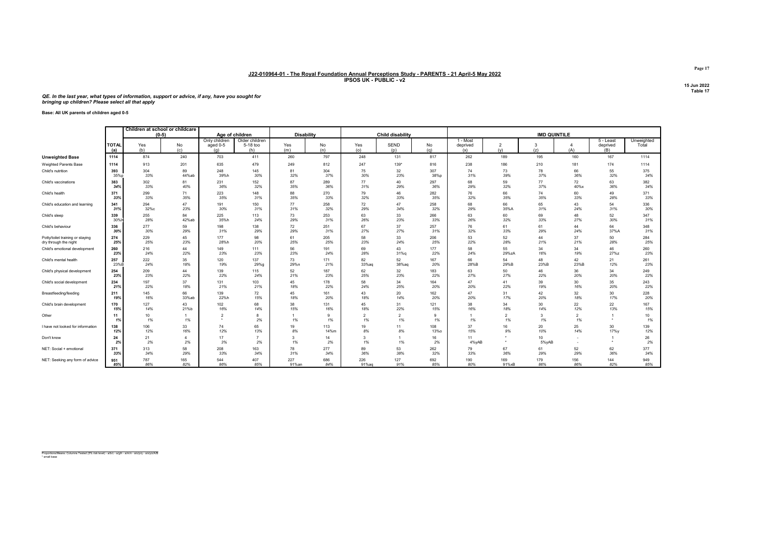#### QE. In the last year, what types of information, support or advice, if any, have you sought for bringing up children? Please select all that apply

#### Base: All UK parents of children aged 0-5

|                                   |                     | Children at school or childcare |                |                                  |                                   |                   |           |                      |                         |                    |                             |                       |                           |                      |                              |                     |
|-----------------------------------|---------------------|---------------------------------|----------------|----------------------------------|-----------------------------------|-------------------|-----------|----------------------|-------------------------|--------------------|-----------------------------|-----------------------|---------------------------|----------------------|------------------------------|---------------------|
|                                   |                     | $(0-5)$                         |                | Age of children                  |                                   | <b>Disability</b> |           |                      | <b>Child disability</b> |                    |                             |                       | <b>IMD QUINTILE</b>       |                      |                              |                     |
|                                   | <b>TOTAL</b><br>(a) | Yes<br>(b)                      | No<br>(c)      | Only children<br>aged 0-5<br>(q) | Older children<br>5-18 too<br>(h) | Yes<br>(m)        | No<br>(n) | Yes<br>(o)           | SEND<br>(p)             | No<br>(q)          | 1 - Most<br>deprived<br>(x) | $\overline{2}$<br>(v) | 3<br>(z)                  | (A)                  | 5 - Least<br>deprived<br>(B) | Unweighted<br>Total |
| <b>Unweighted Base</b>            | 1114                | 874                             | 240            | 703                              | 411                               | 260               | 797       | 248                  | 131                     | 817                | 262                         | 189                   | 195                       | 160                  | 167                          | 1114                |
| Weighted Parents Base             | 1114                | 913                             | 201            | 635                              | 479                               | 249               | 812       | 247                  | 139*                    | 816                | 238                         | 186                   | 210                       | 181                  | 174                          | 1114                |
| Child's nutrition                 | 393                 | 304                             | 89             | 248                              | 145                               | 81                | 304       | 75                   | 32                      | 307                | 74                          | 73                    | 78                        | 66                   | 55                           | 375                 |
|                                   | 35%p                | 33%                             | 44%ab          | 39%h                             | 30%                               | 32%               | 37%       | 30%                  | 23%                     | 38%p               | 31%                         | 39%                   | 37%                       | 36%                  | 32%                          | 34%                 |
| Child's vaccinations              | 383                 | 302                             | 81             | 231                              | 152                               | 87                | 289       | 77                   | 40                      | 297                | 68                          | 59                    | 77                        | 72                   | 63                           | 382                 |
|                                   | 34%                 | 33%                             | 40%            | 36%                              | 32%                               | 35%               | 36%       | 31%                  | 29%                     | 36%                | 29%                         | 32%                   | 37%                       | 40%x                 | 36%                          | 34%                 |
| Child's health                    | 371                 | 299                             | 71             | 223                              | 148                               | 88                | 270       | 79                   | 46                      | 282                | 76                          | 66                    | 74                        | 60                   | 49                           | 371                 |
|                                   | 33%                 | 33%                             | 35%            | 35%                              | 31%                               | 35%               | 33%       | 32%                  | 33%                     | 35%                | 32%                         | 35%                   | 35%                       | 33%                  | 28%                          | 33%                 |
| Child's education and learning    | 341                 | 294                             | 47             | 191                              | 150                               | 77                | 258       | 72                   | 47                      | 258                | 68                          | 66                    | 65                        | 43                   | 54                           | 336                 |
|                                   | 31%                 | 32%c                            | 23%            | 30%                              | 31%                               | 31%               | 32%       | 29%                  | 34%                     | 32%                | 29%                         | 35%A                  | 31%                       | 24%                  | 31%                          | 30%                 |
| Child's sleep                     | 339                 | 255                             | 84             | 225                              | 113                               | 73                | 253       | 63                   | 33                      | 266                | 63                          | 60                    | 69                        | 48                   | 52                           | 347                 |
|                                   | 30%                 | 28%                             | 42%ab          | 35%h                             | 24%                               | 29%               | 31%       | 26%                  | 23%                     | 33%                | 26%                         | 32%                   | 33%                       | 27%                  | 30%                          | 31%                 |
| Child's behaviour                 | 336                 | 277                             | 59             | 198                              | 138                               | 72                | 251       | 67                   | 37                      | 257                | 76                          | 61                    | 61                        | 44                   | 64                           | 348                 |
|                                   | 30%                 | 30%                             | 29%            | 31%                              | 29%                               | 29%               | 31%       | 27%                  | 27%                     | 31%                | 32%                         | 33%                   | 29%                       | 24%                  | 37%A                         | 31%                 |
| Potty/toilet training or staying  | 274                 | 229                             | 45             | 177                              | 98                                | 61                | 205       | 58                   | 33                      | 206                | 53                          | 52                    | 44                        | 37                   | 50                           | 284                 |
| dry through the night             | 25%                 | 25%                             | 23%            | 28%h                             | 20%                               | 25%               | 25%       | 23%                  | 24%                     | 25%                | 22%                         | 28%                   | 21%                       | 21%                  | 28%                          | 25%                 |
| Child's emotional development     | 260                 | 216                             | 44             | 149                              | 111                               | 56                | 191       | 69                   | 43                      | 177                | 58                          | 55                    | 34                        | 34                   | 46                           | 260                 |
|                                   | 23%                 | 24%                             | 22%            | 23%                              | 23%                               | 23%               | 24%       | 28%                  | 31%g                    | 22%                | 24%                         | 29%zA                 | 16%                       | 19%                  | 27%z                         | 23%                 |
| Child's mental health             | 257                 | 222                             | 35             | 120                              | 137                               | 73                | 171       | 82                   | 52                      | 167                | 66                          | 54                    | 48                        | 42                   | 21                           | 261                 |
|                                   | 23%B                | 24%                             | 18%            | 19%                              | 29%g                              | 29%n              | 21%       | 33%aq                | 38%aq                   | 20%                | 28%B                        | 29%B                  | 23%B                      | 23%B                 | 12%                          | 23%                 |
| Child's physical development      | 254                 | 209                             | 44             | 139                              | 115                               | 52                | 187       | 62                   | 32                      | 183                | 63                          | 50                    | 46                        | 36                   | 34                           | 249                 |
|                                   | 23%                 | 23%                             | 22%            | 22%                              | 24%                               | 21%               | 23%       | 25%                  | 23%                     | 22%                | 27%                         | 27%                   | 22%                       | 20%                  | 20%                          | 22%                 |
| Child's social development        | 234                 | 197                             | 37             | 131                              | 103                               | 45                | 178       | 58                   | 34                      | 164                | 47                          | 41                    | 39                        | 30                   | 35                           | 243                 |
|                                   | 21%                 | 22%                             | 18%            | 21%                              | 21%                               | 18%               | 22%       | 24%                  | 25%                     | 20%                | 20%                         | 22%                   | 19%                       | 16%                  | 20%                          | 22%                 |
| Breastfeeding/feeding             | 211                 | 145                             | 66             | 139                              | 72                                | 45                | 161       | 43                   | 20                      | 162                | 47                          | 31                    | 42                        | 32                   | 30                           | 228                 |
|                                   | 19%                 | 16%                             | 33%ab          | 22%h                             | 15%                               | 18%               | 20%       | 18%                  | 14%                     | 20%                | 20%                         | 17%                   | 20%                       | 18%                  | 17%                          | 20%                 |
| Child's brain development         | 170                 | 127                             | 43             | 102                              | 68                                | 38                | 131       | 45                   | 31                      | 121                | 38                          | 34                    | 30                        | 22                   | 22                           | 167                 |
|                                   | 15%                 | 14%                             | 21%b           | 16%                              | 14%                               | 15%               | 16%       | 18%                  | 22%                     | 15%                | 16%                         | 18%                   | 14%                       | 12%                  | 13%                          | 15%                 |
| Other                             | 11<br>1%            | 10<br>1%                        | 1<br>1%        |                                  | $\mathbf{R}$<br>2%                | 1%                | 9<br>1%   | $\overline{2}$<br>1% | $\overline{2}$<br>1%    | $\mathbf{Q}$<br>1% | 1%                          | $\overline{2}$<br>1%  | 3<br>1%                   | $\overline{2}$<br>1% |                              | 10<br>1%            |
| I have not looked for information | 138                 | 106                             | 33             | 74                               | 65                                | 19                | 113       | 19                   | 11                      | 108                | 37                          | 16                    | 20                        | 25                   | 30                           | 139                 |
|                                   | 12%                 | 12%                             | 16%            | 12%                              | 13%                               | 8%                | 14%m      | 8%                   | 8%                      | <b>13%o</b>        | 15%                         | 9%                    | 10%                       | 14%                  | 17%y                         | 12%                 |
| Don't know                        | 24<br>2%            | 21<br>2%                        | $\Delta$<br>2% | 17<br>3%                         | 2%                                | 3<br>1%           | 14<br>2%  | $\mathbf{3}$<br>1%   | 1%                      | 16<br>2%           | 11<br>4%yAB                 | ٠                     | 10 <sup>10</sup><br>5%yAB |                      |                              | 26<br>2%            |
| NET: Social + emotional           | 371                 | 313                             | 58             | 208                              | 163                               | 78                | 277       | 89                   | 53                      | 262                | 79                          | 67                    | 61                        | 52                   | 62                           | 377                 |
|                                   | 33%                 | 34%                             | 29%            | 33%                              | 34%                               | 31%               | 34%       | 36%                  | 38%                     | 32%                | 33%                         | 36%                   | 29%                       | 29%                  | 36%                          | 34%                 |
| NET: Seeking any form of advice   | 951                 | 787                             | 165            | 544                              | 407                               | 227               | 686       | 226                  | 127                     | 692                | 190                         | 169                   | 179                       | 156                  | 144                          | 949                 |
|                                   | 85%                 | 86%                             | 82%            | 86%                              | 85%                               | 91%an             | 84%       | 91%ag                | 91%                     | 85%                | 80%                         | 91%xB                 | 86%                       | 86%                  | 82%                          | 85%                 |

Proportions/Means: Columns Tested (5% risk level) - a/b/c - a/g/h - a/m/n - a/o/p/q - a/x/y/z/A/B \* small base

Page 17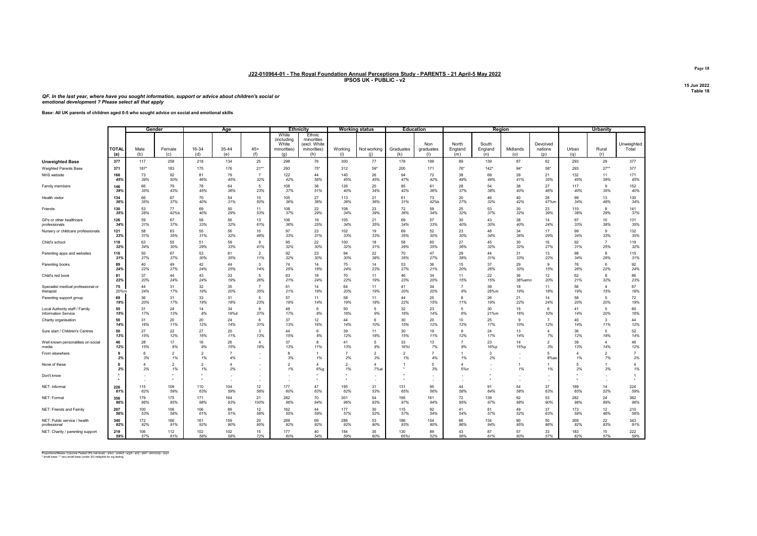QF. In the last year, where have you sought information, support or advice about children's social or emotional development ? Please select all that apply

#### Base: All UK parents of children aged 0-5 who sought advice on social and emotional skills

|                                    |                     | Gender         |                      |              | Age                  |                |                                                    | <b>Ethnicity</b>                                           |                      | <b>Working status</b> |                      | <b>Education</b>        |                         |                         | Region          |                            |              | Urbanity             |                         |
|------------------------------------|---------------------|----------------|----------------------|--------------|----------------------|----------------|----------------------------------------------------|------------------------------------------------------------|----------------------|-----------------------|----------------------|-------------------------|-------------------------|-------------------------|-----------------|----------------------------|--------------|----------------------|-------------------------|
|                                    | <b>TOTAL</b><br>(a) | Male<br>(b)    | Female<br>(c)        | 16-34<br>(d) | 35-44<br>(e)         | $45+$<br>(f)   | White<br>(including<br>White<br>minorities)<br>(g) | Ethnic<br>minorities<br>(excl. White<br>minorities)<br>(h) | Working<br>(i)       | Not working<br>(i)    | Graduates<br>(k)     | Non<br>graduates<br>(1) | North<br>England<br>(m) | South<br>England<br>(n) | Midlands<br>(o) | Devolved<br>nations<br>(p) | Urban<br>(q) | Rural<br>(r)         | Unweighted<br>Total     |
| <b>Unweighted Base</b>             | 377                 | 117            | 258                  | 218          | 134                  | 25             | 298                                                | 76                                                         | 300                  | 77                    | 178                  | 199                     | 89                      | 139                     | 87              | 62                         | 293          | 29                   | 377                     |
| Weighted Parents Base              | 371                 | 187"           | 183                  | 175          | 176                  | $21**$         | 293                                                | $75*$                                                      | 312                  | $59*$                 | 200                  | 171                     | 76*                     | 142"                    | $94*$           | $58*$                      | 293          | $27**$               | 377                     |
| NHS website                        | 166                 | 73             | 92                   | 81           | 79                   | $\overline{7}$ | 122                                                | 44                                                         | 140                  | 26                    | 94                   | 72                      | 38                      | 69                      | 39              | 21                         | 132          | 11                   | 171                     |
|                                    | 45%                 | 39%            | 50%                  | 46%          | 45%                  | 32%            | 42%                                                | 58%                                                        | 45%                  | 45%                   | 47%                  | 42%                     | 49%                     | 49%                     | 41%             | 35%                        | 45%          | 39%                  | 45%                     |
| Family members                     | 146                 | 66             | 79                   | 78           | 64                   | 5              | 108                                                | 38                                                         | 126                  | 20                    | 85                   | 61                      | 28                      | 54                      | 38              | 27                         | 117          | $\mathbf{9}$         | 152                     |
|                                    | 39%                 | 35%            | 43%                  | 45%          | 36%                  | 23%            | 37%                                                | 51%                                                        | 40%                  | 34%                   | 42%                  | 36%                     | 37%                     | 38%                     | 40%             | 46%                        | 40%          | 35%                  | 40%                     |
| Health visitor                     | 134                 | 66             | 67                   | 70           | 54                   | 10             | 105                                                | 27                                                         | 113                  | 21                    | 61                   | 73                      | 20                      | 46                      | 40              | 28                         | 99           | 13                   | 130                     |
|                                    | 36%                 | 35%            | 37%                  | 40%          | 31%                  | 50%            | 36%                                                | 36%                                                        | 36%                  | 36%                   | 31%                  | 42%                     | 27%                     | 32%                     | 42%             | 47%m                       | 34%          | 48%                  | 34%                     |
| Friends                            | 130                 | 53             | 77                   | 69           | 50                   | 11             | 108                                                | 22                                                         | 108                  | 23                    | 72                   | 59                      | 25                      | 53                      | 30              | 23                         | 110          | 8                    | 141                     |
|                                    | 35%                 | 28%            | 42%b                 | 40%          | 29%                  | 53%            | 37%                                                | 29%                                                        | 34%                  | 39%                   | 36%                  | 34%                     | 32%                     | 37%                     | 32%             | 39%                        | 38%          | 29%                  | 37%                     |
| GPs or other healthcare            | 126                 | 59             | 67                   | 58           | 56                   | 13             | 106                                                | 19                                                         | 105                  | 21                    | 69                   | 57                      | 30                      | 43                      | 38              | 14                         | 97           | 10                   | 131                     |
| professionals                      | 34%                 | 31%            | 37%                  | 33%          | 32%                  | 61%            | 36%                                                | 25%                                                        | 34%                  | 35%                   | 34%                  | 33%                     | 40%                     | 30%                     | 40%             | 24%                        | 33%          | 38%                  | 35%                     |
| Nursery or childcare professionals | 121                 | 58             | 63                   | 55           | 56                   | 10             | 97                                                 | 23                                                         | 102                  | 19                    | 69                   | 52                      | 23                      | 48                      | 34              | 17                         | 99           | 9                    | 132                     |
|                                    | 33%                 | 31%            | 35%                  | 31%          | 32%                  | 48%            | 33%                                                | 31%                                                        | 33%                  | 33%                   | 35%                  | 30%                     | 30%                     | 34%                     | 36%             | 29%                        | 34%          | 33%                  | 35%                     |
| Child's school                     | 118                 | 63             | 55                   | 51           | 59                   | 9              | 95                                                 | 22                                                         | 100                  | 18                    | 58                   | 60                      | 27                      | 45                      | 30              | 16                         | 92           | $\overline{7}$       | 119                     |
|                                    | 32%                 | 34%            | 30%                  | 29%          | 33%                  | 41%            | 32%                                                | 30%                                                        | 32%                  | 31%                   | 29%                  | 35%                     | 36%                     | 32%                     | 32%             | 27%                        | 31%          | 25%                  | 32%                     |
| Parenting apps and websites        | 116                 | 50             | 67                   | 53           | 61                   | $\mathfrak{p}$ | 92                                                 | 23                                                         | 94                   | 22                    | 70                   | 47                      | 29                      | 44                      | 31              | 13                         | 98           | $\mathbf{a}$         | 115                     |
|                                    | 31%                 | 27%            | 37%                  | 30%          | 35%                  | 11%            | 32%                                                | 30%                                                        | 30%                  | 38%                   | 35%                  | 27%                     | 38%                     | 31%                     | 33%             | 22%                        | 34%          | 29%                  | 31%                     |
| Parenting books                    | 89                  | 40             | 49                   | 42           | 44                   | 3              | 74                                                 | 14                                                         | 75                   | 14                    | 53                   | 36                      | 15                      | 37                      | 29              | 9                          | 76           | $6\overline{6}$      | 92                      |
|                                    | 24%                 | 22%            | 27%                  | 24%          | 25%                  | 14%            | 25%                                                | 18%                                                        | 24%                  | 23%                   | 27%                  | 21%                     | 20%                     | 26%                     | 30%             | 15%                        | 26%          | 22%                  | 24%                     |
| Child's red book                   | 81                  | 37             | 44                   | 43           | 33                   | 5              | 63                                                 | 18                                                         | 70                   | 11                    | 46                   | 34                      | 11                      | 22                      | 36              | 12                         | 62           | 8                    | 86                      |
|                                    | 22%                 | 20%            | 24%                  | 24%          | 19%                  | 26%            | 21%                                                | 24%                                                        | 22%                  | 19%                   | 23%                  | 20%                     | 15%                     | 15%                     | 38%amn          | 20%                        | 21%          | 32%                  | 23%                     |
| Specialist medical professional or | 75                  | 44             | 31                   | 32           | 35                   | $\overline{7}$ | 61                                                 | 14                                                         | 64                   | 11                    | 41                   | 34                      | 9%                      | 39                      | 18              | 11                         | 56           | $\Delta$             | 67                      |
| therapist                          | 20%m                | 24%            | 17%                  | 19%          | 20%                  | 35%            | 21%                                                | 19%                                                        | 20%                  | 19%                   | 20%                  | 20%                     |                         | 28%m                    | 19%             | 18%                        | 19%          | 15%                  | 18%                     |
| Parenting support group            | 69                  | 36             | 31                   | 33           | 31                   | 5              | 57                                                 | 11                                                         | 58                   | 11                    | 44                   | 25                      | $\mathbf{g}$            | 26                      | 21              | 14                         | 58           | $\overline{5}$       | 72                      |
|                                    | 19%                 | 20%            | 17%                  | 19%          | 18%                  | 23%            | 19%                                                | 14%                                                        | 19%                  | 18%                   | 22%                  | 15%                     | 11%                     | 19%                     | 22%             | 24%                        | 20%          | 20%                  | 19%                     |
| Local Authority staff / Family     | 55                  | 31             | 24                   | 14           | 34                   | 8              | 49                                                 | 6                                                          | 50                   | 9%                    | 32                   | 23                      | 5                       | 30                      | 15              | -6                         | 41           | 5                    | 60                      |
| Information Service                | 15%                 | 17%            | 13%                  | 8%           | 19%d                 | 37%            | 17%                                                | 8%                                                         | 16%                  |                       | 16%                  | 14%                     | 6%                      | 21%m                    | 16%             | 10%                        | 14%          | 20%                  | 16%                     |
| Charity organisation               | 50<br>14%           | 31<br>16%      | 20<br>11%            | 20<br>12%    | 24<br>14%            | 6<br>31%       | 37<br>13%                                          | 12<br>16%                                                  | 44<br>14%            | 10%                   | 30<br>15%            | 20<br>12%               | 10<br>12%               | 25<br>17%               | 9<br>10%        | 12%                        | 40<br>14%    | 3<br>11%             | 44<br>12%               |
| Sure start / Children's Centres    | 50                  | 27             | 22                   | 27           | 20                   | 3              | 44                                                 | 6                                                          | 39                   | 11                    | 30                   | 19                      | $\alpha$                | 24                      | 13              | $\Delta$                   | 36           | $\overline{5}$       | 52                      |
|                                    | 13%                 | 15%            | 12%                  | 16%          | 11%                  | 13%            | 15%                                                | 8%                                                         | 12%                  | 18%                   | 15%                  | 11%                     | 12%                     | 17%                     | 14%             | 7%                         | 12%          | 18%                  | 14%                     |
| Well known personalities on social | 46                  | 28             | 17                   | 16           | 26                   | $\overline{4}$ | 37                                                 | 8                                                          | 41                   | -5                    | 33                   | 13                      | 9%                      | 23                      | 14              | $\overline{\phantom{a}}$   | 39           | $\overline{4}$       | 46                      |
| media                              | 12%                 | 15%            | 9%                   | 9%           | 15%                  | 18%            | 13%                                                | 11%                                                        | 13%                  | 9%                    | 16%                  | 7%                      |                         | 16%p                    | 15%p            | 3%                         | 13%          | 14%                  | 12%                     |
| From elsewhere                     | 9<br>2%             | 6<br>3%        | $\overline{2}$<br>1% | 2<br>1%      | $\overline{7}$<br>4% |                | 3%                                                 | 1%                                                         | 7<br>2%              | $\overline{2}$<br>3%  | $\overline{2}$<br>1% | 4%                      | 1%                      | 3<br>2%                 |                 | 8%ac                       | Δ<br>1%      | $\overline{2}$<br>7% | $\overline{7}$<br>$2\%$ |
| None of these                      | 6<br>2%             | $\Delta$<br>2% | $\overline{2}$<br>1% | 2<br>1%      | $\overline{4}$<br>2% |                | $\mathcal{P}$<br>1%                                | 4<br>6%g                                                   | $\overline{2}$<br>1% | $\Delta$<br>7%a       |                      | 5<br>3%                 | $\Delta$<br>5%n         |                         | 1%              | 1%                         | 5<br>2%      | 1<br>3%              | $\overline{4}$<br>1%    |
| Don't know                         |                     |                |                      |              |                      |                |                                                    |                                                            |                      |                       |                      |                         |                         |                         |                 |                            |              |                      | $\mathbf{1}$            |
| NET: Informal                      | 226                 | 115            | 109                  | 110          | 104                  | 12             | 177                                                | 47                                                         | 195                  | 31                    | 131                  | 95                      | 44                      | 91                      | 54              | 37                         | 189          | 14                   | 224                     |
|                                    | 61%                 | 62%            | 59%                  | 63%          | 59%                  | 58%            | 60%                                                | 63%                                                        | 62%                  | 53%                   | 65%                  | 56%                     | 58%                     | 64%                     | 58%             | 63%                        | 65%          | 52%                  | 59%                     |
| NET: Formal                        | 356                 | 179            | 175                  | 171          | 164                  | 21             | 282                                                | 70                                                         | 301                  | 54                    | 195                  | 161                     | 72                      | 139                     | 92              | 53                         | 282          | 24                   | 362                     |
|                                    | 96%                 | 96%            | 95%                  | 98%          | 93%                  | 100%           | 96%                                                | 94%                                                        | 96%                  | 93%                   | 97%                  | 94%                     | 95%                     | 97%                     | 98%             | 90%                        | 96%          | 89%                  | 96%                     |
| NET: Friends and Family            | 207                 | 100            | 106                  | 106          | 89                   | 12             | 162                                                | 44                                                         | 177                  | 30                    | 115                  | 92                      | 41                      | 81                      | 49              | 37                         | 173          | 12                   | 210                     |
|                                    | 56%                 | 53%            | 58%                  | 61%          | 51%                  | 58%            | 55%                                                | 59%                                                        | 57%                  | 52%                   | 57%                  | 54%                     | 54%                     | 57%                     | 52%             | 63%                        | 59%          | 46%                  | 56%                     |
| NET: Public service / health       | 340                 | 172            | 166                  | 161          | 159                  | 20             | 269                                                | 69                                                         | 286                  | 53                    | 186                  | 154                     | 66                      | 134                     | 90              | 50                         | 269          | 22                   | 343                     |
| professional                       | 92%                 | 92%            | 91%                  | 92%          | 90%                  | 95%            | 92%                                                | 92%                                                        | 92%                  | 90%                   | 93%                  | 90%                     | 86%                     | 94%                     | 95%             | 86%                        | 92%          | 83%                  | 91%                     |
| NET: Charity / parenting support   | 219                 | 106            | 112                  | 102          | 102                  | 15             | 177                                                | 40                                                         | 184                  | 35                    | 130                  | 89                      | 43                      | 87                      | 57              | 33                         | 183          | 15                   | 222                     |
|                                    | 59%                 | 57%            | 61%                  | 58%          | 58%                  | 72%            | 60%                                                | 54%                                                        | 59%                  | 60%                   | 65%                  | 52%                     | 56%                     | 61%                     | 60%             | 57%                        | 62%          | 57%                  | 59%                     |

Proportions/Means: Columns Tested (5% risk level) - a/b/c - a/d/e/f - a/g/h - a/i/j - a/k/l - a/m/n/o/p - a/q/r<br>\* small base; \*\* very small base (under 30) ineligible for sig testing

Page 18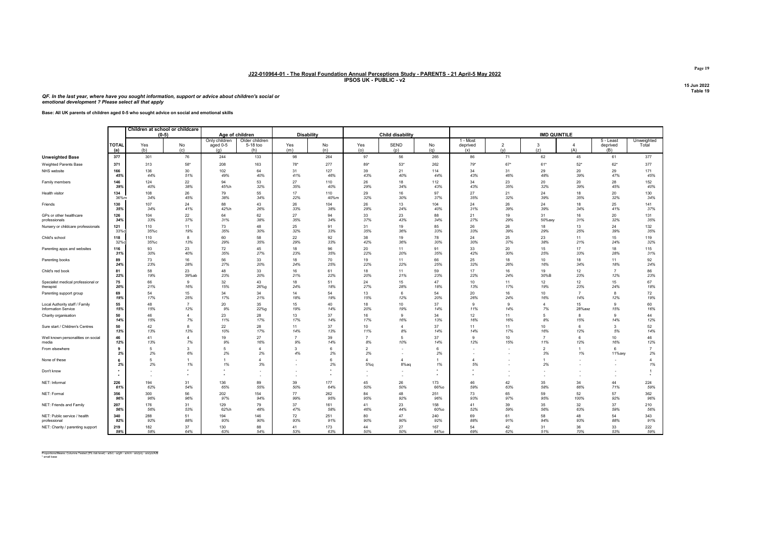QF. In the last year, where have you sought information, support or advice about children's social or emotional development ? Please select all that apply

| Base: All UK parents of children aged 0-5 who sought advice on social and emotional skills |
|--------------------------------------------------------------------------------------------|
|                                                                                            |

|                                    |                     |            | Children at school or childcare |                                  |                                                      |                   |                    |                      |                     |           |                             |                       |                      |                       |                                |                      |
|------------------------------------|---------------------|------------|---------------------------------|----------------------------------|------------------------------------------------------|-------------------|--------------------|----------------------|---------------------|-----------|-----------------------------|-----------------------|----------------------|-----------------------|--------------------------------|----------------------|
|                                    |                     |            | $(0-5)$                         | Age of children                  |                                                      | <b>Disability</b> |                    |                      | Child disability    |           |                             |                       | <b>IMD QUINTILE</b>  |                       |                                |                      |
|                                    | <b>TOTAL</b><br>(a) | Yes<br>(b) | No<br>(c)                       | Only children<br>aged 0-5<br>(g) | Older children<br>5-18 too<br>(h)                    | Yes<br>(m)        | No<br>(n)          | Yes<br>(o)           | SEND<br>(p)         | No<br>(q) | 1 - Most<br>deprived<br>(x) | $\overline{2}$<br>(v) | 3<br>(z)             | $\overline{4}$<br>(A) | $5 -$ Least<br>deprived<br>(B) | Unweighted<br>Total  |
| <b>Unweighted Base</b>             | 377                 | 301        | 76                              | 244                              | 133                                                  | 98                | 264                | 97                   | 56                  | 265       | 86                          | 71                    | 62                   | 45                    | 61                             | 377                  |
| <b>Weighted Parents Base</b>       | 371                 | 313        | $58*$                           | 208                              | 163                                                  | $78*$             | 277                | 89*                  | $53*$               | 262       | $79*$                       | $67*$                 | $61*$                | $52*$                 | $62*$                          | 377                  |
| NHS website                        | 166                 | 136        | 30                              | 102                              | 64                                                   | 31                | 127                | 39                   | 21                  | 114       | 34                          | 31                    | 29                   | 20                    | 29                             | 171                  |
|                                    | 45%                 | 44%        | 51%                             | 49%                              | 40%                                                  | 41%               | 46%                | 43%                  | 40%                 | 44%       | 43%                         | 46%                   | 48%                  | 39%                   | 47%                            | 45%                  |
| Family members                     | 146                 | 124        | 22                              | 94                               | 53                                                   | 27                | 110                | 26                   | 18                  | 112       | 34                          | 23                    | 20                   | 20                    | 28                             | 152                  |
|                                    | 39%                 | 40%        | 38%                             | 45%h                             | 32%                                                  | 35%               | 40%                | 29%                  | 34%                 | 43%       | 43%                         | 35%                   | 32%                  | 39%                   | 45%                            | 40%                  |
| Health visitor                     | 134                 | 108        | 26                              | 79                               | 55                                                   | 17                | 110                | 29                   | 16                  | 97        | 27                          | 21                    | 24                   | 18                    | 20                             | 130                  |
|                                    | 36%m                | 34%        | 45%                             | 38%                              | 34%                                                  | 22%               | 40%m               | 32%                  | 30%                 | 37%       | 35%                         | 32%                   | 39%                  | 35%                   | 32%                            | 34%                  |
| Friends                            | 130                 | 107        | 24                              | 88                               | 43                                                   | 26                | 104                | 26                   | 13                  | 104       | 24                          | 26                    | 24                   | 18                    | 25                             | 141                  |
|                                    | 35%                 | 34%        | 41%                             | 42%h                             | 26%                                                  | 33%               | 38%                | 29%                  | 24%                 | 40%       | 31%                         | 39%                   | 39%                  | 34%                   | 41%                            | 37%                  |
| GPs or other healthcare            | 126                 | 104        | 22                              | 64                               | 62                                                   | 27                | 94                 | 33                   | 23                  | 88        | 21                          | 19                    | 31                   | 16                    | 20                             | 131                  |
| professionals                      | 34%                 | 33%        | 37%                             | 31%                              | 38%                                                  | 35%               | 34%                | 37%                  | 43%                 | 34%       | 27%                         | 29%                   | 50%axy               | 31%                   | 32%                            | 35%                  |
| Nursery or childcare professionals | 121                 | 110        | 11                              | 73                               | 48                                                   | 25                | 91                 | 31                   | 19                  | 85        | 26                          | 26                    | 18                   | 13                    | 24                             | 132                  |
|                                    | 33%c                | 35%с       | 19%                             | 35%                              | 30%                                                  | 32%               | 33%                | 35%                  | 36%                 | 33%       | 33%                         | 39%                   | 29%                  | 25%                   | 39%                            | 35%                  |
| Child's school                     | 118                 | 110        | 8                               | 60                               | 58                                                   | 22                | 92                 | 38                   | 19                  | 78        | 24                          | 25                    | 23                   | 11                    | 15                             | 119                  |
|                                    | 32%                 | 35%с       | 13%                             | 29%                              | 35%                                                  | 29%               | 33%                | 42%                  | 36%                 | 30%       | 30%                         | 37%                   | 38%                  | 21%                   | 24%                            | 32%                  |
| Parenting apps and websites        | 116                 | 93         | 23                              | 72                               | 45                                                   | 18                | 96                 | 20                   | 11                  | 91        | 33                          | 20                    | 15                   | 17                    | 18                             | 115                  |
|                                    | 31%                 | 30%        | 40%                             | 35%                              | 27%                                                  | 23%               | 35%                | 22%                  | 20%                 | 35%       | 42%                         | 30%                   | 25%                  | 33%                   | 28%                            | 31%                  |
| Parenting books                    | 89                  | 73         | 16                              | 56                               | 33                                                   | 18                | 70                 | 19                   | 11                  | 66        | 25                          | 18                    | 10                   | 18                    | 11                             | 92                   |
|                                    | 24%                 | 23%        | 28%                             | 27%                              | 20%                                                  | 24%               | 25%                | 22%                  | 22%                 | 25%       | 32%                         | 26%                   | 16%                  | 34%                   | 18%                            | 24%                  |
| Child's red book                   | 81                  | 58         | 23                              | 48                               | 33                                                   | 16                | 61                 | 18                   | 11                  | 59        | 17                          | 16                    | 19                   | 12                    | $\overline{7}$                 | 86                   |
|                                    | 22%                 | 19%        | 39%ab                           | 23%                              | 20%                                                  | 21%               | 22%                | 20%                  | 21%                 | 23%       | 22%                         | 24%                   | 30%B                 | 23%                   | 12%                            | 23%                  |
| Specialist medical professional or | 75                  | 66         | 9                               | 32                               | 43                                                   | 18                | 51                 | 24                   | 15                  | 47        | 10                          | 11                    | 12                   | 12                    | 15                             | 67                   |
| therapist                          | 20%                 | 21%        | 16%                             | 15%                              | 26%g                                                 | 24%               | 18%                | 27%                  | 28%                 | 18%       | 13%                         | 17%                   | 19%                  | 23%                   | 24%                            | 18%                  |
| Parenting support group            | 69                  | 54         | 15                              | 34                               | 34                                                   | 14                | 54                 | 13                   | 6                   | 54        | 20                          | 16                    | 10                   | $\overline{7}$        | 8                              | 72                   |
|                                    | 19%                 | 17%        | 25%                             | 17%                              | 21%                                                  | 18%               | 19%                | 15%                  | 12%                 | 20%       | 26%                         | 24%                   | 16%                  | 14%                   | 12%                            | 19%                  |
| Local Authority staff / Family     | 55                  | 48         | $\overline{7}$                  | 20                               | 35                                                   | 15                | 40                 | 18                   | 10 <sup>10</sup>    | 37        | 9                           | $\mathbf{9}$          | $\overline{4}$       | 15                    | 9                              | 60                   |
| Information Service                | 15%                 | 15%        | 12%                             | 9%                               | 22%g                                                 | 19%               | 14%                | 20%                  | 19%                 | 14%       | 11%                         | 14%                   | 7%                   | 28%axz                | 15%                            | 16%                  |
| Charity organisation               | 50<br>14%           | 46<br>15%  | 4<br>7%                         | 23<br>11%                        | 28<br>17%                                            | 13<br>17%         | 37<br>14%          | 16<br>17%            | $\mathbf{g}$<br>16% | 34<br>13% | 12<br>16%                   | 11<br>16%             | 5<br>8%              | 15%                   | 9<br>14%                       | 44<br>12%            |
| Sure start / Children's Centres    | 50                  | 42         | 8                               | 22                               | 28                                                   | 11                | 37                 | 10                   | $\overline{4}$      | 37        | 11                          | 11                    | 10                   | 6                     | $\mathbf{3}$                   | 52                   |
|                                    | 13%                 | 13%        | 13%                             | 10%                              | 17%                                                  | 14%               | 13%                | 11%                  | 8%                  | 14%       | 14%                         | 17%                   | 16%                  | 12%                   | 5%                             | 14%                  |
| Well known personalities on social | 46                  | 41         | $\overline{4}$                  | 19                               | 27                                                   | $\overline{7}$    | 39                 | 8%                   | 5                   | 37        | 9                           | 10                    | $\overline{7}$       | -6                    | 10 <sup>10</sup>               | 46                   |
| media                              | 12%                 | 13%        | 7%                              | 9%                               | 16%                                                  | 9%                | 14%                |                      | 10%                 | 14%       | 12%                         | 15%                   | 11%                  | 12%                   | 16%                            | 12%                  |
| From elsewhere                     | $\mathbf{q}$<br>2%  | 5<br>2%    | 3<br>6%                         | 5<br>2%                          | $\Delta$<br>2%                                       | 3<br>4%           | 6<br>2%            | $\overline{2}$<br>2% |                     | 6<br>2%   |                             |                       | $\overline{2}$<br>3% | 1%                    | 6<br>11%axy                    | $\overline{7}$<br>2% |
| None of these                      | 2%                  | 5<br>2%    | 1%                              | 1%                               | $\lambda$<br>3%                                      |                   | $\mathbf{f}$<br>2% | $\Delta$<br>5%q      | 8%aq                | 1%        | $\Delta$<br>5%              |                       | 2%                   |                       |                                | $\Delta$<br>1%       |
| Don't know                         |                     |            |                                 |                                  | $\overline{\phantom{a}}$<br>$\overline{\phantom{a}}$ |                   | $\bullet$          |                      |                     |           |                             |                       |                      |                       |                                |                      |
| NET: Informal                      | 226                 | 194        | 31                              | 136                              | 89                                                   | 39                | 177                | 45                   | 26                  | 173       | 46                          | 42                    | 35                   | 34                    | 44                             | 224                  |
|                                    | 61%                 | 62%        | 54%                             | 65%                              | 55%                                                  | 50%               | 64%                | 50%                  | 50%                 | 66%o      | 59%                         | 63%                   | 58%                  | 66%                   | 71%                            | 59%                  |
| NET: Formal                        | 356                 | 300        | 56                              | 202                              | 154                                                  | 77                | 262                | 84                   | 48                  | 251       | 73                          | 65                    | 59                   | 52                    | 57                             | 362                  |
|                                    | 96%                 | 96%        | 96%                             | 97%                              | 94%                                                  | 99%               | 95%                | 95%                  | 92%                 | 96%       | 93%                         | 97%                   | 95%                  | 100%                  | 92%                            | 96%                  |
| NET: Friends and Family            | 207                 | 176        | 31                              | 129                              | 79                                                   | 37                | 161                | 41                   | 23                  | 158       | 41                          | 39                    | 35                   | 32                    | 37                             | 210                  |
|                                    | 56%                 | 56%        | 53%                             | 62%h                             | 48%                                                  | 47%               | 58%                | 46%                  | 44%                 | 60%o      | 52%                         | 59%                   | 56%                  | 63%                   | 59%                            | 56%                  |
| NET: Public service / health       | 340                 | 288        | 51                              | 194                              | 146                                                  | 72                | 251                | 80                   | 47                  | 240       | 69                          | 61                    | 58                   | 48                    | 54                             | 343                  |
| professional                       | 92%                 | 92%        | 88%                             | 93%                              | 90%                                                  | 93%               | 91%                | 90%                  | 90%                 | 92%       | 88%                         | 91%                   | 94%                  | 93%                   | 88%                            | 91%                  |
| NET: Charity / parenting support   | 219                 | 182        | 37                              | 130                              | 88                                                   | 41                | 173                | 44                   | 27                  | 167       | 54                          | 42                    | 31                   | 36                    | 33                             | 222                  |
|                                    | 59%                 | 58%        | 64%                             | 63%                              | 54%                                                  | 53%               | 63%                | 50%                  | 50%                 | 64%o      | 69%                         | 62%                   | 51%                  | 70%                   | 53%                            | 59%                  |

Proportions/Means: Columns Tested (5% risk level) - a/b/c - a/g/h - a/m/n - a/o/p/q - a/x/y/z/A/B \* small base

Page 19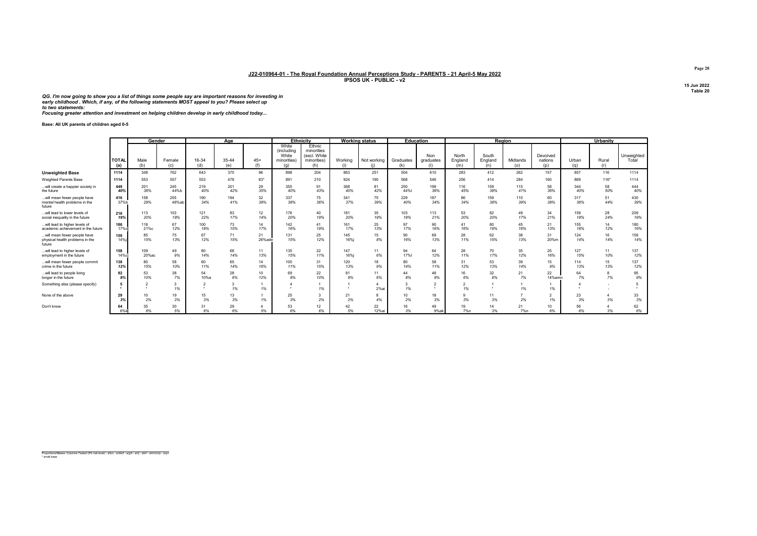QG. I'm now going to show you a list of things some people say are important reasons for investing in early childhood . Which, if any, of the following statements MOST appeal to you? Please select up to two statements:

Focusing greater attention and investment on helping children develop in early childhood today...

Base: All UK parents of children aged 0-5

|                                                                          |                     |              | Gender             |                | Aae          |              |                                                           | <b>Ethnicity</b>                                           |                | <b>Working status</b> |                        | Education               |                         |                         | Region          |                            |              | Urbanity     |                     |
|--------------------------------------------------------------------------|---------------------|--------------|--------------------|----------------|--------------|--------------|-----------------------------------------------------------|------------------------------------------------------------|----------------|-----------------------|------------------------|-------------------------|-------------------------|-------------------------|-----------------|----------------------------|--------------|--------------|---------------------|
|                                                                          | <b>TOTAL</b><br>(a) | Male<br>(b)  | Female<br>(c)      | 16-34<br>(d)   | 35-44<br>(e) | $45+$<br>(f) | White<br><i>(including</i><br>White<br>minorities)<br>(a) | Ethnic<br>minorities<br>(excl. White<br>minorities)<br>(h) | Working<br>(i) | Not working           | Graduates<br>(k)       | Non<br>graduates<br>(1) | North<br>England<br>(m) | South<br>England<br>(n) | Midlands<br>(0) | Devolved<br>nations<br>(p) | Urban<br>(a) | Rural<br>(r) | Unweighted<br>Total |
| <b>Unweighted Base</b>                                                   | 1114                | 348          | 762                | 643            | 375          | 96           | 898                                                       | 204                                                        | 863            | 251                   | 504                    | 610                     | 283                     | 412                     | 262             | 157                        | 857          | 116          | 1114                |
| Weighted Parents Base                                                    | 1114                | 553          | 557                | 553            | 478          | $83*$        | 891                                                       | 210                                                        | 924            | 190                   | 568                    | 546                     | 256                     | 414                     | 284             | 160                        | 869          | $116*$       | 1114                |
| will create a happier society in<br>the future                           | 449<br>40%          | 201<br>36%   | 245<br>44%b        | 219<br>40%     | 201<br>42%   | 29<br>35%    | 355<br>40%                                                | 91<br>43%                                                  | 368<br>40%     | 81<br>42%             | 250<br>44%I            | 199<br>36%              | 116<br>45%              | 159<br>38%              | 115<br>41%      | 58<br>36%                  | 344<br>40%   | 58<br>50%    | 444<br>40%          |
| will mean fewer people have<br>mental health problems in the<br>future   | 416<br>37%b         | 158<br>29%   | 255<br>46%ab       | 190<br>34%     | 194<br>41%   | 32<br>39%    | 337<br>38%                                                | 75<br>36%                                                  | 341<br>37%     | 75<br>39%             | 229<br>40%             | 187<br>34%              | 86<br>34%               | 159<br>38%              | 110<br>39%      | 60<br>38%                  | 317<br>36%   | 51<br>44%    | 430<br>39%          |
| will lead to lower levels of<br>social inequality in the future          | 216<br>19%          | 113<br>20%   | 103<br>18%         | 121<br>22%     | 83<br>17%    | 12<br>14%    | 176<br>20%                                                | 40<br>19%                                                  | 181<br>20%     | 35<br>19%             | 103<br>18%             | 113<br>21%              | 53<br>20%               | 82<br>20%               | 49<br>17%       | 34<br>21%                  | 159<br>18%   | 28<br>24%    | 209<br>19%          |
| will lead to higher levels of<br>academic achievement in the future      | 186<br>17%cl        | 118<br>21%c  | 67<br>12%          | 100<br>18%     | 73<br>15%    | 14<br>17%    | 142<br>16%                                                | 41<br>19%                                                  | 161<br>17%     | 25<br>13%             | 97<br>17%              | 90<br>16%               | 41<br>16%               | 80<br>19%               | 45<br>16%       | 21<br>13%                  | 155<br>18%   | 14<br>12%    | 180<br>16%          |
| will mean fewer people have<br>physical health problems in the<br>future | 159<br>14%i         | 85<br>15%    | 75<br>13%          | 67<br>12%      | 71<br>15%    | 21<br>26%ade | 131<br>15%                                                | 25<br>12%                                                  | 145<br>16%i    | 15<br>8%              | 90<br>16%              | 69<br>13%               | 28<br>11%               | 62<br>15%               | 38<br>13%       | 31<br>20%m                 | 124<br>14%   | 16<br>14%    | 159<br>14%          |
| will lead to higher levels of<br>employment in the future                | 158<br>14%ci        | 109<br>20%ac | 49<br>9%           | 80<br>14%      | 68<br>14%    | 11<br>13%    | 135<br>15%                                                | 22<br>11%                                                  | 147<br>16%i    | 11<br>6%              | 94<br>17%              | 64<br>12%               | 28<br>11%               | 70<br>17%               | 35<br>12%       | 25<br>16%                  | 127<br>15%   | 11<br>10%    | 137<br>12%          |
| will mean fewer people commit<br>crime in the future                     | 138<br>12%          | 80<br>15%    | 58<br>10%          | 60<br>11%      | 65<br>14%    | 14<br>16%    | 100<br>11%                                                | 31<br>15%                                                  | 120<br>13%     | 18<br>9%              | 80<br>14%              | 58<br>11%               | 31<br>12%               | 53<br>13%               | 39<br>14%       | 15<br>9%                   | 114<br>13%   | 15<br>13%    | 137<br>12%          |
| will lead to people living<br>longer in the future                       | 92<br>8%            | 53<br>10%    | 38<br>7%           | 54<br>10%e     | 28<br>6%     | 10<br>12%    | 69<br>8%                                                  | 22<br>10%                                                  | 81<br>9%       | 11<br>6%              | 44<br>8%               | 48<br>9%                | 16<br>6%                | 32<br>8%                | 21<br>7%        | 22<br>14%amn               | 64<br>7%     | 7%           | 95<br>9%            |
| Something else (please specify)                                          | 5                   |              | $\mathbf{3}$<br>1% | $\overline{2}$ | 3<br>1%      | 1%           |                                                           | 1%                                                         |                | 2%ai                  | 1%                     | $\overline{2}$          | $\overline{2}$<br>1%    |                         | 1%              | 1%                         |              |              |                     |
| None of the above                                                        | 29<br>3%            | 10<br>2%     | 19<br>3%           | 15<br>3%       | 13<br>3%     | 1%           | 25<br>3%                                                  | $\mathbf{3}$<br>2%                                         | 21<br>2%       | 4%                    | 10 <sup>10</sup><br>2% | 18<br>3%                | 9<br>3%                 | 11<br>3%                | 2%              | $\sim$<br>1%               | 23<br>3%     | 3%           | 33<br>3%            |
| Don't know                                                               | 64<br>6%k           | 35<br>6%     | 30<br>5%           | 31<br>6%       | 29<br>6%     | 5%           | 53<br>6%                                                  | 12<br>6%                                                   | 42<br>5%       | 22<br>12%ai           | 16<br>3%               | 49<br>9%ak              | 19<br>7%n               | 14<br>3%                | 21<br>7%n       | 10<br>6%                   | 56<br>6%     | 3%           | 62<br>6%            |

Proportions/Means: Columns Tested (5% risk level) - a/b/c - a/d/e/f - a/g/h - a/i/j - a/k/l - a/m/n/o/p - a/q/r \* small base

Page 20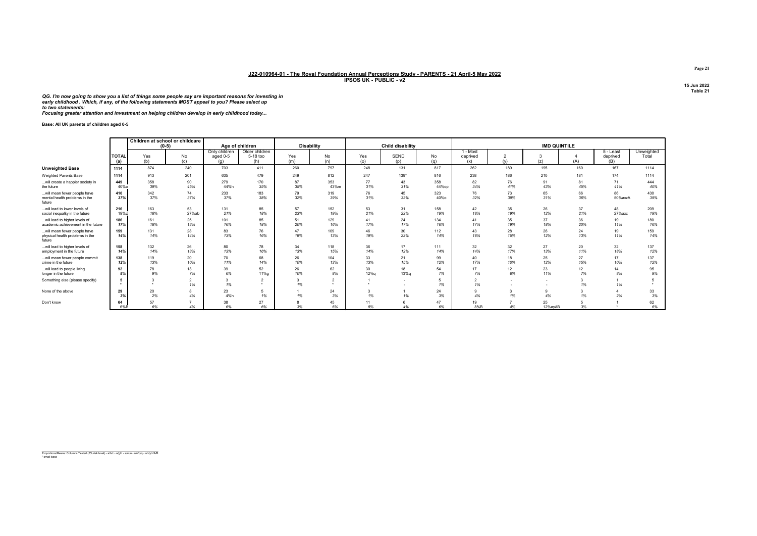QG. I'm now going to show you a list of things some people say are important reasons for investing in early childhood . Which, if any, of the following statements MOST appeal to you? Please select up to two statements:

Focusing greater attention and investment on helping children develop in early childhood today...

Base: All UK parents of children aged 0-5

|                                                                          |                     |            | Children at school or childcare<br>$(0-5)$ | Age of children                  |                                   | Disability |                                |                      | Child disability |              |                             |                       | <b>IMD QUINTILE</b> |           |                              |                     |
|--------------------------------------------------------------------------|---------------------|------------|--------------------------------------------|----------------------------------|-----------------------------------|------------|--------------------------------|----------------------|------------------|--------------|-----------------------------|-----------------------|---------------------|-----------|------------------------------|---------------------|
|                                                                          | <b>TOTAL</b><br>(a) | Yes<br>(b) | No<br>(c)                                  | Only children<br>aged 0-5<br>(a) | Older children<br>5-18 too<br>(h) | Yes<br>(m) | No<br>(n)                      | Yes<br>(o)           | SEND<br>(p)      | No<br>(q)    | 1 - Most<br>deprived<br>(x) | $\mathfrak{p}$<br>(v) | 3<br>(z)            | (A)       | 5 - Least<br>deprived<br>(B) | Unweighted<br>Total |
| <b>Unweighted Base</b>                                                   | 1114                | 874        | 240                                        | 703                              | 411                               | 260        | 797                            | 248                  | 131              | 817          | 262                         | 189                   | 195                 | 160       | 167                          | 1114                |
| <b>Weighted Parents Base</b>                                             | 1114                | 913        | 201                                        | 635                              | 479                               | 249        | 812                            | 247                  | 139*             | 816          | 238                         | 186                   | 210                 | 181       | 174                          | 1114                |
| will create a happier society in<br>the future                           | 449<br>$40%$ o      | 358<br>39% | 90<br>45%                                  | 279<br>44%h                      | 170<br>35%                        | 87<br>35%  | 353<br>43%m                    | 77<br>31%            | 43<br>31%        | 358<br>44%op | 82<br>34%                   | 76<br>41%             | 91<br>43%           | 81<br>45% | 71<br>41%                    | 444<br>40%          |
| will mean fewer people have<br>mental health problems in the<br>future   | 416<br>37%          | 342<br>37% | 74<br>37%                                  | 233<br>37%                       | 183<br>38%                        | 79<br>32%  | 319<br>39%                     | 76<br>31%            | 45<br>32%        | 323<br>40%o  | 76<br>32%                   | 73<br>39%             | 65<br>31%           | 66<br>36% | 86<br>50%axzA                | 430<br>39%          |
| will lead to lower levels of<br>social inequality in the future          | 216<br>19%z         | 163<br>18% | 53<br>27%ab                                | 131<br>21%                       | 85<br>18%                         | 57<br>23%  | 152<br>19%                     | 53<br>21%            | 31<br>22%        | 158<br>19%   | 42<br>18%                   | 35<br>19%             | 26<br>12%           | 37<br>21% | 48<br>27%axz                 | 209<br>19%          |
| will lead to higher levels of<br>academic achievement in the future      | 186<br>17%          | 161<br>18% | 25<br>13%                                  | 101<br>16%                       | 85<br>18%                         | 51<br>20%  | 129<br>16%                     | 41<br>17%            | 24<br>17%        | 134<br>16%   | 41<br>17%                   | 35<br>19%             | 37<br>18%           | 36<br>20% | 19<br>11%                    | 180<br>16%          |
| will mean fewer people have<br>physical health problems in the<br>future | 159<br>14%          | 131<br>14% | 28<br>14%                                  | 83<br>13%                        | 76<br>16%                         | 47<br>19%  | 109<br>13%                     | 46<br>19%            | 30<br>22%        | 112<br>14%   | 43<br>18%                   | 28<br>15%             | 26<br>12%           | 24<br>13% | 19<br>11%                    | 159<br>14%          |
| will lead to higher levels of<br>employment in the future                | 158<br>14%          | 132<br>14% | 26<br>13%                                  | 80<br>13%                        | 78<br>16%                         | 34<br>13%  | 118<br>15%                     | 36<br>14%            | 17<br>12%        | 111<br>14%   | 32<br>14%                   | $32\,$<br>17%         | 27<br>13%           | 20<br>11% | 32<br>18%                    | 137<br>12%          |
| will mean fewer people commit<br>crime in the future                     | 138<br>12%          | 119<br>13% | 20<br>10%                                  | 70<br>11%                        | 68<br>14%                         | 26<br>10%  | 104<br>13%                     | 33<br>13%            | 21<br>15%        | 99<br>12%    | 40<br>17%                   | 18<br>10%             | 25<br>12%           | 27<br>15% | 17<br>10%                    | 137<br>12%          |
| will lead to people living<br>longer in the future                       | 92<br>8%            | 78<br>9%   | 13<br>7%                                   | 39<br>6%                         | 52<br>11%a                        | 26<br>10%  | 62<br>8%                       | 30<br>12%q           | 18<br>13%g       | 54<br>7%     | 17<br>7%                    | 12<br>6%              | 23<br>11%           | 12<br>7%  | 14<br>8%                     | 95<br>9%            |
| Something else (please specify)                                          |                     | $\sim$     | $\overline{2}$<br>1%                       | 1%                               | $\overline{2}$                    | 1%         | $\sim$<br>$\ddot{\phantom{1}}$ | $\ddot{\phantom{1}}$ | . .              | 1%           | $\overline{2}$<br>1%        | . .                   | . .                 | 3<br>1%   | 1%                           |                     |
| None of the above                                                        | 29<br>3%            | 20<br>2%   | 8<br>4%                                    | 23<br>4%h                        | -5<br>1%                          | 1%         | 24<br>3%                       | 1%                   | 1%               | 24<br>3%     | $\mathbf{Q}$<br>4%          | 3<br>1%               | 9<br>4%             | 1%        | 2%                           | 33<br>3%            |
| Don't know                                                               | 64<br>6%B           | 57<br>6%   | 4%                                         | 38<br>6%                         | 27<br>6%                          | 3%         | 45<br>6%                       | 11<br>5%             | 6<br>4%          | 47<br>6%     | 19<br>8%B                   | $\overline{ }$<br>4%  | 25<br>12%avAB       | 3%        |                              | 62<br>6%            |

Proportions/Means: Columns Tested (5% risk level) - a/b/c - a/g/h - a/m/n - a/o/p/q - a/x/y/z/A/B \* small base

Page 21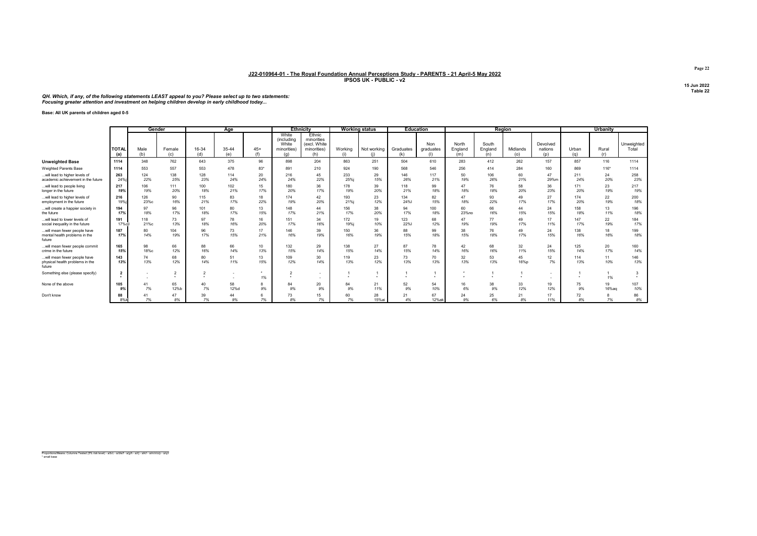QH. Which, if any, of the following statements LEAST appeal to you? Please select up to two statements:<br>Focusing greater attention and investment on helping children develop in early childhood today...

Base: All UK parents of children aged 0-5

|                                                                          |                         | Gender      |                |                | Age          |              |                                                    | <b>Ethnicity</b>                                           |                | <b>Working status</b> |                  | <b>Education</b>        |                         |                         | Region          |                            |              | Urbanity     |                         |
|--------------------------------------------------------------------------|-------------------------|-------------|----------------|----------------|--------------|--------------|----------------------------------------------------|------------------------------------------------------------|----------------|-----------------------|------------------|-------------------------|-------------------------|-------------------------|-----------------|----------------------------|--------------|--------------|-------------------------|
|                                                                          | <b>TOTAL</b><br>(a)     | Male<br>(b) | Female<br>(c)  | 16-34<br>(d)   | 35-44<br>(e) | $45+$<br>(f) | White<br>(includina<br>White<br>minorities)<br>(q) | Ethnic<br>minorities<br>(excl. White<br>minorities)<br>(h) | Working<br>(i) | Not working<br>(i)    | Graduates<br>(k) | Non<br>graduates<br>(1) | North<br>England<br>(m) | South<br>England<br>(n) | Midlands<br>(0) | Devolved<br>nations<br>(p) | Urban<br>(q) | Rural<br>(r) | Unweighted<br>Total     |
| <b>Unweighted Base</b>                                                   | 1114                    | 348         | 762            | 643            | 375          | 96           | 898                                                | 204                                                        | 863            | 251                   | 504              | 610                     | 283                     | 412                     | 262             | 157                        | 857          | 116          | 1114                    |
| Weighted Parents Base                                                    | 1114                    | 553         | 557            | 553            | 478          | 83*          | 891                                                | 210                                                        | 924            | 190                   | 568              | 546                     | 256                     | 414                     | 284             | 160                        | 869          | $116*$       | 1114                    |
| will lead to higher levels of<br>academic achievement in the future      | 263<br>24%              | 124<br>22%  | 138<br>25%     | 128<br>23%     | 114<br>24%   | 20<br>24%    | 216<br>24%                                         | 45<br>22%                                                  | 233<br>25%j    | 29<br>15%             | 146<br>26%       | 117<br>21%              | 50<br>19%               | 106<br>26%              | 60<br>21%       | 47<br>29%m                 | 211<br>24%   | 24<br>20%    | 258<br>23%              |
| will lead to people living<br>longer in the future                       | 217<br>19%              | 106<br>19%  | 111<br>20%     | 100<br>18%     | 102<br>21%   | 15<br>17%    | 180<br>20%                                         | 36<br>17%                                                  | 178<br>19%     | 39<br>20%             | 118<br>21%       | 99<br>18%               | 47<br>18%               | 76<br>18%               | 58<br>20%       | 36<br>23%                  | 171<br>20%   | 23<br>19%    | 217<br>19%              |
| will lead to higher levels of<br>employment in the future                | 216<br>19%              | 126<br>23%с | 90<br>16%      | 115<br>21%     | 83<br>17%    | 18<br>22%    | 174<br>19%                                         | 42<br>20%                                                  | 193<br>21%i    | 23<br>12%             | 134<br>24%       | 82<br>15%               | 47<br>18%               | 93<br>22%               | 49<br>17%       | 27<br>17%                  | 174<br>20%   | 22<br>19%    | 200<br>18%              |
| will create a happier society in<br>the future                           | 194<br>17%              | 97<br>18%   | 96<br>17%      | 101<br>18%     | 80<br>17%    | 13<br>15%    | 148<br>17%                                         | 44<br>21%                                                  | 156<br>17%     | 38<br>20%             | 94<br>17%        | 100<br>18%              | 60<br>23%no             | 66<br>16%               | 44<br>15%       | 24<br>15%                  | 158<br>18%   | 13<br>11%    | 196<br>18%              |
| will lead to lower levels of<br>social inequality in the future          | 191<br>17%cil           | 118<br>21%c | 73<br>13%      | 97<br>18%      | 78<br>16%    | 16<br>20%    | 151<br>17%                                         | 34<br>16%                                                  | 172<br>19%j    | 19<br>10%             | 123<br>22%       | 68<br>12%               | 47<br>19%               | 77<br>19%               | 49<br>17%       | 17<br>11%                  | 147<br>17%   | 22<br>19%    | 184<br>17%              |
| will mean fewer people have<br>mental health problems in the<br>future   | 187<br>17%              | 80<br>14%   | 104<br>19%     | 96<br>17%      | 73<br>15%    | 17<br>21%    | 146<br>16%                                         | 39<br>19%                                                  | 150<br>16%     | 36<br>19%             | 88<br>15%        | 99<br>18%               | 38<br>15%               | 76<br>18%               | 49<br>17%       | 24<br>15%                  | 138<br>16%   | 18<br>16%    | 199<br>18%              |
| will mean fewer people commit<br>crime in the future                     | 165<br>15%              | 98<br>18%с  | 66<br>12%      | 88<br>16%      | 66<br>14%    | 10<br>13%    | 132<br>15%                                         | 29<br>14%                                                  | 138<br>15%     | 27<br>14%             | 87<br>15%        | 78<br>14%               | 42<br>16%               | 68<br>16%               | 32<br>11%       | 24<br>15%                  | 125<br>14%   | 20<br>17%    | 160<br>14%              |
| will mean fewer people have<br>physical health problems in the<br>future | 143<br>13%              | 74<br>13%   | 68<br>12%      | 80<br>14%      | 51<br>11%    | 13<br>15%    | 109<br>12%                                         | 30<br>14%                                                  | 119<br>13%     | 23<br>12%             | 73<br>13%        | 70<br>13%               | 32<br>13%               | 53<br>13%               | 45<br>16%p      | 12<br>7%                   | 114<br>13%   | 11<br>10%    | 146<br>13%              |
| Something else (please specify)                                          | $\overline{\mathbf{2}}$ |             | $\overline{2}$ | $\overline{2}$ |              | 1%           | $\mathbf{\hat{a}}$                                 | $\overline{\phantom{a}}$                                   |                |                       |                  |                         |                         |                         |                 |                            | $\ddot{}$    | 1%           | $\overline{\mathbf{3}}$ |
| None of the above                                                        | 105<br>9%               | 41<br>7%    | 65<br>12%b     | 40<br>7%       | 58<br>12%d   | 9%           | 84<br>9%                                           | 20<br>9%                                                   | 84<br>9%       | 21<br>11%             | 52<br>9%         | 54<br>10%               | 16<br>6%                | 38<br>9%                | 33<br>12%       | 19<br>12%                  | 75<br>9%     | 19<br>16%aq  | 107<br>10%              |
| Don't know                                                               | 88<br>8%k               | 7%          | 47<br>8%       | 39<br>7%       | 44<br>9%     | 7%           | 73<br>8%                                           | 15<br>7%                                                   | 60<br>7%       | 28<br>15%ai           | 21<br>4%         | 67<br>12%ak             | 24<br>9%                | 25<br>6%                | 21<br>8%        | 17<br>11%                  | 72<br>8%     | 7%           | 86<br>8%                |

Proportions/Means: Columns Tested (5% risk level) - a/b/c - a/d/e/f - a/g/h - a/i/j - a/k/l - a/m/n/o/p - a/q/r \* small base

Page 22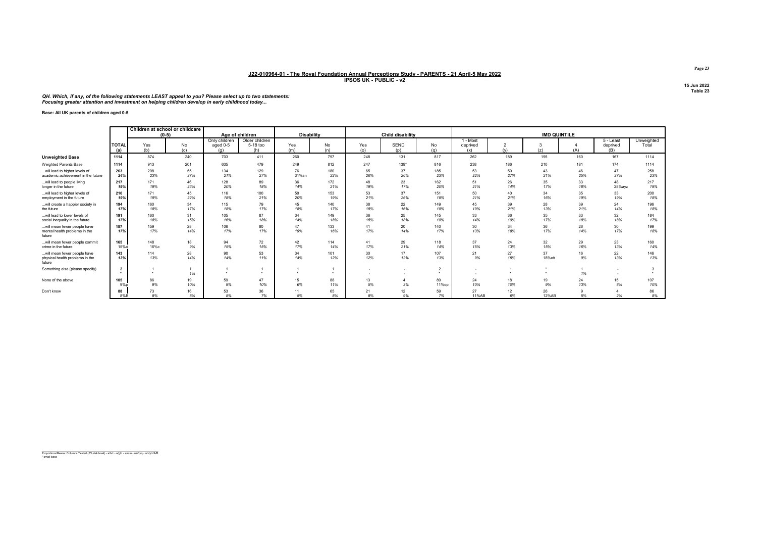#### QH. Which, if any, of the following statements LEAST appeal to you? Please select up to two statements:<br>Focusing greater attention and investment on helping children develop in early childhood today...

#### Base: All UK parents of children aged 0-5

|                                                                          |                     |             | Children at school or childcare<br>$(0-5)$ |                                  | Age of children                   | <b>Disability</b> |            |            | Child disability         |             |                             |                       | <b>IMD QUINTILE</b> |           |                                |                     |
|--------------------------------------------------------------------------|---------------------|-------------|--------------------------------------------|----------------------------------|-----------------------------------|-------------------|------------|------------|--------------------------|-------------|-----------------------------|-----------------------|---------------------|-----------|--------------------------------|---------------------|
|                                                                          | <b>TOTAL</b><br>(a) | Yes<br>(b)  | No<br>(c)                                  | Only children<br>aged 0-5<br>(q) | Older children<br>5-18 too<br>(h) | Yes<br>(m)        | No<br>(n)  | Yes<br>(o) | SEND<br>(D)              | No<br>(q)   | 1 - Most<br>deprived<br>(x) | $\overline{2}$<br>(y) | (z)                 | (A)       | $5 -$ Least<br>deprived<br>(B) | Unweighted<br>Total |
| <b>Unweighted Base</b>                                                   | 1114                | 874         | 240                                        | 703                              | 411                               | 260               | 797        | 248        | 131                      | 817         | 262                         | 189                   | 195                 | 160       | 167                            | 1114                |
| <b>Weighted Parents Base</b>                                             | 1114                | 913         | 201                                        | 635                              | 479                               | 249               | 812        | 247        | $139*$                   | 816         | 238                         | 186                   | 210                 | 181       | 174                            | 1114                |
| will lead to higher levels of<br>academic achievement in the future      | 263<br>24%          | 208<br>23%  | 55<br>27%                                  | 134<br>21%                       | 129<br>27%                        | 76<br>31%an       | 180<br>22% | 65<br>26%  | 37<br>26%                | 185<br>23%  | 53<br>22%                   | 50<br>27%             | 43<br>21%           | 46<br>25% | 47<br>27%                      | 258<br>23%          |
| will lead to people living<br>longer in the future                       | 217<br>19%          | 171<br>19%  | 46<br>23%                                  | 128<br>20%                       | 89<br>18%                         | 36<br>14%         | 172<br>21% | 48<br>19%  | 23<br>17%                | 162<br>20%  | 51<br>21%                   | 26<br>14%             | 35<br>17%           | 33<br>18% | 48<br>28%ayz                   | 217<br>19%          |
| will lead to higher levels of<br>employment in the future                | 216<br>19%          | 171<br>19%  | 45<br>22%                                  | 116<br>18%                       | 100<br>21%                        | 50<br>20%         | 153<br>19% | 53<br>21%  | 37<br>26%                | 151<br>18%  | 50<br>21%                   | 40<br>21%             | 34<br>16%           | 35<br>19% | 33<br>19%                      | 200<br>18%          |
| will create a happier society in<br>the future                           | 194<br>17%          | 160<br>18%  | 34<br>17%                                  | 115<br>18%                       | 79<br>17%                         | 45<br>18%         | 140<br>17% | 38<br>15%  | 22<br>16%                | 149<br>18%  | 45<br>19%                   | 39<br>21%             | 28<br>13%           | 39<br>21% | 24<br>14%                      | 196<br>18%          |
| will lead to lower levels of<br>social inequality in the future          | 191<br>17%          | 160<br>18%  | 31<br>15%                                  | 105<br>16%                       | 87<br>18%                         | 34<br>14%         | 149<br>18% | 36<br>15%  | 25<br>18%                | 145<br>18%  | 33<br>14%                   | 36<br>19%             | 35<br>17%           | 33<br>18% | 32<br>18%                      | 184<br>17%          |
| will mean fewer people have<br>mental health problems in the<br>future   | 187<br>17%          | 159<br>17%  | 28<br>14%                                  | 106<br>17%                       | 80<br>17%                         | 47<br>19%         | 133<br>16% | 41<br>17%  | 20<br>14%                | 140<br>17%  | 30<br>13%                   | 34<br>18%             | 36<br>17%           | 26<br>14% | 30<br>17%                      | 199<br>18%          |
| will mean fewer people commit<br>crime in the future                     | 165<br>15%c         | 148<br>16%с | 18<br>9%                                   | 94<br>15%                        | 72<br>15%                         | 42<br>17%         | 114<br>14% | 41<br>17%  | 29<br>21%                | 118<br>14%  | 37<br>15%                   | 24<br>13%             | 32<br>15%           | 29<br>16% | 23<br>13%                      | 160<br>14%          |
| will mean fewer people have<br>physical health problems in the<br>future | 143<br>13%          | 114<br>13%  | 28<br>14%                                  | 90<br>14%                        | 53<br>11%                         | 34<br>14%         | 101<br>12% | 30<br>12%  | 17<br>12%                | 107<br>13%  | 21<br>9%                    | 27<br>15%             | 37<br>18%xA         | 16<br>9%  | 22<br>13%                      | 146<br>13%          |
| Something else (please specify)                                          | $\overline{2}$      |             | 1%                                         | $\ddot{\phantom{1}}$             | $\bullet$                         | $\sim$            |            | $\sim$     | $\overline{\phantom{a}}$ | $\star$     | ٠                           |                       |                     | 1%        |                                |                     |
| None of the above                                                        | 105<br>9%p          | 86<br>9%    | 19<br>10%                                  | 59<br>9%                         | 47<br>10%                         | 15<br>6%          | 88<br>11%  | 13<br>5%   | 3%                       | 89<br>11%op | 24<br>10%                   | 18<br>10%             | 19<br>9%            | 24<br>13% | 15<br>8%                       | 107<br>10%          |
| Don't know                                                               | 88<br>$8\%B$        | 73<br>8%    | 16<br>8%                                   | 53<br>8%                         | 36<br>7%                          | 11<br>5%          | 65<br>8%   | 21<br>8%   | 12<br>9%                 | 59<br>7%    | 27<br>11%AB                 | 12<br>6%              | 26<br>12%AB         | 5%        | 2%                             | 86<br>8%            |

Proportions/Means: Columns Tested (5% risk level) - a/b/c - a/g/h - a/m/n - a/o/p/q - a/x/y/z/A/B \* small base

Page 23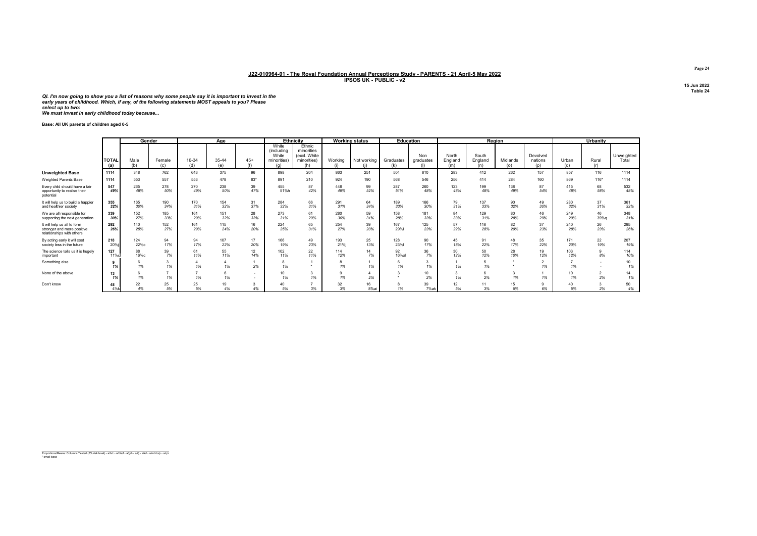QI. I'm now going to show you a list of reasons why some people say it is important to invest in the<br>early years of childhood. Which, if any, of the following statements MOST appeals to you? Please<br>select up to two: We must invest in early childhood today because...

Base: All UK parents of children aged 0-5

|                                                                                        |                       |             | Gender        |              | Age          |              |                                                    | Ethnicity                                                  |             | <b>Working status</b> |                  | Education        |                         |                         | Region          |                            |              | Urbanity             |                     |
|----------------------------------------------------------------------------------------|-----------------------|-------------|---------------|--------------|--------------|--------------|----------------------------------------------------|------------------------------------------------------------|-------------|-----------------------|------------------|------------------|-------------------------|-------------------------|-----------------|----------------------------|--------------|----------------------|---------------------|
|                                                                                        | <b>I</b> TOTAL<br>(a) | Male<br>(b) | Female<br>(c) | 16-34<br>(d) | 35-44<br>(e) | $45+$<br>(f) | White<br>(including<br>White<br>minorities)<br>(a) | Ethnic<br>minorities<br>(excl. White<br>minorities)<br>(h) | Working     | Not working<br>(i)    | Graduates<br>(k) | Non<br>graduates | North<br>England<br>(m) | South<br>England<br>(n) | Midlands<br>(o) | Devolved<br>nations<br>(p) | Urban<br>(a) | Rural<br>(r)         | Unweighted<br>Total |
| <b>Unweighted Base</b>                                                                 | 1114                  | 348         | 762           | 643          | 375          | 96           | 898                                                | 204                                                        | 863         | 251                   | 504              | 610              | 283                     | 412                     | 262             | 157                        | 857          | 116                  | 1114                |
| Weighted Parents Base                                                                  | 1114                  | 553         | 557           | 553          | 478          | $83*$        | 891                                                | 210                                                        | 924         | 190                   | 568              | 546              | 256                     | 414                     | 284             | 160                        | 869          | $116*$               | 1114                |
| Every child should have a fair<br>opportunity to realise their<br>potential            | 547<br>49%            | 265<br>48%  | 278<br>50%    | 270<br>49%   | 238<br>50%   | 39<br>47%    | 455<br>51%h                                        | 87<br>42%                                                  | 448<br>49%  | 99<br>52%             | 287<br>51%       | 260<br>48%       | 123<br>48%              | 199<br>48%              | 138<br>49%      | 87<br>54%                  | 415<br>48%   | 68<br>58%            | 532<br>48%          |
| It will help us to build a happier<br>and healthier society                            | 355<br>32%            | 165<br>30%  | 190<br>34%    | 170<br>31%   | 154<br>32%   | 31<br>37%    | 284<br>32%                                         | 66<br>31%                                                  | 291<br>31%  | 64<br>34%             | 189<br>33%       | 166<br>30%       | 79<br>31%               | 137<br>33%              | 90<br>32%       | 49<br>30%                  | 280<br>32%   | 37<br>31%            | 361<br>32%          |
| We are all responsible for<br>supporting the next generation                           | 339<br>30%            | 152<br>27%  | 185<br>33%    | 161<br>29%   | 151<br>32%   | 28<br>33%    | 273<br>31%                                         | 61<br>29%                                                  | 280<br>30%  | 59<br>31%             | 158<br>28%       | 181<br>33%       | 84<br>33%               | 129<br>31%              | 80<br>28%       | 46<br>29%                  | 249<br>29%   | 46<br>39%g           | 348<br>31%          |
| It will help us all to form<br>stronger and more positive<br>relationships with others | 292<br>26%            | 140<br>25%  | 152<br>27%    | 161<br>29%   | 115<br>24%   | 16<br>20%    | 224<br>25%                                         | 65<br>31%                                                  | 254<br>27%  | 39<br>20%             | 167<br>29%       | 125<br>23%       | 57<br>22%               | 116<br>28%              | 82<br>29%       | 37<br>23%                  | 240<br>28%   | 26<br>23%            | 295<br>26%          |
| By acting early it will cost<br>society less in the future                             | 218<br>20%i           | 124<br>22%c | 94<br>17%     | 94<br>17%    | 107<br>22%   | 17<br>20%    | 166<br>19%                                         | 49<br>23%                                                  | 193<br>21%i | 25<br>13%             | 128<br>23%       | 90<br>17%        | 45<br>18%               | 91<br>22%               | 48<br>17%       | 35<br>22%                  | 171<br>20%   | 22<br>19%            | 207<br>19%          |
| The science tells us it is hugely<br>important                                         | 127<br>11%cl          | 88<br>16%с  | 39<br>7%      | 61<br>11%    | 55<br>11%    | 12<br>14%    | 102<br>11%                                         | 22<br>11%                                                  | 114<br>12%  | 14<br>7%              | 92<br>16%al      | 36<br>7%         | 30<br>12%               | 50<br>12%               | 28<br>10%       | 19<br>12%                  | 103<br>12%   | 9<br>8%              | 114<br>10%          |
| Something else                                                                         | 1%                    | 6<br>1%     | 1%            | 1%           | 1%           | 2%           | 8<br>1%                                            |                                                            | 1%          | 1%                    | 1%               | 3<br>1%          | 1%                      | 1%                      |                 | 1%                         | 1%           |                      | 10<br>1%            |
| None of the above                                                                      | 13<br>1%              | 6<br>1%     | 1%            | 1%           | 1%           |              | 10<br>1%                                           | 1%                                                         | 1%          | 2%                    |                  | 10<br>2%         | 1%                      | 2%                      | 1%              | 1%                         | 10<br>1%     | $\overline{2}$<br>2% | 14<br>1%            |
| Don't know                                                                             | 48<br>4%k             | 22<br>4%    | 25<br>5%      | 25<br>5%     | 19<br>4%     | 4%           | 40<br>5%                                           | 3%                                                         | 32<br>3%    | 16<br>8%ai            | 1%               | 39<br>7%ak       | 12<br>5%                | 3%                      | 5%              | 6%                         | 40<br>5%     | 2%                   | 50<br>4%            |

Proportions/Means: Columns Tested (5% risk level) - a/b/c - a/d/e/f - a/g/h - a/i/j - a/k/l - a/m/n/o/p - a/q/r \* small base

Page 24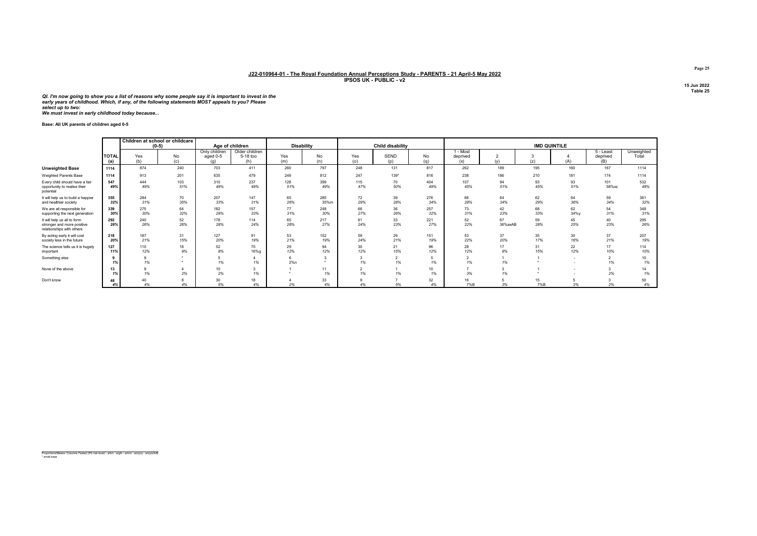QI. I'm now going to show you a list of reasons why some people say it is important to invest in the<br>early years of childhood. Which, if any, of the following statements MOST appeals to you? Please<br>select up to two: We must invest in early childhood today because...

Base: All UK parents of children aged 0-5

|                                                                                        |                     |            | Children at school or childcare<br>$(0-5)$ |                                  | Age of children                   | <b>Disability</b> |             |            | <b>Child disability</b> |            |                             |                       | <b>IMD QUINTILE</b> |            |                              |                     |
|----------------------------------------------------------------------------------------|---------------------|------------|--------------------------------------------|----------------------------------|-----------------------------------|-------------------|-------------|------------|-------------------------|------------|-----------------------------|-----------------------|---------------------|------------|------------------------------|---------------------|
|                                                                                        | <b>TOTAL</b><br>(a) | Yes<br>(b) | No<br>(c)                                  | Only children<br>aged 0-5<br>(a) | Older children<br>5-18 too<br>(h) | Yes<br>(m)        | No<br>(n)   | Yes<br>(0) | <b>SEND</b><br>(p)      | No<br>(q)  | 1 - Most<br>deprived<br>(x) | $\overline{2}$<br>(v) | (z)                 | (A)        | 5 - Least<br>deprived<br>(B) | Unweighted<br>Total |
| <b>Unweighted Base</b>                                                                 | 1114                | 874        | 240                                        | 703                              | 411                               | 260               | 797         | 248        | 131                     | 817        | 262                         | 189                   | 195                 | 160        | 167                          | 1114                |
| Weighted Parents Base                                                                  | 1114                | 913        | 201                                        | 635                              | 479                               | 249               | 812         | 247        | 139*                    | 816        | 238                         | 186                   | 210                 | 181        | 174                          | 1114                |
| Every child should have a fair<br>opportunity to realise their<br>potential            | 547<br>49%          | 444<br>49% | 103<br>51%                                 | 310<br>49%                       | 237<br>49%                        | 128<br>51%        | 399<br>49%  | 115<br>47% | 70<br>50%               | 404<br>49% | 107<br>45%                  | 94<br>51%             | 93<br>45%           | 93<br>51%  | 101<br>58%xz                 | 532<br>48%          |
| It will help us to build a happier<br>and healthier society                            | 355<br>32%          | 284<br>31% | 70<br>35%                                  | 207<br>33%                       | 147<br>31%                        | 65<br>26%         | 285<br>35%m | 72<br>29%  | 39<br>28%               | 276<br>34% | 66<br>28%                   | 64<br>34%             | 62<br>29%           | 64<br>36%  | 59<br>34%                    | 361<br>32%          |
| We are all responsible for<br>supporting the next generation                           | 339<br>30%          | 275<br>30% | 64<br>32%                                  | 182<br>29%                       | 157<br>33%                        | 77<br>31%         | 248<br>30%  | 66<br>27%  | 36<br>26%               | 257<br>32% | 73<br>31%                   | 42<br>23%             | 68<br>33%           | 62<br>34%y | 54<br>31%                    | 348<br>31%          |
| It will help us all to form<br>stronger and more positive<br>relationships with others | 292<br>26%          | 240<br>26% | 52<br>26%                                  | 178<br>28%                       | 114<br>24%                        | 65<br>26%         | 217<br>27%  | 61<br>24%  | 33<br>23%               | 221<br>27% | 52<br>22%                   | 67<br>36%axAB         | 59<br>28%           | 45<br>25%  | 40<br>23%                    | 295<br>26%          |
| By acting early it will cost<br>society less in the future                             | 218<br>20%          | 187<br>21% | 31<br>15%                                  | 127<br>20%                       | 91<br>19%                         | 53<br>21%         | 152<br>19%  | 59<br>24%  | 29<br>21%               | 151<br>19% | 53<br>22%                   | 37<br>20%             | 35<br>17%           | 30<br>16%  | 37<br>21%                    | 207<br>19%          |
| The science tells us it is hugely<br>important                                         | 127<br>11%          | 110<br>12% | 18<br>9%                                   | 52<br>8%                         | 75<br>16%g                        | 29<br>12%         | 94<br>12%   | 30<br>12%  | 21<br>15%               | 96<br>12%  | 28<br>12%                   | 17<br>9%              | 31<br>15%           | 22<br>12%  | 17<br>10%                    | 114<br>10%          |
| Something else                                                                         | 9<br>1%             | 9<br>1%    |                                            | 1%                               | 1%                                | 2%n               |             | 1%         | $\sim$<br>1%            | 1%         | $\overline{2}$<br>1%        | 1%                    |                     | $\sim$     | $\sim$<br>1%                 | 10<br>1%            |
| None of the above                                                                      | 13<br>1%            | 1%         | 2%                                         | 10<br>2%                         | 1%                                |                   | 11<br>1%    | 1%         | 1%                      | 10<br>1%   | 3%                          | 1%                    |                     |            | 2%                           | 14<br>1%            |
| Don't know                                                                             | 48<br>4%            | 40<br>4%   | 4%                                         | 30<br>5%                         | 18<br>4%                          | 2%                | 33<br>4%    | 4%         | 5%                      | 32<br>4%   | 7%B                         | 3%                    | 15<br>7%B           | 3%         | 2%                           | 50<br>4%            |

Proportions/Means: Columns Tested (5% risk level) - a/b/c - a/g/h - a/m/n - a/o/p/q - a/x/y/z/A/B \* small base

Page 25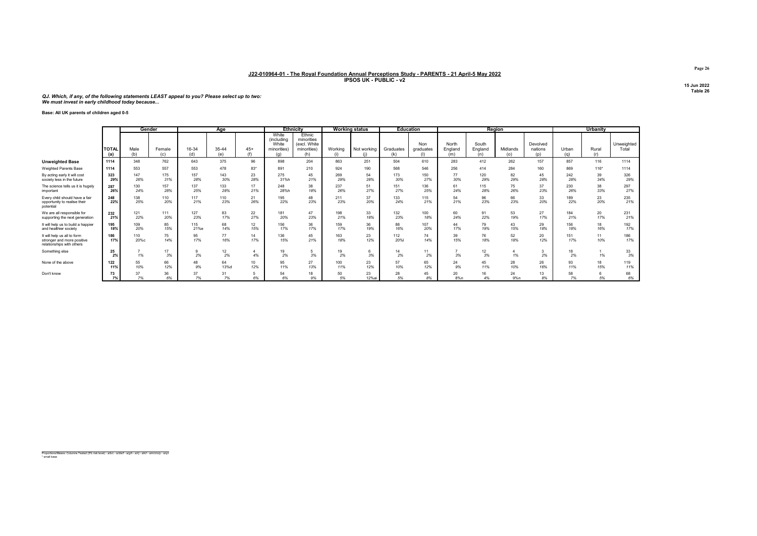QJ. Which, if any, of the following statements LEAST appeal to you? Please select up to two: We must invest in early childhood today because...

Base: All UK parents of children aged 0-5

|                                                                                        |                     | Gender      |               |              | Age          |              | <b>Ethnicity</b>                                   |                                                            |            | <b>Working status</b> |                  | <b>Education</b> |                         |                         | Region          |                            |              | <b>Urbanity</b> |                     |
|----------------------------------------------------------------------------------------|---------------------|-------------|---------------|--------------|--------------|--------------|----------------------------------------------------|------------------------------------------------------------|------------|-----------------------|------------------|------------------|-------------------------|-------------------------|-----------------|----------------------------|--------------|-----------------|---------------------|
|                                                                                        | <b>TOTAL</b><br>(a) | Male<br>(b) | Female<br>(c) | 16-34<br>(d) | 35-44<br>(e) | $45+$<br>(f) | White<br>(including<br>White<br>minorities)<br>(a) | Ethnic<br>minorities<br>(excl. White<br>minorities)<br>(h) | Working    | Not working<br>(i)    | Graduates<br>(k) | Non<br>graduates | North<br>England<br>(m) | South<br>England<br>(n) | Midlands<br>(o) | Devolved<br>nations<br>(p) | Urban<br>(a) | Rural<br>(r)    | Unweighted<br>Total |
| <b>Unweighted Base</b>                                                                 | 1114                | 348         | 762           | 643          | 375          | 96           | 898                                                | 204                                                        | 863        | 251                   | 504              | 610              | 283                     | 412                     | 262             | 157                        | 857          | 116             | 1114                |
| Weighted Parents Base                                                                  | 1114                | 553         | 557           | 553          | 478          | 83*          | 891                                                | 210                                                        | 924        | 190                   | 568              | 546              | 256                     | 414                     | 284             | 160                        | 869          | $116*$          | 1114                |
| By acting early it will cost<br>society less in the future                             | 323<br>29%          | 147<br>26%  | 175<br>31%    | 157<br>28%   | 143<br>30%   | 23<br>28%    | 275<br>31%h                                        | 45<br>21%                                                  | 269<br>29% | 54<br>28%             | 173<br>30%       | 150<br>27%       | 77<br>30%               | 120<br>29%              | 82<br>29%       | 45<br>28%                  | 242<br>28%   | 39<br>34%       | 326<br>29%          |
| The science tells us it is hugely<br>important                                         | 287<br>26%          | 130<br>24%  | 157<br>28%    | 137<br>25%   | 133<br>28%   | 17<br>21%    | 248<br>28%h                                        | 38<br>18%                                                  | 237<br>26% | 51<br>27%             | 151<br>27%       | 136<br>25%       | 61<br>24%               | 115<br>28%              | 75<br>26%       | 37<br>23%                  | 230<br>26%   | 38<br>33%       | 297<br>27%          |
| Every child should have a fair<br>opportunity to realise their<br>potential            | 248<br>22%          | 138<br>25%  | 110<br>20%    | 117<br>21%   | 110<br>23%   | 21<br>26%    | 195<br>22%                                         | 48<br>23%                                                  | 211<br>23% | 37<br>20%             | 133<br>24%       | 115<br>21%       | 54<br>21%               | 96<br>23%               | 66<br>23%       | 33<br>20%                  | 189<br>22%   | 23<br>20%       | 235<br>21%          |
| We are all responsible for<br>supporting the next generation                           | 232<br>21%          | 121<br>22%  | 111<br>20%    | 127<br>23%   | 83<br>17%    | 22<br>27%    | 181<br>20%                                         | 47<br>23%                                                  | 198<br>21% | 33<br>18%             | 132<br>23%       | 100<br>18%       | 60<br>24%               | 91<br>22%               | 53<br>19%       | 27<br>17%                  | 184<br>21%   | 20<br>17%       | 231<br>21%          |
| It will help us to build a happier<br>and healthier society                            | 195<br>18%          | 109<br>20%  | 85<br>15%     | 115<br>21%e  | 68<br>14%    | 12<br>15%    | 156<br>17%                                         | 36<br>17%                                                  | 159<br>17% | 36<br>19%             | 88<br>16%        | 107<br>20%       | 44<br>17%               | 79<br>19%               | 43<br>15%       | 29<br>18%                  | 156<br>18%   | 18<br>16%       | 192<br>17%          |
| It will help us all to form<br>stronger and more positive<br>relationships with others | 186<br>17%          | 110<br>20%c | 75<br>14%     | 95<br>17%    | 77<br>16%    | 14<br>17%    | 136<br>15%                                         | 45<br>21%                                                  | 163<br>18% | 23<br>12%             | 112<br>20%       | 74<br>14%        | 39<br>15%               | 76<br>18%               | 52<br>18%       | 20<br>12%                  | 151<br>17%   | 11<br>10%       | 186<br>17%          |
| Something else                                                                         | 25<br>2%            | 1%          | 17<br>3%      | 2%           | 12<br>2%     | 4%           | 19<br>2%                                           | 3%                                                         | 19<br>2%   | 3%                    | 14<br>2%         | 11<br>2%         | 3%                      | 12<br>3%                | 1%              | 2%                         | 18<br>2%     | 1%              | 33<br>3%            |
| None of the above                                                                      | 122<br>11%          | 55<br>10%   | 66<br>12%     | 48<br>9%     | 64<br>13%d   | 10<br>12%    | 95<br>11%                                          | 27<br>13%                                                  | 100<br>11% | 23<br>12%             | 57<br>10%        | 65<br>12%        | 24<br>9%                | 45<br>11%               | 28<br>10%       | 26<br>16%                  | 93<br>11%    | 18<br>15%       | 119<br>11%          |
| Don't know                                                                             | 73<br>7%            | 37<br>7%    | 36<br>6%      | 37<br>7%     | 31<br>7%     | 6%           | 54<br>6%                                           | 18<br>9%                                                   | 50<br>5%   | 23<br>12%ai           | 28<br>5%         | 45<br>8%         | 20<br>8%n               | 16<br>4%                | 24<br>9%n       | 13<br>8%                   | 58<br>7%     | 6<br>5%         | 68<br>6%            |

Proportions/Means: Columns Tested (5% risk level) - a/b/c - a/d/e/f - a/g/h - a/i/j - a/k/l - a/m/n/o/p - a/q/r \* small base

Page 26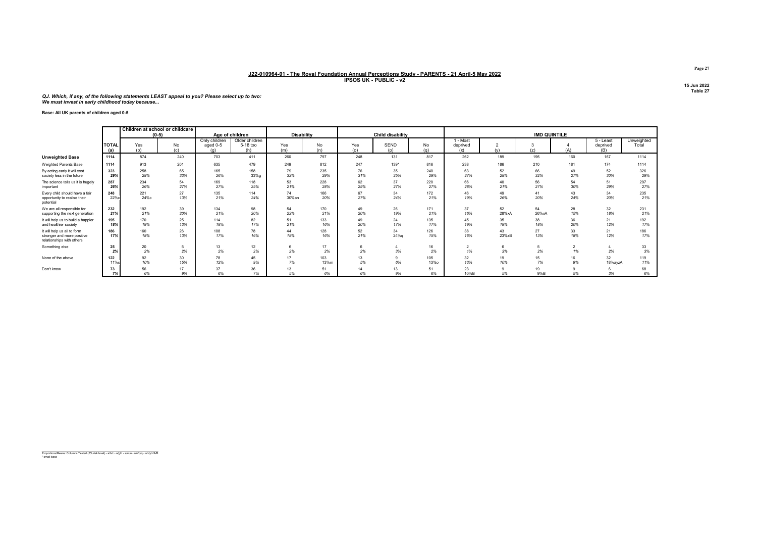QJ. Which, if any, of the following statements LEAST appeal to you? Please select up to two: We must invest in early childhood today because...

#### Base: All UK parents of children aged 0-5

|                                                                                        |                     |             | Children at school or childcare<br>$(0-5)$ |                                  | Age of children                   | <b>Disability</b> |             |            | Child disability   |                    | <b>IMD QUINTILE</b>           |             |             |           |                              |                     |  |
|----------------------------------------------------------------------------------------|---------------------|-------------|--------------------------------------------|----------------------------------|-----------------------------------|-------------------|-------------|------------|--------------------|--------------------|-------------------------------|-------------|-------------|-----------|------------------------------|---------------------|--|
|                                                                                        | <b>TOTAL</b><br>(a) | Yes<br>(b)  | No<br>(c)                                  | Only children<br>aged 0-5<br>(a) | Older children<br>5-18 too<br>(h) | Yes<br>(m)        | No<br>(n)   | Yes<br>(0) | <b>SEND</b><br>(p) | <b>No</b><br>(q)   | - Most<br>deprived<br>(x)     | (v)         | 3<br>(z)    | (A)       | 5 - Least<br>deprived<br>(B) | Unweighted<br>Total |  |
| <b>Unweighted Base</b>                                                                 | 1114                | 874         | 240                                        | 703                              | 411                               | 260               | 797         | 248        | 131                | 817                | 262                           | 189         | 195         | 160       | 167                          | 1114                |  |
| Weighted Parents Base                                                                  | 1114                | 913         | 201                                        | 635                              | 479                               | 249               | 812         | 247        | 139*               | 816                | 238                           | 186         | 210         | 181       | 174                          | 1114                |  |
| By acting early it will cost<br>society less in the future                             | 323<br>29%          | 258<br>28%  | 65<br>33%                                  | 165<br>26%                       | 158<br>33%g                       | 79<br>32%         | 235<br>29%  | 76<br>31%  | 35<br>25%          | 240<br>29%         | 63<br>27%                     | 52<br>28%   | 66<br>32%   | 49<br>27% | 52<br>30%                    | 326<br>29%          |  |
| The science tells us it is hugely<br>important                                         | 287<br>26%          | 234<br>26%  | 54<br>27%                                  | 169<br>27%                       | 118<br>25%                        | 53<br>21%         | 228<br>28%  | 62<br>25%  | 37<br>27%          | 220<br>27%         | 66<br>28%                     | 40<br>21%   | 56<br>27%   | 54<br>30% | 51<br>29%                    | 297<br>27%          |  |
| Every child should have a fair<br>opportunity to realise their<br>potential            | 248<br>22%c         | 221<br>24%с | 27<br>13%                                  | 135<br>21%                       | 114<br>24%                        | 74<br>30%an       | 166<br>20%  | 67<br>27%  | 34<br>24%          | 172<br>21%         | 46<br>19%                     | 49<br>26%   | 41<br>20%   | 43<br>24% | 34<br>20%                    | 235<br>21%          |  |
| We are all responsible for<br>supporting the next generation                           | 232<br>21%          | 192<br>21%  | 39<br>20%                                  | 134<br>21%                       | 98<br>20%                         | 54<br>22%         | 170<br>21%  | 49<br>20%  | 26<br>19%          | 171<br>21%         | 37<br>16%                     | 52<br>28%xA | 54<br>26%xA | 28<br>15% | 32<br>18%                    | 231<br>21%          |  |
| It will help us to build a happier<br>and healthier society                            | 195<br>18%          | 170<br>19%  | 25<br>13%                                  | 114<br>18%                       | 82<br>17%                         | 51<br>21%         | 133<br>16%  | 49<br>20%  | 24<br>17%          | 135<br>17%         | 45<br>19%                     | 35<br>19%   | 38<br>18%   | 36<br>20% | 21<br>12%                    | 192<br>17%          |  |
| It will help us all to form<br>stronger and more positive<br>relationships with others | 186<br>17%          | 160<br>18%  | 26<br>13%                                  | 108<br>17%                       | 78<br>16%                         | 44<br>18%         | 128<br>16%  | 52<br>21%  | 34<br>24%g         | 126<br>15%         | 38<br>16%                     | 43<br>23%zB | 27<br>13%   | 33<br>18% | 21<br>12%                    | 186<br>17%          |  |
| Something else                                                                         | 25<br>2%            | 20<br>2%    | 2%                                         | 13<br>2%                         | 12<br>2%                          | 6<br>2%           | 17<br>2%    | -6<br>2%   | 3%                 | 16<br>2%           | $\mathbf{\hat{a}}$<br>ے<br>1% | 6<br>3%     | 2%          | 1%        | 2%                           | 33<br>3%            |  |
| None of the above                                                                      | 122<br><b>11%o</b>  | 92<br>10%   | 30<br>15%                                  | 78<br>12%                        | 45<br>9%                          | 17<br>7%          | 103<br>13%m | 13<br>5%   | 6%                 | 105<br><b>13%o</b> | 32<br>13%                     | 19<br>10%   | 15<br>7%    | 16<br>9%  | 32<br>18%ayzA                | 119<br>11%          |  |
| Don't know                                                                             | 73<br>7%            | 56<br>6%    | 17<br>9%                                   | 37<br>6%                         | 36<br>7%                          | 13<br>5%          | 51<br>6%    | 14<br>6%   | 13<br>9%           | 51<br>6%           | 23<br>10%B                    | 9<br>5%     | 19<br>9%B   | 5%        | 3%                           | 68<br>6%            |  |

Proportions/Means: Columns Tested (5% risk level) - a/b/c - a/g/h - a/m/n - a/o/p/q - a/x/y/z/A/B \* small base

Page 27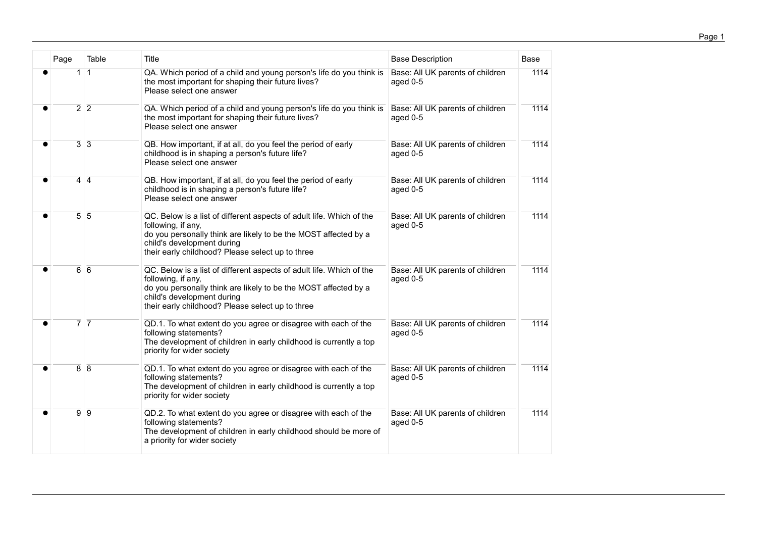| Page                            | Table        | Title                                                                                                                                                                                                                                           | <b>Base Description</b>                      | Base |
|---------------------------------|--------------|-------------------------------------------------------------------------------------------------------------------------------------------------------------------------------------------------------------------------------------------------|----------------------------------------------|------|
| $\mathbf{1}$                    | $\mathbf{1}$ | QA. Which period of a child and young person's life do you think is<br>the most important for shaping their future lives?<br>Please select one answer                                                                                           | Base: All UK parents of children<br>aged 0-5 | 1114 |
| $\overline{2}$ 2                |              | QA. Which period of a child and young person's life do you think is<br>the most important for shaping their future lives?<br>Please select one answer                                                                                           | Base: All UK parents of children<br>aged 0-5 | 1114 |
| $3 \overline{\smash{\big)}\ 3}$ |              | QB. How important, if at all, do you feel the period of early<br>childhood is in shaping a person's future life?<br>Please select one answer                                                                                                    | Base: All UK parents of children<br>aged 0-5 | 1114 |
| $\overline{4}$ $\overline{4}$   |              | QB. How important, if at all, do you feel the period of early<br>childhood is in shaping a person's future life?<br>Please select one answer                                                                                                    | Base: All UK parents of children<br>aged 0-5 | 1114 |
| $\overline{5}$ 5                |              | QC. Below is a list of different aspects of adult life. Which of the<br>following, if any,<br>do you personally think are likely to be the MOST affected by a<br>child's development during<br>their early childhood? Please select up to three | Base: All UK parents of children<br>aged 0-5 | 1114 |
| $\overline{6}$ $\overline{6}$   |              | QC. Below is a list of different aspects of adult life. Which of the<br>following, if any,<br>do you personally think are likely to be the MOST affected by a<br>child's development during<br>their early childhood? Please select up to three | Base: All UK parents of children<br>aged 0-5 | 1114 |
| $\overline{7}$ $\overline{7}$   |              | QD.1. To what extent do you agree or disagree with each of the<br>following statements?<br>The development of children in early childhood is currently a top<br>priority for wider society                                                      | Base: All UK parents of children<br>aged 0-5 | 1114 |
| $\overline{8}$ 8                |              | QD.1. To what extent do you agree or disagree with each of the<br>following statements?<br>The development of children in early childhood is currently a top<br>priority for wider society                                                      | Base: All UK parents of children<br>aged 0-5 | 1114 |
| $\overline{9}$ $\overline{9}$   |              | QD.2. To what extent do you agree or disagree with each of the<br>following statements?<br>The development of children in early childhood should be more of<br>a priority for wider society                                                     | Base: All UK parents of children<br>aged 0-5 | 1114 |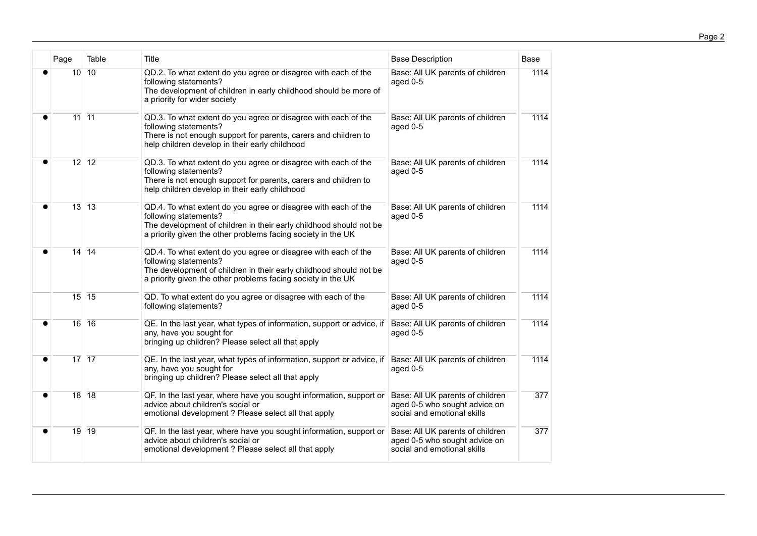| Page                            | Table | Title                                                                                                                                                                                                                         | <b>Base Description</b>                                                                          | Base |
|---------------------------------|-------|-------------------------------------------------------------------------------------------------------------------------------------------------------------------------------------------------------------------------------|--------------------------------------------------------------------------------------------------|------|
| $10$ 10                         |       | QD.2. To what extent do you agree or disagree with each of the<br>following statements?<br>The development of children in early childhood should be more of<br>a priority for wider society                                   | Base: All UK parents of children<br>aged 0-5                                                     | 1114 |
| $\overline{11}$ $\overline{11}$ |       | QD.3. To what extent do you agree or disagree with each of the<br>following statements?<br>There is not enough support for parents, carers and children to<br>help children develop in their early childhood                  | Base: All UK parents of children<br>aged 0-5                                                     | 1114 |
| $\overline{12}$ 12              |       | QD.3. To what extent do you agree or disagree with each of the<br>following statements?<br>There is not enough support for parents, carers and children to<br>help children develop in their early childhood                  | Base: All UK parents of children<br>aged 0-5                                                     | 1114 |
| $13$ 13                         |       | QD.4. To what extent do you agree or disagree with each of the<br>following statements?<br>The development of children in their early childhood should not be<br>a priority given the other problems facing society in the UK | Base: All UK parents of children<br>aged 0-5                                                     | 1114 |
| $\overline{14}$ 14              |       | QD.4. To what extent do you agree or disagree with each of the<br>following statements?<br>The development of children in their early childhood should not be<br>a priority given the other problems facing society in the UK | Base: All UK parents of children<br>aged 0-5                                                     | 1114 |
| $15 \overline{15}$              |       | QD. To what extent do you agree or disagree with each of the<br>following statements?                                                                                                                                         | Base: All UK parents of children<br>aged 0-5                                                     | 1114 |
| 16 16                           |       | QE. In the last year, what types of information, support or advice, if<br>any, have you sought for<br>bringing up children? Please select all that apply                                                                      | Base: All UK parents of children<br>aged 0-5                                                     | 1114 |
| $\overline{17}$ $\overline{17}$ |       | QE. In the last year, what types of information, support or advice, if<br>any, have you sought for<br>bringing up children? Please select all that apply                                                                      | Base: All UK parents of children<br>aged 0-5                                                     | 1114 |
| $\overline{18}$ 18              |       | QF. In the last year, where have you sought information, support or<br>advice about children's social or<br>emotional development ? Please select all that apply                                                              | Base: All UK parents of children<br>aged 0-5 who sought advice on<br>social and emotional skills | 377  |
| $19$ 19                         |       | QF. In the last year, where have you sought information, support or<br>advice about children's social or<br>emotional development ? Please select all that apply                                                              | Base: All UK parents of children<br>aged 0-5 who sought advice on<br>social and emotional skills | 377  |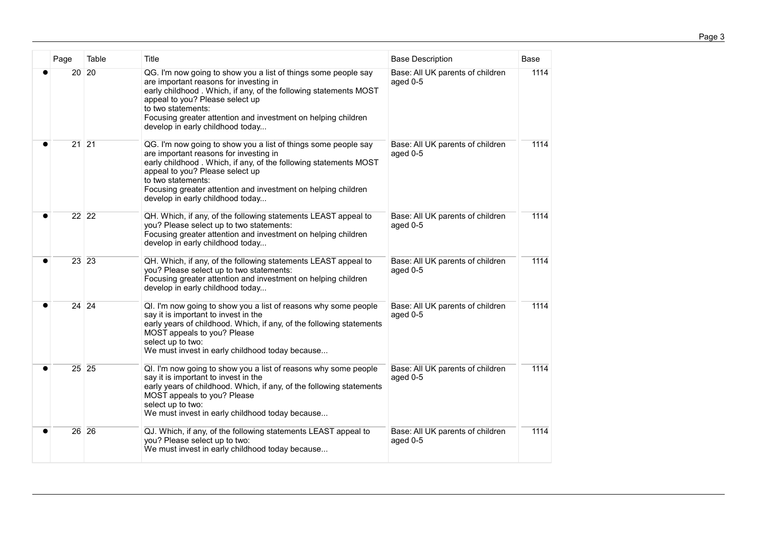| Page                            | Table | Title                                                                                                                                                                                                                                                                                                                                      | <b>Base Description</b>                      | <b>Base</b> |
|---------------------------------|-------|--------------------------------------------------------------------------------------------------------------------------------------------------------------------------------------------------------------------------------------------------------------------------------------------------------------------------------------------|----------------------------------------------|-------------|
| 20                              | 20    | QG. I'm now going to show you a list of things some people say<br>are important reasons for investing in<br>early childhood. Which, if any, of the following statements MOST<br>appeal to you? Please select up<br>to two statements:<br>Focusing greater attention and investment on helping children<br>develop in early childhood today | Base: All UK parents of children<br>aged 0-5 | 1114        |
| $\overline{21}$ 21              |       | QG. I'm now going to show you a list of things some people say<br>are important reasons for investing in<br>early childhood. Which, if any, of the following statements MOST<br>appeal to you? Please select up<br>to two statements:<br>Focusing greater attention and investment on helping children<br>develop in early childhood today | Base: All UK parents of children<br>aged 0-5 | 1114        |
| 22 22                           |       | QH. Which, if any, of the following statements LEAST appeal to<br>you? Please select up to two statements:<br>Focusing greater attention and investment on helping children<br>develop in early childhood today                                                                                                                            | Base: All UK parents of children<br>aged 0-5 | 1114        |
| $\overline{23}$ $\overline{23}$ |       | QH. Which, if any, of the following statements LEAST appeal to<br>you? Please select up to two statements:<br>Focusing greater attention and investment on helping children<br>develop in early childhood today                                                                                                                            | Base: All UK parents of children<br>aged 0-5 | 1114        |
| 24 24                           |       | QI. I'm now going to show you a list of reasons why some people<br>say it is important to invest in the<br>early years of childhood. Which, if any, of the following statements<br>MOST appeals to you? Please<br>select up to two:<br>We must invest in early childhood today because                                                     | Base: All UK parents of children<br>aged 0-5 | 1114        |
| $\overline{25}$ $\overline{25}$ |       | QI. I'm now going to show you a list of reasons why some people<br>say it is important to invest in the<br>early years of childhood. Which, if any, of the following statements<br>MOST appeals to you? Please<br>select up to two:<br>We must invest in early childhood today because                                                     | Base: All UK parents of children<br>aged 0-5 | 1114        |
| $26$ 26                         |       | QJ. Which, if any, of the following statements LEAST appeal to<br>you? Please select up to two:<br>We must invest in early childhood today because                                                                                                                                                                                         | Base: All UK parents of children<br>aged 0-5 | 1114        |